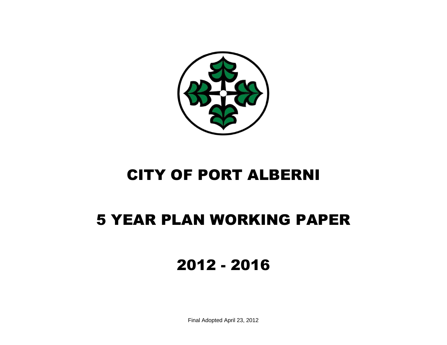

# CITY OF PORT ALBERNI

## 5 YEAR PLAN WORKING PAPER

2012 - 2016

Final Adopted April 23, 2012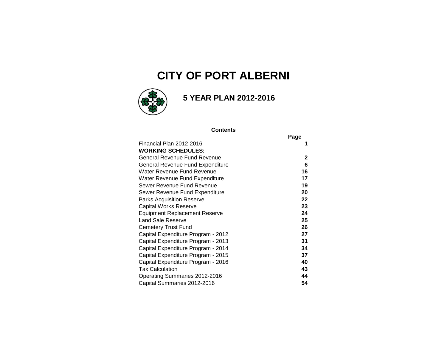## **CITY OF PORT ALBERNI**



### **5 YEAR PLAN 2012-2016**

#### **Contents**

|                                      | Page         |
|--------------------------------------|--------------|
| Financial Plan 2012-2016             | 1            |
| <b>WORKING SCHEDULES:</b>            |              |
| General Revenue Fund Revenue         | $\mathbf{2}$ |
| General Revenue Fund Expenditure     | 6            |
| Water Revenue Fund Revenue           | 16           |
| Water Revenue Fund Expenditure       | 17           |
| Sewer Revenue Fund Revenue           | 19           |
| Sewer Revenue Fund Expenditure       | 20           |
| Parks Acquisition Reserve            | 22           |
| <b>Capital Works Reserve</b>         | 23           |
| <b>Equipment Replacement Reserve</b> | 24           |
| <b>Land Sale Reserve</b>             | 25           |
| <b>Cemetery Trust Fund</b>           | 26           |
| Capital Expenditure Program - 2012   | 27           |
| Capital Expenditure Program - 2013   | 31           |
| Capital Expenditure Program - 2014   | 34           |
| Capital Expenditure Program - 2015   | 37           |
| Capital Expenditure Program - 2016   | 40           |
| <b>Tax Calculation</b>               | 43           |
| Operating Summaries 2012-2016        | 44           |
| Capital Summaries 2012-2016          | 54           |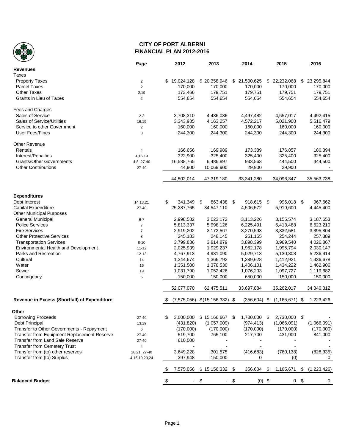

#### **CITY OF PORT ALBERNI FINANCIAL PLAN 2012-2016**

|                                              | Page                    | 2012             | 2013                 | 2014            | 2015               | 2016              |
|----------------------------------------------|-------------------------|------------------|----------------------|-----------------|--------------------|-------------------|
| <b>Revenues</b>                              |                         |                  |                      |                 |                    |                   |
| Taxes                                        |                         |                  |                      |                 |                    |                   |
| <b>Property Taxes</b>                        | $\overline{c}$          | \$<br>19,024,128 | \$20,358,946         | \$ 21,500,625   | \$ 22,232,068      | \$ 23,295,844     |
| <b>Parcel Taxes</b>                          | $\overline{2}$          | 170,000          | 170,000              | 170,000         | 170,000            | 170,000           |
| <b>Other Taxes</b>                           | 2,19                    | 173,466          | 179,751              | 179,751         | 179,751            | 179,751           |
| Grants in Lieu of Taxes                      | $\overline{\mathbf{c}}$ | 554,654          | 554,654              | 554,654         | 554,654            | 554,654           |
| Fees and Charges                             |                         |                  |                      |                 |                    |                   |
| Sales of Service                             | $2 - 3$                 | 3,708,310        | 4,436,086            | 4,497,482       | 4,557,017          | 4,492,415         |
| Sales of Service/Utilities                   |                         |                  | 4,163,257            | 4,572,217       | 5,021,900          | 5,516,479         |
| Service to other Government                  | 16,19                   | 3,343,935        | 160,000              | 160,000         |                    |                   |
| <b>User Fees/Fines</b>                       | $\mathbf 2$             | 160,000          |                      |                 | 160,000            | 160,000           |
|                                              | 3                       | 244,300          | 244,300              | 244,300         | 244,300            | 244,300           |
| Other Revenue                                |                         |                  |                      |                 |                    |                   |
| Rentals                                      | 4                       | 166,656          | 169,989              | 173,389         | 176,857            | 180,394           |
| Interest/Penalties                           | 4,16,19                 | 322,900          | 325,400              | 325,400         | 325,400            | 325,400           |
| <b>Grants/Other Governments</b>              | 4-5, 27-40              | 16,588,765       | 6,486,897            | 933,563         | 444,500            | 444,500           |
| <b>Other Contributions</b>                   | 27-40                   | 44,900           | 10,069,900           | 29,900          | 29,900             |                   |
|                                              |                         | 44,502,014       | 47,319,180           | 33,341,280      | 34,096,347         | 35,563,738        |
|                                              |                         |                  |                      |                 |                    |                   |
| <b>Expenditures</b>                          |                         |                  |                      |                 |                    |                   |
| Debt Interest                                | 14,18,21                | \$<br>341,349    | \$<br>863,438 \$     | 918,615 \$      | 996,018 \$         | 967,662           |
| Capital Expenditure                          | 27-40                   | 25,287,765       | 34,547,110           | 4,506,572       | 5,919,600          | 4,445,400         |
| <b>Other Municipal Purposes</b>              |                         |                  |                      |                 |                    |                   |
| General Municipal                            | $6 - 7$                 | 2,998,582        | 3,023,172            | 3,113,226       | 3,155,574          | 3,187,653         |
| <b>Police Services</b>                       | $\overline{7}$          | 5,813,337        | 5,998,126            | 6,225,491       | 6,413,488          | 6,623,210         |
| <b>Fire Services</b>                         | $\overline{7}$          | 2,919,202        | 3,172,567            | 3,270,593       | 3,332,581          | 3,395,804         |
| <b>Other Protective Services</b>             | 8                       | 245,183          | 248,145              | 251,165         | 254,244            | 257,389           |
| <b>Transportation Services</b>               | $8 - 10$                | 3,799,836        | 3,814,879            | 3,898,399       | 3,969,540          | 4,026,867         |
| Environmental Health and Development         | $11 - 12$               | 2,025,939        | 1,929,237            | 1,962,178       | 1,995,794          | 2,030,147         |
| Parks and Recreation                         | $12 - 13$               | 4,767,913        | 4,931,090            | 5,029,713       | 5,130,308          | 5,236,914         |
| Cultural                                     | 14                      | 1,344,674        | 1,366,792            | 1,389,628       | 1,412,921          | 1,436,678         |
| Water                                        | 16                      | 1,351,500        | 1,378,530            | 1,406,101       | 1,434,222          | 1,462,906         |
| Sewer                                        | 19                      | 1,031,790        | 1,052,426            | 1,076,203       | 1,097,727          | 1,119,682         |
| Contingency                                  | 5                       | 150,000          | 150,000              | 650,000         | 150,000            | 150,000           |
|                                              |                         |                  |                      |                 |                    |                   |
|                                              |                         | 52,077,070       | 62,475,511           | 33,697,884      | 35,262,017         | 34,340,312        |
| Revenue in Excess (Shortfall) of Expenditure |                         | (7,575,056)      | $$(15, 156, 332)$ \$ | $(356, 604)$ \$ | $(1, 165, 671)$ \$ | 1,223,426         |
| Other                                        |                         |                  |                      |                 |                    |                   |
| <b>Borrowing Proceeds</b>                    | 27-40                   | 3,000,000        | \$15,166,667 \$      | 1,700,000 \$    | 2,730,000 \$       |                   |
| Debt Principal                               | 13,19                   | (431, 820)       | (1,057,009)          | (974, 413)      | (1,066,091)        | (1,066,091)       |
| Transfer to Other Governments - Repayment    | 6                       | (170,000)        | (170,000)            | (170,000)       | (170,000)          | (170,000)         |
| Transfer from Equipment Replacement Reserve  | $27 - 40$               | 519,700          | 765,100              | 217,700         | 431,900            | 841,000           |
| Transfer from Land Sale Reserve              | 27-40                   | 610,000          |                      |                 |                    |                   |
| <b>Transfer from Cemetery Trust</b>          | 4                       |                  |                      |                 |                    |                   |
| Transfer from (to) other reserves            |                         |                  |                      |                 |                    |                   |
|                                              | 18,21, 27-40            | 3,649,228        | 301,575              | (416, 683)      | (760, 138)         | (828, 335)        |
| Transfer from (to) Surplus                   | 4, 16, 19, 23, 24       | 397,948          | 150,000              | 0               | (0)                | 0                 |
|                                              |                         | 7,575,056        | $$15,156,332$ \$     | 356,604 \$      | 1,165,671          | \$<br>(1,223,426) |
| <b>Balanced Budget</b>                       |                         |                  | $-$ \$               | \$<br>$(0)$ \$  | 0 <sup>6</sup>     | 0                 |
|                                              |                         |                  |                      |                 |                    |                   |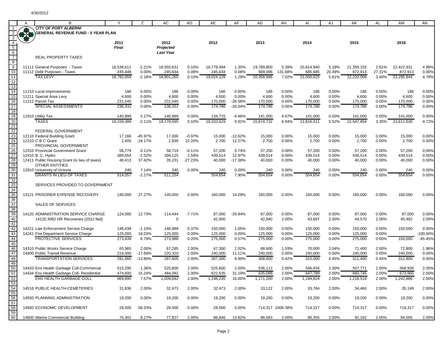|                                                                               | A | В                                             |              | Z         | AC               | <b>AD</b> | AE         | AF        | AG         | AH               | AI         | AJ       | AK         | AL     | AM         | AN          |
|-------------------------------------------------------------------------------|---|-----------------------------------------------|--------------|-----------|------------------|-----------|------------|-----------|------------|------------------|------------|----------|------------|--------|------------|-------------|
|                                                                               |   | <b>CITY OF PORT ALBERNI</b>                   |              |           |                  |           |            |           |            |                  |            |          |            |        |            |             |
| 2                                                                             |   | <b>GENERAL REVENUE FUND - 5 YEAR PLAN</b>     |              |           |                  |           |            |           |            |                  |            |          |            |        |            |             |
|                                                                               |   |                                               |              |           |                  |           |            |           |            |                  |            |          |            |        |            |             |
| $\overline{3}$                                                                |   |                                               |              |           |                  |           |            |           |            |                  |            |          |            |        |            |             |
| $\overline{4}$                                                                |   |                                               | 2011         |           | 2012             |           | 2012       |           | 2013       |                  | 2014       |          | 2015       |        | 2016       |             |
| $\begin{array}{c}\n\overline{5} \\ \overline{6} \\ \overline{7}\n\end{array}$ |   |                                               | <b>Final</b> |           | Projected        |           |            |           |            |                  |            |          |            |        |            |             |
|                                                                               |   |                                               |              |           | <b>Last Year</b> |           |            |           |            |                  |            |          |            |        |            |             |
|                                                                               |   | <b>REAL PROPERTY TAXES</b>                    |              |           |                  |           |            |           |            |                  |            |          |            |        |            |             |
|                                                                               |   |                                               |              |           |                  |           |            |           |            |                  |            |          |            |        |            |             |
| 8                                                                             |   |                                               |              |           |                  |           |            |           |            |                  |            |          |            |        |            |             |
| $\overline{9}$                                                                |   | 11111 General Purposes - Taxes                | 18,536,611   | -2.21%    | 18,555,631       | 0.10%     | 18,778,494 | 1.30%     | 19,789,850 | 5.39%            | 20,814,940 | 5.18%    | 21,359,155 | 2.61%  | 22,422,931 | 4.98%       |
| 10                                                                            |   | 11112 Debt Purposes - Taxes                   | 245,448      | 0.00%     | 245,634          | 0.08%     | 245,634    | 0.08%     | 569,096    | 131.68%          | 685,685    | 20.49%   | 872,913    | 27.31% | 872,913    | 0.00%       |
|                                                                               |   |                                               |              |           |                  |           |            |           |            |                  |            |          |            |        |            |             |
| 11                                                                            |   | <b>TAX LEVY</b>                               | 18,782,059   | $-2.18%$  | 18,801,265       | 0.10%     | 19,024,128 | 1.29%     | 20,358,946 | 7.02%            | 21,500,625 | 5.61%    | 22,232,068 | 3.40%  | 23,295,844 | 4.78%       |
| 12                                                                            |   |                                               |              |           |                  |           |            |           |            |                  |            |          |            |        |            |             |
| 13                                                                            |   |                                               |              |           |                  |           |            |           |            |                  |            |          |            |        |            |             |
| 14                                                                            |   | 11210 Local Improvements                      | 186          | $0.00\%$  | 186              | 0.00%     | 186        | 0.00%     | 186        | 0.00%            | 186        | 0.00%    | 186        | 0.00%  | 186        | 0.00%       |
|                                                                               |   |                                               |              |           |                  |           |            |           |            |                  |            |          |            |        |            |             |
| 15                                                                            |   | 11211 Special Area Levy                       | 4,600        | 0.00%     | 4,600            | 0.00%     | 4,600      | 0.00%     | 4,600      | 0.00%            | 4,600      | 0.00%    | 4,600      | 0.00%  | 4,600      | 0.00%       |
| 16                                                                            |   | 11212 Parcel Tax                              | 231,545      | 0.00%     | 231,545          | 0.00%     | 170,000    | $-26.58%$ | 170,000    | 0.00%            | 170,000    | 0.00%    | 170,000    | 0.00%  | 170,000    | 0.00%       |
| 17                                                                            |   | SPECIAL ASSESSMENTS                           | 236,331      | 0.00%     | 236,331          | 0.00%     | 174,786    | $-26.04%$ | 174,786    | 0.00%            | 174,786    | 0.00%    | 174,786    | 0.00%  | 174,786    | 0.00%       |
| 18                                                                            |   |                                               |              |           |                  |           |            |           |            |                  |            |          |            |        |            |             |
|                                                                               |   |                                               |              |           |                  |           |            |           |            |                  |            |          |            |        |            |             |
| 19                                                                            |   | 11910 Utility Tax                             | 140,999      | 5.27%     | 140,999          | 0.00%     | 134,715    | $-4.46%$  | 141,000    | 4.67%            | 141,000    | 0.00%    | 141,000    | 0.00%  | 141,000    | 0.00%       |
|                                                                               |   | <b>TAXES</b>                                  | 19,159,389   | $-2.11%$  | 19,178,595       | 0.10%     | 19,333,629 | 0.91%     | 20,674,732 | 6.94%            | 21,816,411 | 5.52%    | 22,547,854 | 3.35%  | 23,611,630 | 4.72%       |
| 20<br>21                                                                      |   |                                               |              |           |                  |           |            |           |            |                  |            |          |            |        |            |             |
|                                                                               |   |                                               |              |           |                  |           |            |           |            |                  |            |          |            |        |            |             |
| 22                                                                            |   | FEDERAL GOVERNMENT                            |              |           |                  |           |            |           |            |                  |            |          |            |        |            |             |
|                                                                               |   | 12110 Federal Building Grant                  | 17,166       | $-45.97%$ | 17,000           | $-0.97%$  | 15,000     | $-12.62%$ | 15,000     | 0.00%            | 15,000     | 0.00%    | 15,000     | 0.00%  | 15,000     | 0.00%       |
| $\frac{23}{24}$<br>$\frac{25}{25}$                                            |   | 12210 C B C Grant                             | 2,405        | $-18.17%$ | 2,939            | 22.20%    | 2,700      | 12.27%    | 2,700      | 0.00%            | 2,700      | 0.00%    | 2,700      | 0.00%  | 2,700      | 0.00%       |
|                                                                               |   | PROVINCIAL GOVERNMENT                         |              |           |                  |           |            |           |            |                  |            |          |            |        |            |             |
|                                                                               |   |                                               |              |           |                  |           |            |           |            |                  |            |          |            |        |            |             |
| 26                                                                            |   | 12310 Provincial Government Grant             | 56,779       | 0.11%     | 56,719           | $-0.11%$  | 57,200     | 0.74%     | 57,200     | 0.00%            | 57,200     | 0.00%    | 57,200     | 0.00%  | 57,200     | 0.00%       |
| 27                                                                            |   | 12410 B. C. Hydro                             | 389,054      | $-2.52%$  | 399,125          | 2.59%     | 439,514    | 12.97%    | 439,514    | 0.00%            | 439,514    | 0.00%    | 439,514    | 0.00%  | 439,514    | 0.00%       |
|                                                                               |   | 12411 Public Housing Grant (in lieu of taxes) | 48,413       | 37.42%    | 35,231           | $-27.23%$ | 40,000     | $-17.38%$ | 40,000     | 0.00%            | 40,000     | 0.00%    | 40,000     | 0.00%  | 40,000     | 0.00%       |
|                                                                               |   | <b>OTHER ENTITIES</b>                         |              |           |                  |           |            |           |            |                  |            |          |            |        |            |             |
|                                                                               |   |                                               |              |           |                  |           |            |           |            |                  |            |          |            |        |            |             |
| $\frac{28}{29}$ $\frac{29}{30}$ $\frac{31}{32}$ $\frac{32}{33}$               |   | 12910 University of Victoria                  | 240          | 7.14%     | 240              | 0.00%     | 240        | 0.00%     | 240        | 0.00%            | 240        | 0.00%    | 240        | 0.00%  | 240        | 0.00%       |
|                                                                               |   | <b>GRANTS IN LIEU OF TAXES</b>                | 514,057      | $-2.27%$  | 511,254          |           | 554,654    | 7.90%     | 554,654    | 0.00%            | 554,654    | 0.00%    | 554,654    | 0.00%  | 554,654    | 0.00%       |
|                                                                               |   |                                               |              |           |                  |           |            |           |            |                  |            |          |            |        |            |             |
|                                                                               |   | SERVICES PROVIDED TO GOVERNMENT               |              |           |                  |           |            |           |            |                  |            |          |            |        |            |             |
|                                                                               |   |                                               |              |           |                  |           |            |           |            |                  |            |          |            |        |            |             |
| 34<br>35                                                                      |   |                                               |              |           |                  |           |            |           |            |                  |            |          |            |        |            |             |
|                                                                               |   | 13121 PRISONER EXPENSE RECOVERY               | 140,000      | 27.27%    | 140,000          | 0.00%     | 160,000    | 14.29%    | 160,000    | 0.00%            | 160,000    | 0.00%    | 160,000    | 0.00%  | 160,000    | 0.00%       |
| 36                                                                            |   |                                               |              |           |                  |           |            |           |            |                  |            |          |            |        |            |             |
| 37                                                                            |   | <b>SALES OF SERVICES</b>                      |              |           |                  |           |            |           |            |                  |            |          |            |        |            |             |
|                                                                               |   |                                               |              |           |                  |           |            |           |            |                  |            |          |            |        |            |             |
| 38<br>39                                                                      |   |                                               |              |           |                  |           |            |           |            |                  |            |          |            |        |            |             |
|                                                                               |   | 14120 ADMINISTRATION SERVICE CHARGE           | 124,000      | 12.73%    | 114,444          | $-7.71%$  | 87,000     | $-29.84%$ | 87,000     | 0.00%            | 87,000     | 0.00%    | 87,000     | 0.00%  | 87,000     | 0.00%       |
| 40                                                                            |   | 14120.3082 HR Recoveries (2012 fwd)           |              |           | $\Omega$         |           | 42,000     |           | 42,840     | 2.00%            | 43,697     | 2.00%    | 44,570     | 2.00%  | 45,462     | 2.00%       |
|                                                                               |   |                                               |              |           |                  |           |            |           |            |                  |            |          |            |        |            |             |
| $\frac{41}{42}$<br>$\frac{43}{44}$                                            |   |                                               |              |           |                  |           |            |           |            |                  |            |          |            |        |            |             |
|                                                                               |   | 14221 Law Enforcement Service Charge          | 148,439      | $-1.14%$  | 148,988          | 0.37%     | 150,000    | 1.05%     | 150,000    | 0.00%            | 150,000    | 0.00%    | 150,000    | 0.00%  | 150,000    | 0.00%       |
|                                                                               |   | 14241 Fire Department Service Charge          | 125,000      | 18.03%    | 125,000          | 0.00%     | 125,000    | 0.00%     | 125,000    | 0.00%            | 125,000    | $0.00\%$ | 125,000    | 0.00%  |            | $-100.00\%$ |
|                                                                               |   | <b>PROTECTIVE SERVICES</b>                    | 273,439      | 6.79%     | 273,988          | 0.20%     | 275,000    | 0.57%     | 275,000    | 0.00%            | 275,000    | 0.00%    | 275,000    | 0.00%  | 150,000    | $-45.45%$   |
| 45                                                                            |   |                                               |              |           |                  |           |            |           |            |                  |            |          |            |        |            |             |
|                                                                               |   |                                               |              |           |                  |           |            |           |            |                  |            |          |            |        |            |             |
| $\frac{18}{46}$                                                               |   | 14310 Public Works Service Charge             | 65,965       | 2.00%     | 67,285           | 2.00%     | 67,300     | 2.02%     | 68,600     | 1.93%            | 70,000     | 2.04%    | 71,400     | 2.00%  | 72,800     | 1.96%       |
|                                                                               |   | 14400 Public Transit Revenue                  | 216,000      | $-17.69%$ | 220,320          | 2.00%     | 240,000    | 11.11%    | 240,000    | 0.00%            | 240,000    | 0.00%    | 240,000    | 0.00%  | 240,000    | 0.00%       |
| 48                                                                            |   | <b>TRANSPORTATION SERVICES</b>                | 281,965      | $-13.80%$ | 287,605          | 2.00%     | 307,300    | 8.99%     | 308,600    | 0.42%            | 310,000    | 0.45%    | 311,400    | 0.45%  | 312,800    | 0.45%       |
|                                                                               |   |                                               |              |           |                  |           |            |           |            |                  |            |          |            |        |            |             |
| 49<br>50                                                                      |   |                                               |              |           |                  |           |            |           |            |                  |            |          |            |        |            |             |
|                                                                               |   | 14433 Env Health Garbage Coll-Commercial      | 515,295      | 1.36%     | 525,600          | 2.00%     | 525,600    | 2.00%     | 536,112    | 2.00%            | 546,834    | 2.00%    | 557,771    | 2.00%  | 568,926    | 2.00%       |
| <u>51</u>                                                                     |   | 14434 Env Health Garbage Coll- Residential    | 474,600      | 15.24%    | 484,092          | 2.00%     | 622,635    | 31.19%    | 635,088    | 2.00%            | 647,789    | 2.00%    | 660,745    | 2.00%  | 673,960    | 2.00%       |
|                                                                               |   | ENV HEALTH GARBAGE COLL                       | 989,895      | 7.57%     | 1,009,692        | 2.00%     | 1,148,235  | 16.00%    | 1,171,200  | 2.00%            | 1,194,624  | 2.00%    | 1,218,516  | 2.00%  | 1,242,886  | 2.00%       |
|                                                                               |   |                                               |              |           |                  |           |            |           |            |                  |            |          |            |        |            |             |
|                                                                               |   |                                               |              |           |                  |           |            |           |            |                  |            |          |            |        |            |             |
| 52<br>53<br>54                                                                |   | 14516 PUBLIC HEALTH-CEMETERIES                | 31,836       | 2.00%     | 32,473           | 2.00%     | 32,473     | 2.00%     | 33,122     | 2.00%            | 33,784     | 2.00%    | 34,460     | 2.00%  | 35,149     | 2.00%       |
| 55                                                                            |   |                                               |              |           |                  |           |            |           |            |                  |            |          |            |        |            |             |
|                                                                               |   | 14550 PLANNING ADMINISTRATION                 | 19,200       | $0.00\%$  | 19,200           | 0.00%     | 19,200     | 0.00%     | 19,200     | 0.00%            | 19,200     | 0.00%    | 19,200     | 0.00%  | 19,200     | 0.00%       |
| 56<br>57                                                                      |   |                                               |              |           |                  |           |            |           |            |                  |            |          |            |        |            |             |
|                                                                               |   |                                               |              |           |                  |           |            |           |            |                  |            |          |            |        |            |             |
| 58                                                                            |   | 14560 ECONOMIC DEVELOPMENT                    | 28,500       | 58.33%    | 28,500           | 0.00%     | 28,500     | 0.00%     |            | 714,317 2406.38% | 714,317    | 0.00%    | 714,317    | 0.00%  | 714,317    | 0.00%       |
| 59                                                                            |   |                                               |              |           |                  |           |            |           |            |                  |            |          |            |        |            |             |
| 60                                                                            |   | 14600 Marine Commercial Building              | 76,301       | 8.27%     | 77,827           | 2.00%     | 86,846     | 13.82%    | 88,583     | 2.00%            | 90,355     | 2.00%    | 92,162     | 2.00%  | 94,005     | 2.00%       |
|                                                                               |   |                                               |              |           |                  |           |            |           |            |                  |            |          |            |        |            |             |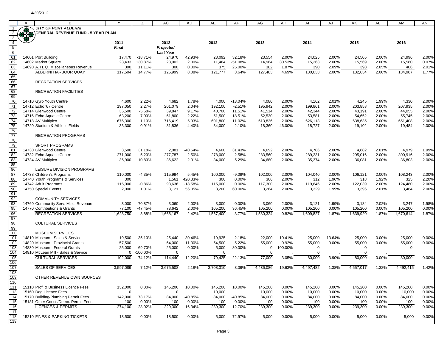|                                                    | B                                         |              | Z           | AC               | <b>AD</b> | AE        | AF         | AG          | AH          | AI          | AJ     | AK        | <b>AL</b> | AM          | AN       |
|----------------------------------------------------|-------------------------------------------|--------------|-------------|------------------|-----------|-----------|------------|-------------|-------------|-------------|--------|-----------|-----------|-------------|----------|
|                                                    | <b>CITY OF PORT ALBERNI</b>               |              |             |                  |           |           |            |             |             |             |        |           |           |             |          |
|                                                    | <b>GENERAL REVENUE FUND - 5 YEAR PLAN</b> |              |             |                  |           |           |            |             |             |             |        |           |           |             |          |
| $\overline{3}$                                     |                                           |              |             |                  |           |           |            |             |             |             |        |           |           |             |          |
| $\overline{4}$                                     |                                           | 2011         |             | 2012             |           | 2012      |            | 2013        |             | 2014        |        | 2015      |           | 2016        |          |
| $\frac{5}{6}$<br>$\frac{6}{62}$<br>$\frac{62}{63}$ |                                           | <b>Final</b> |             | Projected        |           |           |            |             |             |             |        |           |           |             |          |
|                                                    |                                           |              |             | <b>Last Year</b> |           |           |            |             |             |             |        |           |           |             |          |
|                                                    | 14601 Port Building                       | 17,470       | $-18.71%$   | 24,970           | 42.93%    | 23,092    | 32.18%     | 23,554      | 2.00%       | 24,025      | 2.00%  | 24,505    | 2.00%     | 24,996      | 2.00%    |
|                                                    | 14602 Market Square                       | 23,433       | 130.87%     | 23,902           | 2.00%     | 11,464    | $-51.08%$  | 14,964      | 30.53%      | 15,263      | 2.00%  | 15,569    | 2.00%     | 15,580      | 0.07%    |
|                                                    | 14690 A. H. Q. Miscellaneous Revenue      | 300          | 11.11%      | 300              | 0.00%     | 375       | 25.00%     | 382         | 1.87%       | 390         | 2.09%  | 398       | 2.05%     | 406         | 2.01%    |
| 64                                                 | <b>ALBERNI HARBOUR QUAY</b>               | 117,504      | 14.77%      | 126,999          | 8.08%     | 121,777   | 3.64%      | 127,483     | 4.69%       | 130,033     | 2.00%  | 132,634   | 2.00%     | 134,987     | 1.77%    |
| 65                                                 |                                           |              |             |                  |           |           |            |             |             |             |        |           |           |             |          |
| 66                                                 | <b>RECREATION SERVICES</b>                |              |             |                  |           |           |            |             |             |             |        |           |           |             |          |
| 67                                                 |                                           |              |             |                  |           |           |            |             |             |             |        |           |           |             |          |
| 68                                                 | RECREATION FACILITIES                     |              |             |                  |           |           |            |             |             |             |        |           |           |             |          |
| 69                                                 |                                           |              |             |                  |           |           |            |             |             |             |        |           |           |             |          |
| 70                                                 |                                           | 4,600        | 2.22%       | 4,682            | 1.78%     |           | $-13.04%$  |             | 2.00%       |             | 2.01%  | 4,245     |           | 4,330       |          |
| 71                                                 | 14710 Gyro Youth Centre                   |              |             |                  |           | 4,000     |            | 4,080       |             | 4,162       |        |           | 1.99%     |             | 2.00%    |
|                                                    | 14712 Echo '67 Centre                     | 197,050      | 2.27%       | 201,079          | 2.04%     | 192,100   | $-2.51%$   | 195,942     | 2.00%       | 199,861     | 2.00%  | 203,858   | 2.00%     | 207,935     | 2.00%    |
| 72                                                 | 14714 Glenwood Centre                     | 36,500       | $-5.68%$    | 39,847           | 9.17%     | 40,700    | 11.51%     | 41,514      | 2.00%       | 42,344      | 2.00%  | 43,191    | 2.00%     | 44,055      | 2.00%    |
| 73                                                 | 14716 Echo Aquatic Centre                 | 63,200       | 7.00%       | 61,800           | $-2.22%$  | 51,500    | $-18.51%$  | 52,530      | 2.00%       | 53,581      | 2.00%  | 54,652    | 2.00%     | 55,745      | 2.00%    |
| 74                                                 | 14718 AV Multiplex                        | 676,300      | $-1.10%$    | 716,419          | 5.93%     | 601,800   | $-11.02%$  | 613,836     | 2.00%       | 626,113     | 2.00%  | 638,635   | 2.00%     | 651,408     | 2.00%    |
| $\overline{75}$                                    | 14720 Stadium & Athletic Fields           | 33,300       | 0.91%       | 31,836           | $-4.40%$  | 34,000    | 2.10%      | 18,360      | -46.00%     | 18,727      | 2.00%  | 19,102    | 2.00%     | 19,484      | 2.00%    |
| 76                                                 |                                           |              |             |                  |           |           |            |             |             |             |        |           |           |             |          |
| 77                                                 | <b>RECREATION PROGRAMS</b>                |              |             |                  |           |           |            |             |             |             |        |           |           |             |          |
| 78                                                 |                                           |              |             |                  |           |           |            |             |             |             |        |           |           |             |          |
| 79                                                 | <b>SPORT PROGRAMS</b>                     |              |             |                  |           |           |            |             |             |             |        |           |           |             |          |
|                                                    | 14730 Glenwood Centre                     | 3,500        | 31.18%      | 2,081            | -40.54%   | 4,600     | 31.43%     | 4,692       | 2.00%       | 4,786       | 2.00%  | 4,882     | 2.01%     | 4,979       | 1.99%    |
| $\frac{81}{82}$                                    | 14732 Echo Aquatic Centre                 | 271,000      | 5.20%       | 277,787          | 2.50%     | 278,000   | 2.58%      | 283,560     | 2.00%       | 289,231     | 2.00%  | 295,016   | 2.00%     | 300,916     | 2.00%    |
| $\overline{83}$                                    | 14734 AV Multiplex                        | 35,900       | 10.80%      | 36,622           | 2.01%     | 34,000    | $-5.29%$   | 34,680      | 2.00%       | 35,374      | 2.00%  | 36,081    | 2.00%     | 36,803      | 2.00%    |
| 85                                                 |                                           |              |             |                  |           |           |            |             |             |             |        |           |           |             |          |
|                                                    | LEISURE DIVISION PROGRAMS                 |              |             |                  |           |           |            |             |             |             |        |           |           |             |          |
| $\frac{86}{87}$                                    | 14738 Children's Programs                 | 110,000      | $-4.35%$    | 115,994          | 5.45%     | 100,000   | $-9.09%$   | 102,000     | 2.00%       | 104,040     | 2.00%  | 106,121   | 2.00%     | 108,243     | 2.00%    |
| 88                                                 | 14740 Youth Programs & Services           | 300          |             | 1,561            | 420.33%   | 300       | 0.00%      | 306         | 2.00%       | 312         | 1.96%  | 318       | 1.92%     | 325         | 2.20%    |
| 89                                                 | 14742 Adult Programs                      | 115,000      | $-0.86%$    | 93,636           | $-18.58%$ | 115,000   | 0.00%      | 117,300     | 2.00%       | 119,646     | 2.00%  | 122,039   | 2.00%     | 124,480     | 2.00%    |
| 90                                                 | 14750 Special Events                      | 2,000        | 1.01%       | 3,121            | 56.05%    | 3,200     | 60.00%     | 3,264       | 2.00%       | 3,329       | 1.99%  | 3,396     | 2.01%     | 3,464       | 2.00%    |
|                                                    |                                           |              |             |                  |           |           |            |             |             |             |        |           |           |             |          |
| $\frac{91}{92}$                                    | <b>COMMUNITY SERVICES</b>                 |              |             |                  |           |           |            |             |             |             |        |           |           |             |          |
|                                                    |                                           |              |             |                  |           |           |            |             |             |             |        |           |           |             |          |
| $\frac{93}{95}$                                    | 14760 Community Serv. Misc. Revenue       | 3,000        | $-70.87%$   | 3,060            | 2.00%     | 3,000     | 0.00%      | 3,060       | 2.00%       | 3,121       | 1.99%  | 3,184     | 2.02%     | 3,247       | 1.98%    |
|                                                    | 14770 Contributions & Grants              | 77,100       | -47.45%     | 78,642           | 2.00%     | 105,200   | 36.45%     | 105,200     | 0.00%       | 105,200     | 0.00%  | 105,200   | 0.00%     | 105,200     | 0.00%    |
| 96                                                 | <b>RECREATION SERVICES</b>                | 1,628,750    | $-3.88%$    | 1,668,167        | 2.42%     | 1,567,400 | $-3.77%$   | 1,580,324   | 0.82%       | 1,609,827   | 1.87%  | 1,639,920 | 1.87%     | 1,670,614   | 1.87%    |
| $\frac{97}{98}$                                    |                                           |              |             |                  |           |           |            |             |             |             |        |           |           |             |          |
|                                                    | <b>CULTURAL SERVICES</b>                  |              |             |                  |           |           |            |             |             |             |        |           |           |             |          |
|                                                    |                                           |              |             |                  |           |           |            |             |             |             |        |           |           |             |          |
| 100                                                | <b>MUSEUM SERVICES</b>                    |              |             |                  |           |           |            |             |             |             |        |           |           |             |          |
| 101                                                | 14810 Museum - Sales & Service            | 19,500       | $-35.10%$   | 25,440           | 30.46%    | 19,925    | 2.18%      | 22,000      | 10.41%      | 25,000      | 13.64% | 25,000    | 0.00%     | 25,000      | 0.00%    |
| 102                                                | 14820 Museum - Provincial Grants          | 57,500       |             | 64,000           | 11.30%    | 54,500    | $-5.22%$   | 55,000      | 0.92%       | 55,000      | 0.00%  | 55,000    | 0.00%     | 55,000      | 0.00%    |
| 103                                                | 14830 Museum - Federal Grants             | 25,000       | -69.70%     | 25,000           | 0.00%     | 5,000     | $-80.00\%$ | 0           | $-100.00\%$ | $\mathbf 0$ |        | 0         |           | $\mathbf 0$ |          |
| 104                                                | 14910 McLean Mill - Sales & Service       | 0            | $-100.00\%$ | 0                |           | $\Omega$  |            | $\mathbf 0$ |             | $\mathbf 0$ |        | $\Omega$  |           |             |          |
| 105                                                | <b>CULTURAL SERVICES</b>                  | 102,000      | $-74.12%$   | 114,440          | 12.20%    | 79,425    | $-22.13%$  | 77,000      | $-3.05%$    | 80,000      | 3.90%  | 80,000    | 0.00%     | 80,000      | 0.00%    |
| 106                                                |                                           |              |             |                  |           |           |            |             |             |             |        |           |           |             |          |
| 107                                                | <b>SALES OF SERVICES</b>                  | 3,597,089    | $-7.12%$    | 3,675,508        | 2.18%     | 3,708,310 | 3.09%      | 4,436,086   | 19.63%      | 4,497,482   | 1.38%  | 4,557,017 | 1.32%     | 4,492,415   | $-1.42%$ |
| 108                                                |                                           |              |             |                  |           |           |            |             |             |             |        |           |           |             |          |
| 109                                                | OTHER REVENUE OWN SOURCES                 |              |             |                  |           |           |            |             |             |             |        |           |           |             |          |
| 110                                                |                                           |              |             |                  |           |           |            |             |             |             |        |           |           |             |          |
| 111                                                | 15110 Prof. & Business Licence Fees       | 132,000      | 0.00%       | 145,200          | 10.00%    | 145,200   | 10.00%     | 145,200     | 0.00%       | 145,200     | 0.00%  | 145,200   | 0.00%     | 145,200     | 0.00%    |
| 113                                                | 15160 Dog Licence Fees                    | 0            |             | 0                |           |           |            | 10,000      | 0.00%       | 10,000      | 0.00%  |           | 0.00%     |             |          |
| 114                                                |                                           |              |             |                  |           | 10,000    |            |             |             |             |        | 10,000    |           | 10,000      | 0.00%    |
|                                                    | 15170 Building/Plumbing Permit Fees       | 142,000      | 73.17%      | 84,000           | -40.85%   | 84,000    | $-40.85%$  | 84,000      | 0.00%       | 84,000      | 0.00%  | 84,000    | 0.00%     | 84,000      | 0.00%    |
| 115                                                | 15181 Other Const./Demo. Permit Fees      | 100          | 0.00%       | 100              | 0.00%     | 100       | 0.00%      | 100         | 0.00%       | 100         | 0.00%  | 100       | 0.00%     | 100         | 0.00%    |
| 116                                                | <b>LICENCES &amp; PERMITS</b>             | 274,100      | 28.02%      | 229,300          | $-16.34%$ | 239,300   | $-12.70%$  | 239,300     | $0.00\%$    | 239,300     | 0.00%  | 239,300   | 0.00%     | 239,300     | 0.00%    |
| 117                                                |                                           |              |             |                  |           |           |            |             |             |             |        |           |           |             |          |
| 118                                                | 15210 FINES & PARKING TICKETS             | 18,500       | 0.00%       | 18,500           | 0.00%     | 5,000     | -72.97%    | 5,000       | 0.00%       | 5,000       | 0.00%  | 5,000     | 0.00%     | 5,000       | 0.00%    |
| 119                                                |                                           |              |             |                  |           |           |            |             |             |             |        |           |           |             |          |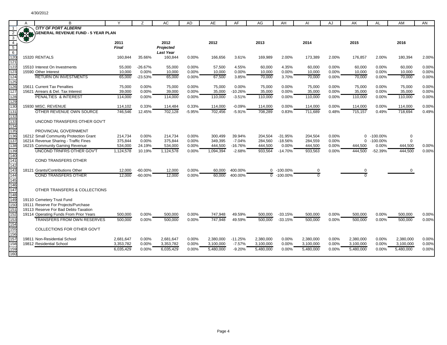|                  | B<br><b>CITY OF PORT ALBERNI</b>          |              |           | AC               | AD       | AE        | AF        | AG        | AH          | AI        | AJ    | AK             | AL          | AM        | AN    |
|------------------|-------------------------------------------|--------------|-----------|------------------|----------|-----------|-----------|-----------|-------------|-----------|-------|----------------|-------------|-----------|-------|
|                  | <b>GENERAL REVENUE FUND - 5 YEAR PLAN</b> |              |           |                  |          |           |           |           |             |           |       |                |             |           |       |
| $\mathbf{3}$     |                                           |              |           |                  |          |           |           |           |             |           |       |                |             |           |       |
| $\overline{4}$   |                                           | 2011         |           | 2012             |          | 2012      |           | 2013      |             | 2014      |       | 2015           |             | 2016      |       |
| $\overline{5}$   |                                           | <b>Final</b> |           | Projected        |          |           |           |           |             |           |       |                |             |           |       |
| 6                |                                           |              |           | <b>Last Year</b> |          |           |           |           |             |           |       |                |             |           |       |
| $\frac{1}{120}$  | 15320 RENTALS                             | 160.844      | 35.66%    | 160.844          | 0.00%    | 166.656   | 3.61%     | 169.989   | 2.00%       | 173.389   | 2.00% | 176.857        | 2.00%       | 180.394   | 2.00% |
| 121              |                                           |              |           |                  |          |           |           |           |             |           |       |                |             |           |       |
| 122              | 15510 Interest On Investments             | 55,000       | $-26.67%$ | 55,000           | 0.00%    | 57.500    | 4.55%     | 60,000    | 4.35%       | 60,000    | 0.00% | 60,000         | 0.00%       | 60.000    | 0.00% |
| 123              | 15590 Other Interest                      | 10,000       | 0.00%     | 10,000           | 0.00%    | 10,000    | 0.00%     | 10,000    | 0.00%       | 10,000    | 0.00% | 10,000         | 0.00%       | 10,000    | 0.00% |
| 124              | <b>RETURN ON INVESTMENTS</b>              | 65,000       | $-23.53%$ | 65,000           | 0.00%    | 67,500    | 3.85%     | 70,000    | 3.70%       | 70,000    | 0.00% | 70,000         | 0.00%       | 70,000    | 0.00% |
| 125              |                                           |              |           |                  |          |           |           |           |             |           |       |                |             |           |       |
|                  | 15611 Current Tax Penalties               | 75,000       | 0.00%     | 75,000           | 0.00%    | 75,000    | 0.00%     | 75,000    | 0.00%       | 75,000    | 0.00% | 75,000         | 0.00%       | 75,000    | 0.00% |
| 126<br>127       | 15621 Arrears & Del. Tax Interest         | 39,000       | 0.00%     | 39,000           | 0.00%    | 35,000    | $-10.26%$ | 35,000    | 0.00%       | 35,000    | 0.00% | 35,000         | 0.00%       | 35,000    | 0.00% |
| 128              | <b>PENALTIES &amp; INTEREST</b>           | 114,000      | 0.00%     | 114,000          | 0.00%    | 110,000   | $-3.51%$  | 110,000   | 0.00%       | 110,000   | 0.00% | 110,000        | 0.00%       | 110,000   | 0.00% |
| 129              |                                           |              |           |                  |          |           |           |           |             |           |       |                |             |           |       |
| 130              | 15930 MISC, REVENUE                       | 114,102      | 0.33%     | 114,484          | 0.33%    | 114,000   | $-0.09%$  | 114,000   | 0.00%       | 114,000   | 0.00% | 114,000        | 0.00%       | 114,000   | 0.00% |
| 131              | OTHER REVENUE OWN SOURCE                  | 746,546      | 12.45%    | 702,128          | $-5.95%$ | 702,456   | $-5.91%$  | 708,289   | 0.83%       | 711.689   | 0.48% | 715,157        | 0.49%       | 718,694   | 0.49% |
| 132              |                                           |              |           |                  |          |           |           |           |             |           |       |                |             |           |       |
| 133              | UNCOND TRANSFERS OTHER GOV'T              |              |           |                  |          |           |           |           |             |           |       |                |             |           |       |
| 134              |                                           |              |           |                  |          |           |           |           |             |           |       |                |             |           |       |
| 135              | PROVINCIAL GOVERNMENT                     |              |           |                  |          |           |           |           |             |           |       |                |             |           |       |
| 136              | 16212 Small Community Protection Grant    | 214,734      | 0.00%     | 214,734          | 0.00%    | 300.499   | 39.94%    | 204.504   | $-31.95%$   | 204,504   | 0.00% | $\Omega$       | $-100.00\%$ | 0         |       |
| 137              | 16214 Revenue Sharing - Traffic Fines     | 375,844      | 0.00%     | 375,844          | 0.00%    | 349.395   | $-7.04%$  | 284.560   | $-18.56%$   | 284,559   | 0.00% | $\Omega$       | $-100.00\%$ | $\Omega$  |       |
| 138              | 16215 Community Gaming Revenue            | 534,000      | 24.19%    | 534,000          | 0.00%    | 444,500   | $-16.76%$ | 444,500   | 0.00%       | 444,500   | 0.00% | 444,500        | 0.00%       | 444,500   | 0.00% |
| 139              | <b>UNCOND TRNFRS OTHER GOV'T</b>          | 1,124,578    | 10.19%    | 1,124,578        | 0.00%    | 1,094,394 | $-2.68%$  | 933,564   | $-14.70%$   | 933,563   | 0.00% | 444,500        | $-52.39%$   | 444,500   | 0.00% |
| 140              |                                           |              |           |                  |          |           |           |           |             |           |       |                |             |           |       |
| 141              | <b>COND TRANSFERS OTHER</b>               |              |           |                  |          |           |           |           |             |           |       |                |             |           |       |
| 142              |                                           |              |           |                  |          |           |           |           |             |           |       |                |             |           |       |
| $\frac{11}{143}$ | 18121 Grants/Contributions Other          | 12,000       | $-60.00%$ | 12,000           | 0.00%    | 60,000    | 400.00%   | $\Omega$  | $-100.00\%$ | 0         |       | $\Omega$       |             |           |       |
|                  | <b>COND TRANSFERS OTHER</b>               | 12,000       | $-60.00%$ | 12,000           | 0.00%    | 60.000    | 400.00%   | $\Omega$  | $-100.00\%$ | $\Omega$  |       | $\overline{0}$ |             |           |       |
| 145              |                                           |              |           |                  |          |           |           |           |             |           |       |                |             |           |       |
| 146<br>147       |                                           |              |           |                  |          |           |           |           |             |           |       |                |             |           |       |
| 148              | OTHER TRANSFERS & COLLECTIONS             |              |           |                  |          |           |           |           |             |           |       |                |             |           |       |
| 149              | 19110 Cemetery Trust Fund                 |              |           |                  |          |           |           |           |             |           |       |                |             |           |       |
| 15 <sub>C</sub>  | 19111 Reserve For Projects/Purchase       |              |           |                  |          |           |           |           |             |           |       |                |             |           |       |
| 15 <sup>1</sup>  | 19113 Reserve For Bad Debts-Taxation      |              |           |                  |          |           |           |           |             |           |       |                |             |           |       |
| 152              | 19114 Operating Funds From Prior Years    | 500,000      | 0.00%     | 500,000          | 0.00%    | 747,948   | 49.59%    | 500,000   | $-33.15%$   | 500,000   | 0.00% | 500,000        | 0.00%       | 500,000   | 0.00% |
| 153              | <b>TRANSFERS FROM OWN RESERVES</b>        | 500,000      | 0.00%     | 500,000          | 0.00%    | 747.948   | 49.59%    | 500,000   | $-33.15%$   | 500.000   | 0.00% | 500,000        | 0.00%       | 500,000   | 0.00% |
| 154              |                                           |              |           |                  |          |           |           |           |             |           |       |                |             |           |       |
| 155              | COLLECTIONS FOR OTHER GOV'T               |              |           |                  |          |           |           |           |             |           |       |                |             |           |       |
| 156              |                                           |              |           |                  |          |           |           |           |             |           |       |                |             |           |       |
| 157              | 19811 Non-Residential School              | 2,681,647    | 0.00%     | 2,681,647        | 0.00%    | 2,380,000 | $-11.25%$ | 2,380,000 | 0.00%       | 2,380,000 | 0.00% | 2,380,000      | 0.00%       | 2,380,000 | 0.00% |
| 158              | 19812 Residential School                  | 3,353,782    | 0.00%     | 3,353,782        | 0.00%    | 3,100,000 | $-7.57%$  | 3,100,000 | 0.00%       | 3,100,000 | 0.00% | 3,100,000      | 0.00%       | 3,100,000 | 0.00% |
| 159              |                                           | 6.035.429    | 0.00%     | 6.035.429        | 0.00%    | 5,480,000 | $-9.20%$  | 5,480,000 | 0.00%       | 5,480,000 | 0.00% | 5,480,000      | 0.00%       | 5,480,000 | 0.00% |
| 160              |                                           |              |           |                  |          |           |           |           |             |           |       |                |             |           |       |
|                  |                                           |              |           |                  |          |           |           |           |             |           |       |                |             |           |       |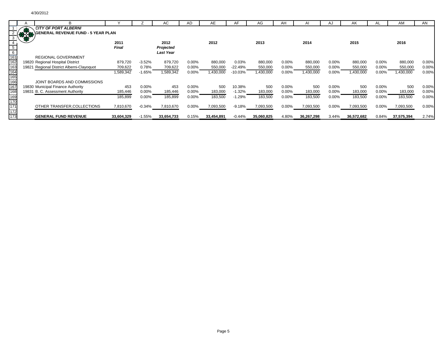|                                 |               | B.                                        |              |          | АC               | AD       | AE         | AF        | AG         | AH    |            | A.       | AΚ         |          | AM         | AN    |
|---------------------------------|---------------|-------------------------------------------|--------------|----------|------------------|----------|------------|-----------|------------|-------|------------|----------|------------|----------|------------|-------|
|                                 |               | <b>CITY OF PORT ALBERNI</b>               |              |          |                  |          |            |           |            |       |            |          |            |          |            |       |
|                                 | $\frac{1}{2}$ | <b>GENERAL REVENUE FUND - 5 YEAR PLAN</b> |              |          |                  |          |            |           |            |       |            |          |            |          |            |       |
|                                 |               |                                           |              |          |                  |          |            |           |            |       |            |          |            |          |            |       |
|                                 |               |                                           | 2011         |          | 2012             |          | 2012       |           | 2013       |       | 2014       |          | 2015       |          | 2016       |       |
|                                 |               |                                           | <b>Final</b> |          | Projected        |          |            |           |            |       |            |          |            |          |            |       |
|                                 |               |                                           |              |          | <b>Last Year</b> |          |            |           |            |       |            |          |            |          |            |       |
|                                 |               | <b>REGIONAL GOVERNMENT</b>                |              |          |                  |          |            |           |            |       |            |          |            |          |            |       |
| $\frac{161}{162}$<br>163        |               | 19820 Regional Hospital District          | 879,720      | $-3.52%$ | 879,720          | 0.00%    | 880,000    | 0.03%     | 880,000    | 0.00% | 880,000    | 0.00%    | 880,000    | $0.00\%$ | 880,000    | 0.00% |
|                                 |               | 19821 Regional District Alberni-Clayoquot | 709,622      | 0.78%    | 709,622          | $0.00\%$ | 550,000    | -22.49%   | 550,000    | 0.00% | 550,000    | 0.00%    | 550,000    | $0.00\%$ | 550,000    | 0.00% |
|                                 |               |                                           | 589,342      | $-1.65%$ | 1,589,342        | 0.00%    | 1,430,000  | $-10.03%$ | ,430,000   | 0.00% | 1,430,000  | 0.00%    | 1,430,000  | $0.00\%$ | ,430,000   | 0.00% |
|                                 |               |                                           |              |          |                  |          |            |           |            |       |            |          |            |          |            |       |
| 164<br>165<br>166<br>167<br>168 |               | JOINT BOARDS AND COMMISSIONS              |              |          |                  |          |            |           |            |       |            |          |            |          |            |       |
|                                 |               | 19830 Municipal Finance Authority         | 453          | 0.00%    | 453              | 0.00%    | 500        | 10.38%    | 500        | 0.00% | 500        | 0.00%    | 500        | $0.00\%$ | 500        | 0.00% |
|                                 |               | 19831 B. C. Assessment Authority          | 185,446      | 0.00%    | 185,446          | $0.00\%$ | 183,000    | $-1.32%$  | 183,000    | 0.00% | 183,000    | $0.00\%$ | 183,000    | $0.00\%$ | 183,000    | 0.00% |
|                                 |               |                                           | 185,899      | 0.00%    | 185,899          | 0.00%    | 183,500    | $-1.29%$  | 183,500    | 0.00% | 183,500    | 0.00%    | 183,500    | 0.00%    | 183,500    | 0.00% |
|                                 |               |                                           |              |          |                  |          |            |           |            |       |            |          |            |          |            |       |
| 169<br>170<br>171               |               | OTHER TRANSFER, COLLECTIONS               | 7,810,670    | $-0.34%$ | 7,810,670        | $0.00\%$ | 7,093,500  | $-9.18%$  | 7,093,500  | 0.00% | 7,093,500  | $0.00\%$ | 7,093,500  | $0.00\%$ | 7,093,500  | 0.00% |
| 172                             |               |                                           |              |          |                  |          |            |           |            |       |            |          |            |          |            |       |
| $\frac{1}{173}$                 |               | <b>GENERAL FUND REVENUE</b>               | 33,604,329   | $-1.55%$ | 33,654,733       | 0.15%    | 33,454,891 | $-0.44%$  | 35,060,825 | 4.80% | 36,267,298 | 3.44%    | 36,572,682 | 0.84%    | 37,575,394 | 2.74% |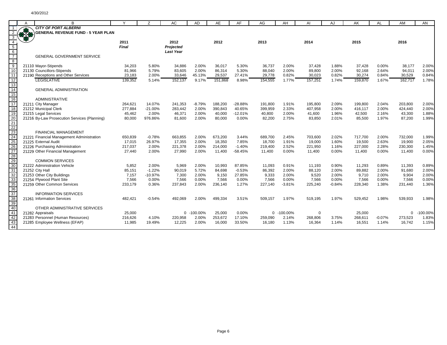|                                            | A  | B                                                                   |                   | $\overline{z}$  | AC                | AD             | AE                | AF               | AG                | AH             | AI                | AJ             | AK                | AL                | AM                | AN             |
|--------------------------------------------|----|---------------------------------------------------------------------|-------------------|-----------------|-------------------|----------------|-------------------|------------------|-------------------|----------------|-------------------|----------------|-------------------|-------------------|-------------------|----------------|
|                                            |    | <b>CITY OF PORT ALBERNI</b>                                         |                   |                 |                   |                |                   |                  |                   |                |                   |                |                   |                   |                   |                |
|                                            | \$ | <b>GENERAL REVENUE FUND - 5 YEAR PLAN</b>                           |                   |                 |                   |                |                   |                  |                   |                |                   |                |                   |                   |                   |                |
|                                            |    |                                                                     |                   |                 |                   |                |                   |                  |                   |                |                   |                |                   |                   |                   |                |
| $\overline{4}$                             |    |                                                                     | 2011              |                 | 2012              |                | 2012              |                  | 2013              |                | 2014              |                | 2015              |                   | 2016              |                |
|                                            |    |                                                                     | <b>Final</b>      |                 | Projected         |                |                   |                  |                   |                |                   |                |                   |                   |                   |                |
| $\begin{array}{c} 5 \\ 6 \\ 7 \end{array}$ |    |                                                                     |                   |                 | <b>Last Year</b>  |                |                   |                  |                   |                |                   |                |                   |                   |                   |                |
|                                            |    | <b>GENERAL GOVERNMENT SERVICE</b>                                   |                   |                 |                   |                |                   |                  |                   |                |                   |                |                   |                   |                   |                |
|                                            |    |                                                                     |                   |                 |                   |                |                   |                  |                   |                |                   |                |                   |                   |                   |                |
| $\overline{9}$                             |    | 21110 Mayor-Stipends                                                | 34,203            | 5.80%           | 34,886            | 2.00%          | 36,017            | 5.30%            | 36,737            | 2.00%          | 37,428            | 1.88%          | 37,428            | 0.00%             | 38,177            | 2.00%          |
| 10                                         |    | 21130 Councillors-Stipends                                          | 81,966            | 5.79%           | 83,605            | 2.00%          | 86,314            | 5.30%            | 88,040            | 2.00%          | 89,800            | 2.00%          | 92.168            | 2.64%             | 94,011            | 2.00%          |
| 11                                         |    | 21190 Receptions and Other Services                                 | 23,183            | 2.00%           | 33,646            | 45.13%         | 29,537            | 27.41%           | 29,778            | 0.82%          | 30,023            | 0.82%          | 30,274            | 0.84%             | 30,529            | 0.84%          |
| 12 <sup>2</sup><br>13                      |    | <b>LEGISLATIVE</b>                                                  | 139.352           | 5.14%           | 152.137           | 9.17%          | 151.868           | 8.98%            | 154,555           | 1.77%          | 157,251           | 1.74%          | 159,870           | 1.67%             | 162.717           | 1.78%          |
| 14                                         |    | <b>GENERAL ADMINISTRATION</b>                                       |                   |                 |                   |                |                   |                  |                   |                |                   |                |                   |                   |                   |                |
| 15                                         |    |                                                                     |                   |                 |                   |                |                   |                  |                   |                |                   |                |                   |                   |                   |                |
| 16                                         |    | <b>ADMINISTRATIVE</b>                                               |                   |                 |                   |                |                   |                  |                   |                |                   |                |                   |                   |                   |                |
| 17                                         |    | 21211 City Manager                                                  | 264.621           | 14.07%          | 241.353           | $-8.79%$       | 188,200           | $-28.88%$        | 191.800           | 1.91%          | 195.800           | 2.09%          | 199.800           | 2.04%             | 203.800           | 2.00%          |
| 18                                         |    | 21212 Municipal Clerk                                               | 277,884           | $-21.00%$       | 283,442           | 2.00%          | 390,843           | 40.65%           | 399,959           | 2.33%          | 407,958           | 2.00%          | 416,117           | 2.00%             | 424,440           | 2.00%          |
| 19                                         |    | 21215 Legal Services                                                | 45,462            | 2.00%           | 46,371            | 2.00%          | 40,000            | $-12.01%$        | 40,800            | 2.00%          | 41,600            | 1.96%          | 42,500            | 2.16%             | 43,300            | 1.88%          |
|                                            |    | 21216 By-Law Prosecution Services (Planning)                        | 80,000            | 976.86%         | 81,600            | 2.00%          | 80,000            | 0.00%            | 82,200            | 2.75%          | 83,850            | 2.01%          | 85,500            | 1.97%             | 87,200            | 1.99%          |
| 20<br>21<br>22                             |    |                                                                     |                   |                 |                   |                |                   |                  |                   |                |                   |                |                   |                   |                   |                |
|                                            |    |                                                                     |                   |                 |                   |                |                   |                  |                   |                |                   |                |                   |                   |                   |                |
|                                            |    | <b>FINANCIAL MANAGEMENT</b>                                         |                   |                 |                   |                |                   |                  |                   |                |                   |                |                   |                   |                   |                |
| $\overline{24}$                            |    | 21221 Financial Management Administration                           | 650,839           | $-0.78%$        | 663,855           | 2.00%          | 673,200           | 3.44%            | 689,700           | 2.45%          | 703,600           | 2.02%          | 717,700           | 2.00%             | 732,000           | 1.99%          |
| 25                                         |    | 21225 External Audit                                                | 17.015            | 26.97%          | 17,355            | 2.00%          | 18,350            | 7.85%            | 18,700            | 1.91%          | 19,000            | 1.60%          | 19,500            | 2.63%             | 19,900            | 2.05%          |
| 26<br>27                                   |    | 21226 Purchasing Administration                                     | 217,037           | 2.00%           | 221,378           | 2.00%          | 214,000           | $-1.40%$         | 219,400           | 2.52%          | 221,950           | 1.16%          | 227,000           | 2.28%             | 230,300           | 1.45%          |
|                                            |    | 21229 Other Financial Management                                    | 27,440            | 2.00%           | 27,990            | 2.00%          | 11,400            | $-58.45%$        | 11,400            | 0.00%          | 11,400            | 0.00%          | 11,400            | 0.00%             | 11,400            | 0.00%          |
|                                            |    | <b>COMMON SERVICES</b>                                              |                   |                 |                   |                |                   |                  |                   |                |                   |                |                   |                   |                   |                |
| $\frac{28}{29}$ $\frac{30}{8}$             |    | 21222 Administration Vehicle                                        | 5,852             | 2.00%           | 5,969             | 2.00%          | 10,993            | 87.85%           | 11,093            | 0.91%          | 11,193            | 0.90%          | 11,293            | 0.89%             | 11,393            | 0.89%          |
| 31                                         |    | 21252 City Hall                                                     | 85,151            | $-1.22%$        | 90,019            | 5.72%          | 84,698            | $-0.53%$         | 86,392            | 2.00%          | 88,120            | 2.00%          | 89,882            | 2.00%             | 91,680            | 2.00%          |
| 32                                         |    | 21253 Other City Buildings                                          | 7,157             | $-10.97%$       | 7.300             | 2.00%          | 9.150             | 27.85%           | 9,333             | 2.00%          | 9.520             | 2.00%          | 9.710             | 2.00%             | 9.904             | 2.00%          |
| 33                                         |    | 21254 Plywood Plant Site                                            | 7,566             | 0.00%           | 7,566             | 0.00%          | 7,566             | 0.00%            | 7,566             | 0.00%          | 7,566             | 0.00%          | 7,566             | 0.00%             | 7,566             | 0.00%          |
| 35                                         |    | 21259 Other Common Services                                         | 233,179           | 0.36%           | 237,843           | 2.00%          | 236,140           | 1.27%            | 227,140           | $-3.81%$       | 225,240           | $-0.84%$       | 228,340           | 1.38%             | 231,440           | 1.36%          |
| 36<br>37                                   |    |                                                                     |                   |                 |                   |                |                   |                  |                   |                |                   |                |                   |                   |                   |                |
|                                            |    | <b>INFORMATION SERVICES</b>                                         |                   |                 |                   |                |                   |                  |                   |                |                   |                |                   |                   |                   |                |
| $\overline{38}$                            |    | 21261 Information Services                                          | 482,421           | $-0.54%$        | 492,069           | 2.00%          | 499,334           | 3.51%            | 509,157           | 1.97%          | 519,195           | 1.97%          | 529,452           | 1.98%             | 539,933           | 1.98%          |
| 39                                         |    |                                                                     |                   |                 |                   |                |                   |                  |                   |                |                   |                |                   |                   |                   |                |
| 40                                         |    | OTHER ADMINISTRATIVE SERVICES                                       |                   |                 |                   |                |                   |                  |                   |                |                   |                |                   |                   |                   |                |
| 41                                         |    | 21282 Appraisals                                                    | 25,000            |                 |                   | 0 -100.00%     | 25,000            | 0.00%            | 0                 | $-100.00\%$    | 0                 |                | 25,000            |                   | $\Omega$          | $-100.00\%$    |
| 42<br>43                                   |    | 21283 Personnel (Human Resources)<br>21285 Employee Wellness (EFAP) | 216,626<br>11.985 | 4.10%<br>19.49% | 220,958<br>12.225 | 2.00%<br>2.00% | 253,672<br>16,000 | 17.10%<br>33.50% | 259,090<br>16.180 | 2.14%<br>1.13% | 268,806<br>16,364 | 3.75%<br>1.14% | 268,611<br>16,551 | $-0.07%$<br>1.14% | 273,523<br>16,742 | 1.83%<br>1.15% |
| 44                                         |    |                                                                     |                   |                 |                   |                |                   |                  |                   |                |                   |                |                   |                   |                   |                |
|                                            |    |                                                                     |                   |                 |                   |                |                   |                  |                   |                |                   |                |                   |                   |                   |                |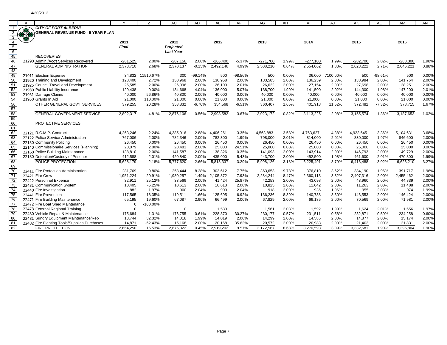|                                                                        | A           | B                                            |              | Z           | AC               | AD.       | AE         | AF        | AG         | AH     | AI         | AJ       | AK         | AL        | AM         | AN    |
|------------------------------------------------------------------------|-------------|----------------------------------------------|--------------|-------------|------------------|-----------|------------|-----------|------------|--------|------------|----------|------------|-----------|------------|-------|
|                                                                        |             | <b>CITY OF PORT ALBERNI</b>                  |              |             |                  |           |            |           |            |        |            |          |            |           |            |       |
|                                                                        | <b>1874</b> | <b>GENERAL REVENUE FUND - 5 YEAR PLAN</b>    |              |             |                  |           |            |           |            |        |            |          |            |           |            |       |
|                                                                        |             |                                              |              |             |                  |           |            |           |            |        |            |          |            |           |            |       |
| $\overline{4}$                                                         |             |                                              | 2011         |             | 2012             |           | 2012       |           | 2013       |        | 2014       |          | 2015       |           | 2016       |       |
|                                                                        |             |                                              | <b>Final</b> |             | Projected        |           |            |           |            |        |            |          |            |           |            |       |
|                                                                        |             |                                              |              |             | <b>Last Year</b> |           |            |           |            |        |            |          |            |           |            |       |
|                                                                        |             | <b>RECOVERIES</b>                            |              |             |                  |           |            |           |            |        |            |          |            |           |            |       |
| $\begin{array}{r} 5 \\ \hline 6 \\ \hline 45 \\ \hline 46 \end{array}$ |             | 21290 Admin./Acc't Services Recovered        | $-281,525$   | 2.00%       | $-287,156$       | 2.00%     | $-266,400$ | $-5.37%$  | $-271,700$ | 1.99%  | $-277,100$ | 1.99%    | $-282,700$ | 2.02%     | $-288,300$ | 1.98% |
| 47                                                                     |             | <b>GENERAL ADMINISTRATION</b>                | 2.373.710    | 2.68%       | 2.370.137        | $-0.15%$  | 2.492.146  | 4.99%     | 2,508,210  | 0.64%  | 2,554,062  | 1.83%    | 2.623.222  | 2.71%     | 2,646,221  | 0.88% |
| 48                                                                     |             |                                              |              |             |                  |           |            |           |            |        |            |          |            |           |            |       |
|                                                                        | 21911       | <b>Election Expense</b>                      | 34,832       | 11510.67%   | 300              | $-99.14%$ | 500        | $-98.56%$ | 500        | 0.00%  | 36,000     | 7100.00% | 500        | $-98.61%$ | 500        | 0.00% |
| 49<br>50                                                               |             | 21920 Training and Development               | 128,400      | 2.72%       | 130,968          | 2.00%     | 130,968    | 2.00%     | 133,585    | 2.00%  | 136,259    | 2.00%    | 138,984    | 2.00%     | 141,764    | 2.00% |
| 51                                                                     |             | 21925 Council Travel and Development         | 25,585       | 2.00%       | 26.096           | 2.00%     | 26.100     | 2.01%     | 26,622     | 2.00%  | 27,154     | 2.00%    | 27,698     | 2.00%     | 28,251     | 2.00% |
| 52                                                                     |             | 21930 Public Liability Insurance             | 129,438      | 0.00%       | 134,668          | 4.04%     | 136,000    | 5.07%     | 138,700    | 1.99%  | 141,500    | 2.02%    | 144,300    | 1.98%     | 147,200    | 2.01% |
|                                                                        |             | 21931 Damage Claims                          | 40,000       | 56.86%      | 40,800           | 2.00%     | 40,000     | 0.00%     | 40,000     | 0.00%  | 40,000     | 0.00%    | 40,000     | 0.00%     | 40,000     | 0.00% |
|                                                                        |             | 21950 Grants In Aid                          | 21,000       | 110.00%     | 21,000           | 0.00%     | 21,000     | 0.00%     | 21,000     | 0.00%  | 21,000     | 0.00%    | 21,000     | $0.00\%$  | 21,000     | 0.00% |
| $\frac{53}{54}$                                                        |             | OTHER GENERAL GOV'T SERVICES                 | 379,255      | 20.28%      | 353,832          | $-6.70%$  | 354,568    | $-6.51%$  | 360,407    | 1.65%  | 401,913    | 11.52%   | 372,482    | $-7.32%$  | 378,715    | 1.67% |
| 57                                                                     |             |                                              |              |             |                  |           |            |           |            |        |            |          |            |           |            |       |
| 58<br>59<br>60                                                         |             | <b>GENERAL GOVERNMENT SERVICE</b>            | 2,892,317    | 4.81%       | 2,876,106        | $-0.56%$  | 2.998.582  | 3.67%     | 3.023.172  | 0.82%  | 3.113.226  | 2.98%    | 3,155,574  | 1.36%     | 3,187,653  | 1.02% |
|                                                                        |             |                                              |              |             |                  |           |            |           |            |        |            |          |            |           |            |       |
|                                                                        |             | <b>PROTECTIVE SERVICES</b>                   |              |             |                  |           |            |           |            |        |            |          |            |           |            |       |
| 61                                                                     |             |                                              |              |             |                  |           |            |           |            |        |            |          |            |           |            |       |
| $\frac{62}{63}$                                                        | 22121       | R.C.M.P. Contract                            | 4,263,246    | 2.24%       | 4,385,916        | 2.88%     | 4,406,261  | 3.35%     | 4,563,883  | 3.58%  | 4,763,627  | 4.38%    | 4,923,645  | 3.36%     | 5,104,631  | 3.68% |
|                                                                        |             | 22122 Police Service Administration          | 767,006      | 2.00%       | 782,346          | 2.00%     | 782,300    | 1.99%     | 798,000    | 2.01%  | 814,000    | 2.01%    | 830,000    | 1.97%     | 846,600    | 2.00% |
|                                                                        |             | 22130 Community Policing                     | 26,450       | 0.00%       | 26,450           | 0.00%     | 26,450     | 0.00%     | 26,450     | 0.00%  | 26,450     | 0.00%    | 26,450     | 0.00%     | 26,450     | 0.00% |
| 65                                                                     |             | 22140 Commissionaire Services (Planning)     | 20,079       | 2.00%       | 20,481           | 2.00%     | 25,000     | 24.51%    | 25,000     | 0.00%  | 25,000     | 0.00%    | 25,000     | 0.00%     | 25,000     | 0.00% |
| 66<br>67                                                               |             | 22160 Police Building Maintenance            | 138,810      | 2.00%       | 141,587          | 2.00%     | 138,326    | $-0.35%$  | 141,093    | 2.00%  | 143,914    | 2.00%    | 146,793    | 2.00%     | 149,729    | 2.00% |
|                                                                        |             | 22180 Detention/Custody of Prisoner          | 412,588      | 2.01%       | 420,840          | 2.00%     | 435,000    | 5.43%     | 443,700    | 2.00%  | 452,500    | 1.98%    | 461,600    | 2.01%     | 470,800    | 1.99% |
| 68                                                                     |             | POLICE PROTECTION                            | 5,628,179    | 2.18%       | 5,777,620        | 2.66%     | 5,813,337  | 3.29%     | 5,998,126  | 3.18%  | 6,225,491  | 3.79%    | 6,413,488  | 3.02%     | 6,623,210  | 3.27% |
| 69                                                                     |             |                                              |              |             |                  |           |            |           |            |        |            |          |            |           |            |       |
| $\overline{70}$                                                        |             | 22411 Fire Protection Administration         | 281.769      | 9.80%       | 258.444          | $-8.28%$  | 303.612    | 7.75%     | 363.653    | 19.78% | 376,810    | 3.62%    | 384,190    | 1.96%     | 391,717    | 1.96% |
| 71                                                                     |             | 22421 Fire Crew                              | 1,951,224    | 20.91%      | 1,980,257        | 1.49%     | 2.105.872  | 7.93%     | 2,284,244  | 8.47%  | 2,360,113  | 3.32%    | 2,407,316  | 2.00%     | 2,455,462  | 2.00% |
| $\overline{72}$                                                        |             | 22422 Personnel Expense                      | 32,911       | 25.12%      | 33,569           | 2.00%     | 41,424     | 25.87%    | 42,253     | 2.00%  | 43,098     | 2.00%    | 43,960     | 2.00%     | 44,839     | 2.00% |
| 73                                                                     |             | 22431 Communication System                   | 10,405       | $-6.25%$    | 10,613           | 2.00%     | 10,613     | 2.00%     | 10,825     | 2.00%  | 11,042     | 2.00%    | 11,263     | 2.00%     | 11,488     | 2.00% |
| 74                                                                     |             | 22440 Fire Investigation                     | 882          | 1.97%       | 900              | 2.04%     | 900        | 2.04%     | 918        | 2.00%  | 936        | 1.96%    | 955        | 2.03%     | 974        | 1.99% |
| 75                                                                     |             | 22441 Fire Prevention                        | 117,565      | 18.35%      | 119,511          | 1.66%     | 125,695    | 6.92%     | 136,236    | 8.39%  | 140,738    | 3.30%    | 143,553    | 2.00%     | 146,424    | 2.00% |
| 76                                                                     |             | 22471 Fire Building Maintenance              | 65,195       | 19.60%      | 67,087           | 2.90%     | 66,499     | 2.00%     | 67,829     | 2.00%  | 69,185     | 2.00%    | 70,569     | 2.00%     | 71,981     | 2.00% |
| 77                                                                     |             | 22472 Fire Boat Shed Maintenance             | $\Omega$     | $-100.00\%$ |                  |           |            |           |            |        |            |          |            |           |            |       |
| 78                                                                     |             | 22473 External Regional Training             | $\Omega$     |             | $\Omega$         |           | 1,530      |           | 1,561      | 2.03%  | 1,592      | 1.99%    | 1,624      | 2.01%     | 1,656      | 1.97% |
| 79                                                                     |             | 22480 Vehicle Repair & Maintenance           | 175,684      | 1.31%       | 176,755          | 0.61%     | 228,870    | 30.27%    | 230,177    | 0.57%  | 231,511    | 0.58%    | 232,871    | 0.59%     | 234,258    | 0.60% |
| 80                                                                     |             | 22481 Sundry Equipment Maintenance/Rep       | 13,744       | 32.32%      | 14,018           | 1.99%     | 14,019     | 2.00%     | 14,299     | 2.00%  | 14,585     | 2.00%    | 14,877     | 2.00%     | 15,174     | 2.00% |
| 81                                                                     |             | 22482 Fire Fighting Tools/Supplies Purchases | 14,871       | $-62.43%$   | 15,168           | 2.00%     | 20,168     | 35.62%    | 20,572     | 2.00%  | 20,983     | 2.00%    | 21,403     | 2.00%     | 21,831     | 2.00% |
| 82                                                                     |             | <b>FIRE PROTECTION</b>                       | 2,664,250    | 16.53%      | 2,676,322        | 0.45%     | 2,919,202  | 9.57%     | 3.172.567  | 8.68%  | 3,270,593  | 3.09%    | 3,332,581  | 1.90%     | 3,395,804  | 1.90% |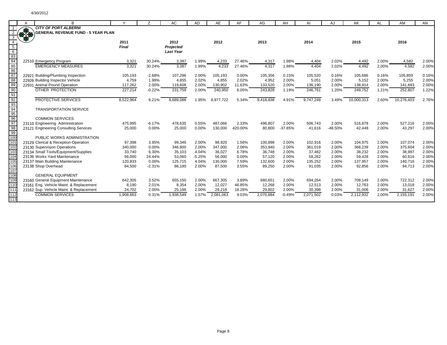|                                                       |    | В                                         | $\checkmark$ | Z        | AC               | <b>AD</b> | AE        | AF      | AG        | AH        | AI        | AJ      | AK         | AL    | AM         | AN    |
|-------------------------------------------------------|----|-------------------------------------------|--------------|----------|------------------|-----------|-----------|---------|-----------|-----------|-----------|---------|------------|-------|------------|-------|
|                                                       |    | <b>CITY OF PORT ALBERNI</b>               |              |          |                  |           |           |         |           |           |           |         |            |       |            |       |
|                                                       | 好好 | <b>GENERAL REVENUE FUND - 5 YEAR PLAN</b> |              |          |                  |           |           |         |           |           |           |         |            |       |            |       |
|                                                       |    |                                           |              |          |                  |           |           |         |           |           |           |         |            |       |            |       |
|                                                       |    |                                           | 2011         |          | 2012             |           | 2012      |         | 2013      |           | 2014      |         | 2015       |       | 2016       |       |
| 5<br>$6\overline{6}$                                  |    |                                           | <b>Final</b> |          | Projected        |           |           |         |           |           |           |         |            |       |            |       |
| 83                                                    |    |                                           |              |          | <b>Last Year</b> |           |           |         |           |           |           |         |            |       |            |       |
| $\frac{1}{84}$                                        |    | 22510 Emergency Program                   | 3,321        | 30.24%   | 3,387            | 1.99%     | 4,233     | 27.46%  | 4,317     | 1.98%     | 4,404     | 2.02%   | 4,492      | 2.00% | 4,582      | 2.00% |
| $\frac{1}{85}$                                        |    | <b>EMERGENCY MEASURES</b>                 | 3,321        | 30.24%   | 3,387            | 1.99%     | 4,233     | 27.46%  | 4,317     | 1.98%     | 4,404     | 2.02%   | 4,492      | 2.00% | 4,582      | 2.00% |
| 86                                                    |    |                                           |              |          |                  |           |           |         |           |           |           |         |            |       |            |       |
| 87                                                    |    | 22921 Building/Plumbing Inspection        | 105,193      | $-2.68%$ | 107,296          | 2.00%     | 105,193   | 0.00%   | 105,356   | 0.15%     | 105,520   | 0.16%   | 105,686    | 0.16% | 105,859    | 0.16% |
| 88                                                    |    | 22926 Building Inspector Vehicle          | 4,759        | 1.99%    | 4,855            | 2.02%     | 4,855     | 2.02%   | 4,952     | 2.00%     | 5,051     | 2.00%   | 5,152      | 2.00% | 5,255      | 2.00% |
| 89                                                    |    | 22931 Animal Pound Operation              | 117,262      | 2.00%    | 119,608          | 2.00%     | 130,902   | 11.63%  | 133,520   | 2.00%     | 136,190   | 2.00%   | 138,914    | 2.00% | 141,693    | 2.00% |
| $\frac{1}{90}$                                        |    | OTHER PROTECTION                          | 227,214      | $-0.22%$ | 231,759          | 2.00%     | 240,950   | 6.05%   | 243,828   | 1.19%     | 246,761   | 1.20%   | 249,752    | 1.21% | 252,807    | 1.22% |
|                                                       |    |                                           |              |          |                  |           |           |         |           |           |           |         |            |       |            |       |
| $\frac{91}{92}$<br>$\frac{92}{93}$<br>$\frac{93}{95}$ |    | <b>PROTECTIVE SERVICES</b>                | 8,522,964    | 6.21%    | 8,689,088        | 1.95%     | 8,977,722 | 5.34%   | 9.418.838 | 4.91%     | 9,747,249 | 3.49%   | 10,000,313 | 2.60% | 10,276,403 | 2.76% |
|                                                       |    |                                           |              |          |                  |           |           |         |           |           |           |         |            |       |            |       |
|                                                       |    | <b>TRANSPORTATION SERVICE</b>             |              |          |                  |           |           |         |           |           |           |         |            |       |            |       |
| $\frac{1}{96}$                                        |    |                                           |              |          |                  |           |           |         |           |           |           |         |            |       |            |       |
|                                                       |    | <b>COMMON SERVICES</b>                    |              |          |                  |           |           |         |           |           |           |         |            |       |            |       |
| 97<br>$\frac{1}{98}$                                  |    | 23110 Engineering Administration          | 475,995      | $-6.17%$ | 478,635          | 0.55%     | 487,066   | 2.33%   | 496,807   | 2.00%     | 506,743   | 2.00%   | 516,878    | 2.00% | 527,216    | 2.00% |
| 99                                                    |    | 23121 Engineering Consulting Services     | 25,000       | 0.00%    | 25,000           | 0.00%     | 130,000   | 420.00% | 80,800    | $-37.85%$ | 41,616    | -48.50% | 42.448     | 2.00% | 43,297     | 2.00% |
| 100                                                   |    | PUBLIC WORKS ADMINISTRATION               |              |          |                  |           |           |         |           |           |           |         |            |       |            |       |
| 101                                                   |    | 23129 Clerical & Reception-Operation      | 97,398       | 3.95%    | 99,346           | 2.00%     | 98,920    | 1.56%   | 100,898   | 2.00%     | 102,916   | 2.00%   | 104,975    | 2.00% | 107,074    | 2.00% |
| 102                                                   |    | 23130 Supervision Operations              | 340,000      | 0.00%    | 346,800          | 2.00%     | 347,000   | 2.06%   | 353,940   | 2.00%     | 361,019   | 2.00%   | 368,239    | 2.00% | 375,604    | 2.00% |
| 103                                                   |    | 23134 Small Tools/Equipment/Supplies      | 33.740       | 6.30%    | 35,103           | 4.04%     | 36,027    | 6.78%   | 36,748    | 2.00%     | 37,482    | 2.00%   | 38,232     | 2.00% | 38,997     | 2.00% |
| 104                                                   |    | 23136 Works Yard Maintenance              | 56,000       | 24.44%   | 53,060           | $-5.25%$  | 56,000    | 0.00%   | 57,120    | 2.00%     | 58,262    | 2.00%   | 59.428     | 2.00% | 60,616     | 2.00% |
| 105                                                   |    | 23137 Main Building Maintenance           | 120,833      | 0.00%    | 125,715          | 4.04%     | 130,000   | 7.59%   | 132,600   | 2.00%     | 135,252   | 2.00%   | 137,957    | 2.00% | 140,716    | 2.00% |
| 106                                                   |    | 23138 Shop Overhead                       | 84,500       | $-2.31%$ | 86,190           | 2.00%     | 87,500    | 3.55%   | 89,250    | 2.00%     | 91,035    | 2.00%   | 92,856     | 2.00% | 94,713     | 2.00% |
| 107                                                   |    |                                           |              |          |                  |           |           |         |           |           |           |         |            |       |            |       |
| 108                                                   |    | <b>GENERAL EQUIPMENT</b>                  |              |          |                  |           |           |         |           |           |           |         |            |       |            |       |
| 10 <sub>S</sub>                                       |    | 23160 General Equipment Maintenance       | 642,305      | 3.52%    | 655,150          | 2.00%     | 667,305   | 3.89%   | 680,651   | 2.00%     | 694,264   | 2.00%   | 708,149    | 2.00% | 722,312    | 2.00% |
| 11C                                                   |    | 23161 Eng. Vehicle Maint. & Replacement   | 8,190        | 2.01%    | 8,354            | 2.00%     | 12,027    | 46.85%  | 12,268    | 2.00%     | 12,513    | 2.00%   | 12,763     | 2.00% | 13,018     | 2.00% |
| 111                                                   |    | 23162 Sup. Vehicle Maint. & Replacement   | 24,702       | 2.00%    | 25,196           | 2.00%     | 29,218    | 18.28%  | 29,802    | 2.00%     | 30,398    | 2.00%   | 31,006     | 2.00% | 31,627     | 2.00% |
| 112                                                   |    | <b>COMMON SERVICES</b>                    | 1,908,663    | 0.31%    | 1,938,549        | 1.57%     | 2,081,063 | 9.03%   | 2,070,884 | $-0.49%$  | 2,071,502 | 0.03%   | 2,112,932  | 2.00% | 2,155,191  | 2.00% |
| 113                                                   |    |                                           |              |          |                  |           |           |         |           |           |           |         |            |       |            |       |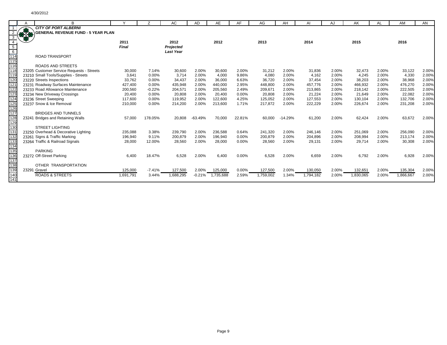|                                        |       | B                                         |           |          | AC               |           | AE        | AF     | AG        | AH        |           |       |           |       | AM       | AN    |
|----------------------------------------|-------|-------------------------------------------|-----------|----------|------------------|-----------|-----------|--------|-----------|-----------|-----------|-------|-----------|-------|----------|-------|
|                                        |       | <b>CITY OF PORT ALBERNI</b>               |           |          |                  | AD        |           |        |           |           | AI        | AJ    | AK        | AL    |          |       |
|                                        | Ba    | <b>GENERAL REVENUE FUND - 5 YEAR PLAN</b> |           |          |                  |           |           |        |           |           |           |       |           |       |          |       |
|                                        |       |                                           |           |          |                  |           |           |        |           |           |           |       |           |       |          |       |
|                                        |       |                                           | 2011      |          | 2012             |           | 2012      |        | 2013      |           | 2014      |       | 2015      |       | 2016     |       |
| $5\overline{)}$                        |       |                                           | Final     |          | Projected        |           |           |        |           |           |           |       |           |       |          |       |
| $6\overline{6}$                        |       |                                           |           |          | <b>Last Year</b> |           |           |        |           |           |           |       |           |       |          |       |
| 114                                    |       | <b>ROAD TRANSPORT</b>                     |           |          |                  |           |           |        |           |           |           |       |           |       |          |       |
| 115                                    |       |                                           |           |          |                  |           |           |        |           |           |           |       |           |       |          |       |
| 116                                    |       | <b>ROADS AND STREETS</b>                  |           |          |                  |           |           |        |           |           |           |       |           |       |          |       |
| 118                                    |       | 23205 Customer Service Requests - Streets | 30,000    | 7.14%    | 30,600           | 2.00%     | 30,600    | 2.00%  | 31,212    | 2.00%     | 31,836    | 2.00% | 32,473    | 2.00% | 33,122   | 2.00% |
| 11 <sup>c</sup>                        |       | 23210 Small Tools/Supplies - Streets      | 3,641     | 0.00%    | 3.714            | 2.00%     | 4,000     | 9.86%  | 4,080     | 2.00%     | 4,162     | 2.00% | 4,245     | 2.00% | 4,330    | 2.00% |
| 120                                    |       | 23220 Streets Inspections                 | 33,762    | 0.00%    | 34,437           | 2.00%     | 36,000    | 6.63%  | 36,720    | 2.00%     | 37,454    | 2.00% | 38,203    | 2.00% | 38,968   | 2.00% |
|                                        |       | 23231 Roadway Surfaces Maintenance        | 427,400   | 0.00%    | 435,948          | 2.00%     | 440,000   | 2.95%  | 448,800   | 2.00%     | 457,776   | 2.00% | 466,932   | 2.00% | 476,270  | 2.00% |
|                                        |       | 23233 Road Allowance Maintenance          | 200,560   | $-0.22%$ | 204,571          | 2.00%     | 205,560   | 2.49%  | 209,671   | 2.00%     | 213,865   | 2.00% | 218,142   | 2.00% | 222,505  | 2.00% |
| $\frac{121}{122}$<br>$\frac{122}{123}$ |       | 23234 New Driveway Crossings              | 20,400    | 0.00%    | 20,808           | 2.00%     | 20,400    | 0.00%  | 20,808    | 2.00%     | 21,224    | 2.00% | 21,649    | 2.00% | 22,082   | 2.00% |
| 124                                    |       | 23236 Street Sweeping                     | 117,600   | 0.00%    | 119,952          | 2.00%     | 122,600   | 4.25%  | 125,052   | 2.00%     | 127,553   | 2.00% | 130,104   | 2.00% | 132,706  | 2.00% |
|                                        |       | 23237 Snow & Ice Removal                  | 210,000   | 0.00%    | 214,200          | 2.00%     | 213,600   | 1.71%  | 217,872   | 2.00%     | 222,229   | 2.00% | 226,674   | 2.00% | 231,208  | 2.00% |
| $\frac{125}{126}$ $\frac{126}{127}$    |       |                                           |           |          |                  |           |           |        |           |           |           |       |           |       |          |       |
|                                        |       | <b>BRIDGES AND TUNNELS</b>                |           |          |                  |           |           |        |           |           |           |       |           |       |          |       |
|                                        |       | 23241 Bridges and Retaining Walls         | 57,000    | 178.05%  | 20,808           | $-63.49%$ | 70,000    | 22.81% | 60.000    | $-14.29%$ | 61,200    | 2.00% | 62,424    | 2.00% | 63,672   | 2.00% |
| 128<br>129                             |       |                                           |           |          |                  |           |           |        |           |           |           |       |           |       |          |       |
| $\frac{1}{130}$                        |       | <b>STREET LIGHTING</b>                    |           |          |                  |           |           |        |           |           |           |       |           |       |          |       |
| 131                                    |       | 23250 Overhead & Decorative Lighting      | 235,088   | 3.38%    | 239,790          | 2.00%     | 236,588   | 0.64%  | 241,320   | 2.00%     | 246,146   | 2.00% | 251,069   | 2.00% | 256,090  | 2.00% |
| 132                                    |       | 23261 Signs & Traffic Marking             | 196,940   | 9.11%    | 200,879          | 2.00%     | 196,940   | 0.00%  | 200,879   | 2.00%     | 204,896   | 2.00% | 208,994   | 2.00% | 213,174  | 2.00% |
| 133<br>134<br>135<br>136<br>137        |       | 23264 Traffic & Railroad Signals          | 28,000    | 12.00%   | 28,560           | 2.00%     | 28,000    | 0.00%  | 28,560    | 2.00%     | 29,131    | 2.00% | 29,714    | 2.00% | 30,308   | 2.00% |
|                                        |       |                                           |           |          |                  |           |           |        |           |           |           |       |           |       |          |       |
|                                        |       | <b>PARKING</b>                            |           |          |                  |           |           |        |           |           |           |       |           |       |          |       |
|                                        |       | 23272 Off-Street Parking                  | 6,400     | 18.47%   | 6,528            | 2.00%     | 6,400     | 0.00%  | 6,528     | 2.00%     | 6,659     | 2.00% | 6,792     | 2.00% | 6,928    | 2.00% |
|                                        |       |                                           |           |          |                  |           |           |        |           |           |           |       |           |       |          |       |
| 138                                    |       | OTHER TRANSPORTATION                      |           |          |                  |           |           |        |           |           |           |       |           |       |          |       |
| 139                                    | 23291 | Gravel                                    | 125,000   | $-7.41%$ | 127,500          | 2.00%     | 125,000   | 0.00%  | 127,500   | 2.00%     | 130,050   | 2.00% | 132,651   | 2.00% | 135,304  | 2.00% |
| 140                                    |       | <b>ROADS &amp; STREETS</b>                | 1,691,791 | 3.44%    | 1,688,295        | $-0.21%$  | 1,735,688 | 2.59%  | 1,759,002 | 1.34%     | 1,794,182 | 2.00% | 1,830,065 | 2.00% | ,866,667 | 2.00% |
| 141                                    |       |                                           |           |          |                  |           |           |        |           |           |           |       |           |       |          |       |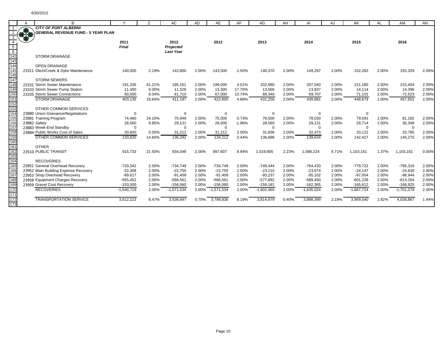|                                      | R                                                          |              |        | AC               | AD    | AE           | AF       | AG           | AH    | Al           | AJ    | AK           | AL    | AM           | AN    |
|--------------------------------------|------------------------------------------------------------|--------------|--------|------------------|-------|--------------|----------|--------------|-------|--------------|-------|--------------|-------|--------------|-------|
|                                      | <b>CITY OF PORT ALBERNI</b>                                |              |        |                  |       |              |          |              |       |              |       |              |       |              |       |
|                                      | <b>GENERAL REVENUE FUND - 5 YEAR PLAN</b>                  |              |        |                  |       |              |          |              |       |              |       |              |       |              |       |
|                                      |                                                            |              |        |                  |       |              |          |              |       |              |       |              |       |              |       |
|                                      |                                                            | 2011         |        | 2012             |       | 2012         |          | 2013         |       | 2014         |       | 2015         |       | 2016         |       |
| $5\overline{)}$                      |                                                            | <b>Final</b> |        | Projected        |       |              |          |              |       |              |       |              |       |              |       |
| $\frac{6}{142}$<br>$\frac{143}{144}$ |                                                            |              |        | <b>Last Year</b> |       |              |          |              |       |              |       |              |       |              |       |
|                                      | <b>STORM DRAINAGE</b>                                      |              |        |                  |       |              |          |              |       |              |       |              |       |              |       |
|                                      |                                                            |              |        |                  |       |              |          |              |       |              |       |              |       |              |       |
|                                      | <b>OPEN DRAINAGE</b>                                       |              |        |                  |       |              |          |              |       |              |       |              |       |              |       |
| 145<br>146                           | 23311 Ditch/Creek & Dyke Maintenance                       | 140,000      | 2.19%  | 142,800          | 2.00% | 143,500      | 2.50%    | 146.370      | 2.00% | 149,297      | 2.00% | 152,283      | 2.00% | 155,329      | 2.00% |
| 147                                  |                                                            |              |        |                  |       |              |          |              |       |              |       |              |       |              |       |
|                                      | <b>STORM SEWERS</b>                                        |              |        |                  |       |              |          |              |       |              |       |              |       |              |       |
| 148                                  | 23331 Storm Sewer Maintenance                              | 191,335      | 41.21% | 195,161          | 2.00% | 199,000      | 4.01%    | 202,980      | 2.00% | 207,040      | 2.00% | 211.180      | 2.00% | 215,404      | 2.00% |
| 14 <sub>S</sub>                      | 23333 Storm Sewer Pump Station                             | 11,300       | 0.00%  | 11,526           | 2.00% | 13,300       | 17.70%   | 13,566       | 2.00% | 13,837       | 2.00% | 14,114       | 2.00% | 14,396       | 2.00% |
| 15 <sub>C</sub>                      | 23335 Storm Sewer Connections                              | 60,500       | 8.04%  | 61,710           | 2.00% | 67,000       | 10.74%   | 68,340       | 2.00% | 69,707       | 2.00% | 71,101       | 2.00% | 72,523       | 2.00% |
| 151                                  | <b>STORM DRAINAGE</b>                                      | 403,135      | 18.64% | 411.197          | 2.00% | 422,800      | 4.88%    | 431,256      | 2.00% | 439,881      | 2.00% | 448,679      | 2.00% | 457,652      | 2.00% |
| 152<br>153                           |                                                            |              |        |                  |       |              |          |              |       |              |       |              |       |              |       |
|                                      | OTHER COMMON SERVICES                                      |              |        |                  |       |              |          |              |       |              |       |              |       |              |       |
| 154<br>155                           | 23880 Union Grievance/Negotiations                         | 0            |        | $\Omega$         |       | 0            |          | 0            |       | 0            |       | $\Omega$     |       |              |       |
|                                      | 23881 Training Program                                     | 74,460       | 24.10% | 75,949           | 2.00% | 75,000       | 0.73%    | 76,500       | 2.00% | 78,030       | 2.00% | 79,591       | 2.00% | 81,182       | 2.00% |
| 156                                  | 23882 Safety                                               | 28,560       | 9.85%  | 29,131           | 2.00% | 28,000       | $-1.96%$ | 28,560       | 2.00% | 29,131       | 2.00% | 29,714       | 2.00% | 30,308       | 2.00% |
| 157<br>158                           | 23883 Week-End Standby<br>23884 Public Works Cost of Sales | $\mathbf 0$  |        | $\Omega$         |       | $\Omega$     |          | $\Omega$     |       | 0            |       | $\Omega$     |       | $\Omega$     | 2.00% |
| 159                                  |                                                            | 30,600       | 0.00%  | 31,212           | 2.00% | 31,212       | 2.00%    | 31,836       | 2.00% | 32,473       | 2.00% | 33,122       | 2.00% | 33,785       |       |
| 160                                  | OTHER COMMON SERVICES                                      | 133,620      | 14.60% | 136,292          | 2.00% | 134,212      | 0.44%    | 136,896      | 2.00% | 139,634      | 2.00% | 142,427      | 2.00% | 145,275      | 2.00% |
| $\frac{1}{161}$                      | <b>OTHER</b>                                               |              |        |                  |       |              |          |              |       |              |       |              |       |              |       |
| 162                                  | 23510 PUBLIC TRANSIT                                       | 915,733      | 21.50% | 934,048          | 2.00% | 997,607      | 8.94%    | 1,019,805    | 2.23% | 1,088,224    | 6.71% | 1,103,161    | 1.37% | 1,103,161    | 0.00% |
| 163                                  |                                                            |              |        |                  |       |              |          |              |       |              |       |              |       |              |       |
| 164                                  | <b>RECOVERIES</b>                                          |              |        |                  |       |              |          |              |       |              |       |              |       |              |       |
| 165                                  | 23951 General Overhead Recovery                            | $-720,342$   | 2.00%  | $-734,749$       | 2.00% | $-734,749$   | 2.00%    | $-749,444$   | 2.00% | $-764,433$   | 2.00% | $-779,722$   | 2.00% | $-795,316$   | 2.00% |
| 166                                  | 23952 Main Building Expense Recovery                       | $-22,308$    | 2.00%  | $-22,755$        | 2.00% | $-22,755$    | 2.00%    | $-23,210$    | 2.00% | $-23,674$    | 2.00% | $-24,147$    | 2.00% | $-24,630$    | 2.00% |
| 167                                  | 23953 Shop Overhead Recovery                               | $-89,617$    | 2.00%  | $-91,409$        | 2.00% | $-91,409$    | 2.00%    | $-93,237$    | 2.00% | $-95,102$    | 2.00% | $-97,004$    | 2.00% | $-98,944$    | 2.00% |
| 168                                  | 23958 Equipment Charges Recovery                           | $-555,452$   | 2.00%  | $-566,561$       | 2.00% | $-566,561$   | 2.00%    | $-577,892$   | 2.00% | $-589,450$   | 2.00% | $-601,239$   | 2.00% | $-613,264$   | 2.00% |
| 169                                  | 23959 Gravel Cost Recovery                                 | $-153,000$   | 2.00%  | $-156,060$       | 2.00% | $-156,060$   | 2.00%    | $-159,181$   | 2.00% | $-162,365$   | 2.00% | $-165,612$   | 2.00% | $-168,925$   | 2.00% |
| 170                                  | <b>RECOVERIES</b>                                          | $-1,540,719$ | 2.00%  | $-1,571,534$     | 2.00% | $-1,571,534$ | 2.00%    | $-1,602,965$ | 2.00% | $-1,635,024$ | 2.00% | $-1,667,724$ | 2.00% | $-1,701,079$ | 2.00% |
| 171                                  |                                                            |              |        |                  |       |              |          |              |       |              |       |              |       |              |       |
| 172                                  | <b>TRANSPORTATION SERVICE</b>                              | 3,512,223    | 8.47%  | 3,536,847        | 0.70% | 3,799,836    | 8.19%    | 3,814,879    | 0.40% | 3,898,399    | 2.19% | 3,969,540    | 1.82% | 4,026,867    | 1.44% |
| 173                                  |                                                            |              |        |                  |       |              |          |              |       |              |       |              |       |              |       |
|                                      |                                                            |              |        |                  |       |              |          |              |       |              |       |              |       |              |       |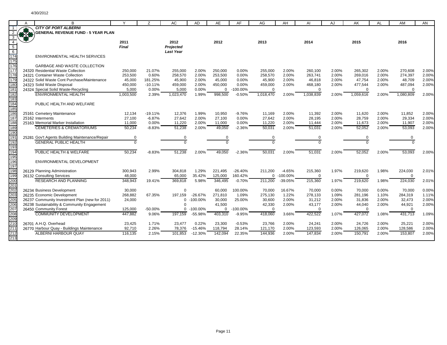|                   | A  |                                                                              |                   |           | AC               | AD                       | AE                | AF              | AG                | AH             | Al                | AJ             | AK                | AI             | AM                | AN             |
|-------------------|----|------------------------------------------------------------------------------|-------------------|-----------|------------------|--------------------------|-------------------|-----------------|-------------------|----------------|-------------------|----------------|-------------------|----------------|-------------------|----------------|
|                   |    | <b>CITY OF PORT ALBERNI</b>                                                  |                   |           |                  |                          |                   |                 |                   |                |                   |                |                   |                |                   |                |
|                   | 35 | <b>GENERAL REVENUE FUND - 5 YEAR PLAN</b>                                    |                   |           |                  |                          |                   |                 |                   |                |                   |                |                   |                |                   |                |
| 3                 |    |                                                                              |                   |           |                  |                          |                   |                 |                   |                |                   |                |                   |                |                   |                |
|                   |    |                                                                              | 2011              |           | 2012             |                          | 2012              |                 | 2013              |                | 2014              |                | 2015              |                | 2016              |                |
| 5                 |    |                                                                              | <b>Final</b>      |           | Projected        |                          |                   |                 |                   |                |                   |                |                   |                |                   |                |
| $6\overline{6}$   |    |                                                                              |                   |           | <b>Last Year</b> |                          |                   |                 |                   |                |                   |                |                   |                |                   |                |
| 174               |    | <b>ENVIRONMENTAL HEALTH SERVICES</b>                                         |                   |           |                  |                          |                   |                 |                   |                |                   |                |                   |                |                   |                |
| 175               |    |                                                                              |                   |           |                  |                          |                   |                 |                   |                |                   |                |                   |                |                   |                |
| 176               |    | <b>GARBAGE AND WASTE COLLECTION</b>                                          |                   |           |                  |                          |                   |                 |                   |                |                   |                |                   |                |                   |                |
| 177               |    | 24320 Residential Waste Collection                                           | 250,000           | 21.07%    | 255,000          | 2.00%                    | 250,000           | 0.00%           | 255,000           | 2.00%          | 260,100           | 2.00%          | 265,302           | 2.00%          | 270,608           | 2.00%          |
| 178               |    | 24321 Container Waste Collection                                             | 253,500           | 0.60%     | 258,570          | 2.00%                    | 253,500           | 0.00%           | 258,570           | 2.00%          | 263,741           | 2.00%          | 269,016           | 2.00%          | 274,397           | 2.00%          |
| 17 <sub>S</sub>   |    | 24322 Solid Waste Cont Purchase/Maintenance                                  | 45,000            | 181.25%   | 45,900           | 2.00%                    | 45,000            | 0.00%           | 45,900            | 2.00%          | 46,818            | 2.00%          | 47,754            | 2.00%          | 48,709            | 2.00%          |
| 180               |    | 24323 Solid Waste Disposal                                                   | 450.000           | $-10.11%$ | 459,000          | 2.00%                    | 450.000           | 0.00%           | 459,000           | 2.00%          | 468,180           | 2.00%          | 477,544           | 2.00%          | 487,094           | 2.00%          |
| 181               |    | 24324 Special Solid Waste-Recycling                                          | 5,000             | 0.00%     | 5,000            | 0.00%                    | $\mathbf{0}$      | $-100.00\%$     | $\Omega$          |                | $\overline{0}$    |                | $\Omega$          |                | $\Omega$          |                |
| 182               |    | ENVIRONMENTAL HEALTH                                                         | 1,003,500         | 2.39%     | 1,023,470        | 1.99%                    | 998,500           | $-0.50%$        | 1.018.470         | 2.00%          | 1.038.839         | 2.00%          | 1.059.616         | 2.00%          | 1.080.809         | 2.00%          |
| 183<br>184        |    | PUBLIC HEALTH AND WELFARE                                                    |                   |           |                  |                          |                   |                 |                   |                |                   |                |                   |                |                   |                |
| 185               |    |                                                                              |                   |           |                  |                          |                   |                 |                   |                |                   |                |                   |                |                   |                |
| 186               |    | 25161 Cemetery Maintenance                                                   | 12,134            | $-19.11%$ | 12.376           | 1.99%                    | 10,950            | $-9.76%$        | 11.169            | 2.00%          | 11,392            | 2.00%          | 11,620            | 2.00%          | 11,852            | 2.00%          |
| 187               |    | 25162 Interments                                                             | 27,100            | $-6.87%$  | 27,642           | 2.00%                    | 27.100            | 0.00%           | 27,642            | 2.00%          | 28,195            | 2.00%          | 28,759            | 2.00%          | 29,334            | 2.00%          |
| 188               |    | 25163 Memorial Marker Installation                                           | 11,000            | 0.00%     | 11,220           | 2.00%                    | 11,000            | 0.00%           | 11,220            | 2.00%          | 11,444            | 2.00%          | 11,673            | 2.00%          | 11,907            | 2.00%          |
| 18 <sub>S</sub>   |    | <b>CEMETERIES &amp; CREMATORIUMS</b>                                         | 50,234            | $-8.83%$  | 51,238           | 2.00%                    | 49,050            | $-2.36%$        | 50,031            | 2.00%          | 51,031            | 2.00%          | 52,052            | 2.00%          | 53,093            | 2.00%          |
| 190               |    |                                                                              |                   |           |                  |                          |                   |                 |                   |                |                   |                |                   |                |                   |                |
| $\frac{191}{192}$ |    | 25281 Gov't Agents Building Maintenance/Repair                               | $\Omega$          |           |                  |                          |                   |                 |                   |                |                   |                |                   |                |                   |                |
|                   |    | <b>GENERAL PUBLIC HEALTH</b>                                                 |                   |           |                  |                          |                   |                 |                   |                |                   |                |                   |                |                   |                |
| 193               |    |                                                                              |                   |           |                  |                          |                   |                 |                   |                |                   |                |                   |                |                   |                |
| 194               |    | PUBLIC HEALTH & WELFARE                                                      | 50.234            | $-8.83%$  | 51.238           | 2.00%                    | 49.050            | $-2.36%$        | 50.031            | 2.00%          | 51.031            | 2.00%          | 52,052            | 2.00%          | 53,093            | 2.00%          |
| 195               |    |                                                                              |                   |           |                  |                          |                   |                 |                   |                |                   |                |                   |                |                   |                |
| 196               |    | <b>ENVIRONMENTAL DEVELOPMENT</b>                                             |                   |           |                  |                          |                   |                 |                   |                |                   |                |                   |                |                   |                |
| 197               |    |                                                                              |                   |           |                  |                          |                   |                 |                   |                |                   |                |                   |                |                   |                |
| 198               |    | 26129 Planning Administration                                                | 300,943           | 2.99%     | 304,818          | 1.29%                    | 221,495           | $-26.40%$       | 211,200           | $-4.65%$       | 215,360           | 1.97%          | 219,620           | 1.98%          | 224,030           | 2.01%          |
| 199               |    | 26132 Consulting Services                                                    | 48,000            |           | 65,000           | 35.42%                   | 125,000           | 160.42%         |                   | $0 - 100.00\%$ | $\mathbf 0$       |                | $\Omega$          |                | $\mathbf 0$       |                |
| 200               |    | <b>RESEARCH AND PLANNING</b>                                                 | 348,943           | 19.41%    | 369.818          | 5.98%                    | 346.495           | $-0.70%$        | 211,200           | $-39.05%$      | 215,360           | 1.97%          | 219,620           | 1.98%          | 224,030           | 2.01%          |
| 201               |    |                                                                              |                   |           |                  |                          |                   |                 |                   |                |                   |                |                   |                |                   |                |
| 202<br>203        |    | 26234 Business Development                                                   | 30,000            |           | $\Omega$         |                          | 60.000            | 100.00%         | 70.000            | 16.67%         | 70,000            | 0.00%          | 70.000            | 0.00%          | 70,000            | 0.00%          |
|                   |    | 26235 Economic Development<br>26237 Community Investment Plan (new for 2011) | 268,882<br>24,000 | 67.35%    | 197,159<br>0     | $-26.67%$<br>$-100.00\%$ | 271,810<br>30,000 | 1.09%<br>25.00% | 275,130<br>30,600 | 1.22%<br>2.00% | 278,133<br>31,212 | 1.09%<br>2.00% | 281,196<br>31,836 | 1.10%<br>2.00% | 284,319<br>32,473 | 1.11%<br>2.00% |
| 205<br>206        |    | 26238 Sustainability & Community Engagement                                  |                   |           | $\Omega$         |                          | 41,500            |                 | 42,330            | 2.00%          | 43,177            | 2.00%          | 44,040            | 2.00%          | 44,921            | 2.00%          |
|                   |    | 26450 Community Forest                                                       | 125,000           | -50.00%   | $\Omega$         | $-100.00\%$              | $\Omega$          | $-100.00\%$     | $\Omega$          |                | $\Omega$          |                | $\Omega$          |                | $\Omega$          |                |
| $\frac{207}{208}$ |    | <b>COMMUNITY DEVELOPMENT</b>                                                 | 447.882           | 9.06%     | 197,159          | $-55.98%$                | 403,310           | $-9.95%$        | 418,060           | 3.66%          | 422,522           | 1.07%          | 427,072           | 1.08%          | 431,713           | 1.09%          |
|                   |    |                                                                              |                   |           |                  |                          |                   |                 |                   |                |                   |                |                   |                |                   |                |
| 209<br>210        |    | 26701 A.H.Q. Overhead                                                        | 23,425            | 1.71%     | 23,477           | 0.22%                    | 23,300            | $-0.53%$        | 23,766            | 2.00%          | 24,241            | 2.00%          | 24,726            | 2.00%          | 25,221            | 2.00%          |
| 211               |    | 26770 Harbour Quay - Buildings Maintenance                                   | 92,710            | 2.26%     | 78,376           | $-15.46%$                | 118,794           | 28.14%          | 121,170           | 2.00%          | 123,593           | 2.00%          | 126,065           | 2.00%          | 128,586           | 2.00%          |
| 212               |    | ALBERNI HARBOUR QUAY                                                         | 116,135           | 2.15%     | 101,853          | $-12.30%$                | 142.094           | 22.35%          | 144,936           | 2.00%          | 147,834           | 2.00%          | 150,791           | 2.00%          | 153,807           | 2.00%          |
| 213               |    |                                                                              |                   |           |                  |                          |                   |                 |                   |                |                   |                |                   |                |                   |                |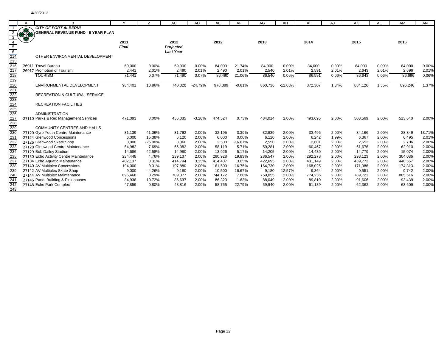|                                                                    | B                                                             |                      | 7               | AC                | <b>AD</b>      | AE               | AF                | AG               | AH             | Al               | AJ             | AK               | AL             | AM               | AN             |
|--------------------------------------------------------------------|---------------------------------------------------------------|----------------------|-----------------|-------------------|----------------|------------------|-------------------|------------------|----------------|------------------|----------------|------------------|----------------|------------------|----------------|
|                                                                    | <b>CITY OF PORT ALBERNI</b>                                   |                      |                 |                   |                |                  |                   |                  |                |                  |                |                  |                |                  |                |
|                                                                    | <b>GENERAL REVENUE FUND - 5 YEAR PLAN</b>                     |                      |                 |                   |                |                  |                   |                  |                |                  |                |                  |                |                  |                |
|                                                                    |                                                               |                      |                 |                   |                |                  |                   |                  |                |                  |                | 2015             |                |                  |                |
| $5\overline{)}$                                                    |                                                               | 2011<br><b>Final</b> |                 | 2012<br>Projected |                | 2012             |                   | 2013             |                | 2014             |                |                  |                | 2016             |                |
|                                                                    |                                                               |                      |                 | <b>Last Year</b>  |                |                  |                   |                  |                |                  |                |                  |                |                  |                |
| $\frac{6}{214}$                                                    | OTHER ENVIRONMENTAL DEVELOPMENT                               |                      |                 |                   |                |                  |                   |                  |                |                  |                |                  |                |                  |                |
|                                                                    |                                                               |                      |                 |                   |                |                  |                   |                  |                |                  |                |                  |                |                  |                |
|                                                                    | 26911 Travel Bureau                                           | 69,000               | 0.00%           | 69,000            | 0.00%          | 84,000           | 21.74%            | 84,000           | 0.00%          | 84,000           | 0.00%          | 84,000           | 0.00%          | 84,000           | 0.00%          |
|                                                                    | 26917 Promotion of Tourism                                    | 2,441                | 2.01%           | 2,490             | 2.01%          | 2,490            | 2.01%             | 2,540            | 2.01%          | 2,591            | 2.01%          | 2,643            | 2.01%          | 2,696            | 2.01%          |
|                                                                    | <b>TOURISM</b>                                                | 71,441               | 0.07%           | 71,490            | 0.07%          | 86,490           | 21.06%            | 86,540           | 0.06%          | 86,591           | 0.06%          | 86,643           | 0.06%          | 86,696           | 0.06%          |
|                                                                    |                                                               |                      |                 |                   |                |                  |                   |                  |                |                  |                |                  |                |                  |                |
|                                                                    | <b>ENVIRONMENTAL DEVELOPMENT</b>                              | 984,401              | 10.86%          | 740,320           | $-24.79%$      | 978,389          | $-0.61%$          | 860,736          | $-12.03%$      | 872,307          | 1.34%          | 884,126          | 1.35%          | 896,246          | 1.37%          |
|                                                                    |                                                               |                      |                 |                   |                |                  |                   |                  |                |                  |                |                  |                |                  |                |
|                                                                    | <b>RECREATION &amp; CULTURAL SERVICE</b>                      |                      |                 |                   |                |                  |                   |                  |                |                  |                |                  |                |                  |                |
|                                                                    | <b>RECREATION FACILITIES</b>                                  |                      |                 |                   |                |                  |                   |                  |                |                  |                |                  |                |                  |                |
|                                                                    |                                                               |                      |                 |                   |                |                  |                   |                  |                |                  |                |                  |                |                  |                |
|                                                                    | <b>ADMINISTRATION</b>                                         |                      |                 |                   |                |                  |                   |                  |                |                  |                |                  |                |                  |                |
|                                                                    | 27110 Parks & Rec Management Services                         | 471,093              | 8.00%           | 456,035           | $-3.20%$       | 474,524          | 0.73%             | 484,014          | 2.00%          | 493,695          | 2.00%          | 503,569          | 2.00%          | 513,640          | 2.00%          |
|                                                                    |                                                               |                      |                 |                   |                |                  |                   |                  |                |                  |                |                  |                |                  |                |
|                                                                    | <b>COMMUNITY CENTRES AND HALLS</b>                            |                      |                 |                   |                |                  |                   |                  |                |                  |                |                  |                |                  |                |
|                                                                    | 27120 Gyro Youth Centre Maintenance                           | 31,139               | 41.06%          | 31,762            | 2.00%          | 32,195           | 3.39%             | 32,839           | 2.00%          | 33,496           | 2.00%          | 34,166           | 2.00%          | 38,849           | 13.71%         |
|                                                                    | 27124 Glenwood Concessions                                    | 6,000                | 15.38%          | 6,120             | 2.00%          | 6,000            | 0.00%             | 6,120            | 2.00%          | 6,242            | 1.99%          | 6,367            | 2.00%          | 6,495            | 2.01%          |
|                                                                    | 27126 Glenwood Skate Shop                                     | 3,000                | $-25.00%$       | 3,060             | 2.00%          | 2,500            | $-16.67%$         | 2,550            | 2.00%          | 2,601            | 2.00%          | 2,653            | 2.00%          | 2,706            | 2.00%          |
|                                                                    | 27128 Glenwood Centre Maintenance<br>27129 Bob Dailey Stadium | 54,982<br>14,686     | 7.69%<br>42.58% | 56,082<br>14,980  | 2.00%<br>2.00% | 58,119<br>13,926 | 5.71%<br>$-5.17%$ | 59,281<br>14,205 | 2.00%<br>2.00% | 60,467<br>14,489 | 2.00%<br>2.00% | 61,676<br>14,779 | 2.00%<br>2.00% | 62,910<br>15,074 | 2.00%<br>2.00% |
|                                                                    | 27130 Echo Activity Centre Maintenance                        | 234,448              | 4.76%           | 239,137           | 2.00%          | 280,928          | 19.83%            | 286,547          | 2.00%          | 292,278          | 2.00%          | 298,123          | 2.00%          | 304,086          | 2.00%          |
|                                                                    | 27134 Echo Aquatic Maintenance                                | 402,137              | 3.31%           | 414,794           | 3.15%          | 414,407          | 3.05%             | 422,695          | 2.00%          | 431,149          | 2.00%          | 439,772          | 2.00%          | 448,567          | 2.00%          |
|                                                                    | 27140 AV Multiplex Concessions                                | 194,000              | 0.31%           | 197,880           | 2.00%          | 161,500          | $-16.75%$         | 164,730          | 2.00%          | 168,025          | 2.00%          | 171,386          | 2.00%          | 174,813          | 2.00%          |
| 230<br>231<br>232<br>233<br>235<br>237<br>238<br>232<br>232<br>240 | 27142 AV Multiplex Skate Shop                                 | 9,000                | $-4.26%$        | 9,180             | 2.00%          | 10,500           | 16.67%            | 9,180            | $-12.57%$      | 9,364            | 2.00%          | 9,551            | 2.00%          | 9,742            | 2.00%          |
|                                                                    | 27144 AV Multiplex Maintenance                                | 695,468              | 0.29%           | 709,377           | 2.00%          | 744,172          | 7.00%             | 759,055          | 2.00%          | 774,236          | 2.00%          | 789,721          | 2.00%          | 805,516          | 2.00%          |
| $\frac{241}{242}$<br>242                                           | 27146 Parks Building & Fieldhouses                            | 84,938               | $-10.72%$       | 86,637            | 2.00%          | 86,323           | 1.63%             | 88,049           | 2.00%          | 89,810           | 2.00%          | 91,606           | 2.00%          | 93,439           | 2.00%          |
|                                                                    | 27148 Echo Park Complex                                       | 47,859               | 0.80%           | 48,816            | 2.00%          | 58,765           | 22.79%            | 59,940           | 2.00%          | 61,139           | 2.00%          | 62,362           | 2.00%          | 63,609           | 2.00%          |
|                                                                    |                                                               |                      |                 |                   |                |                  |                   |                  |                |                  |                |                  |                |                  |                |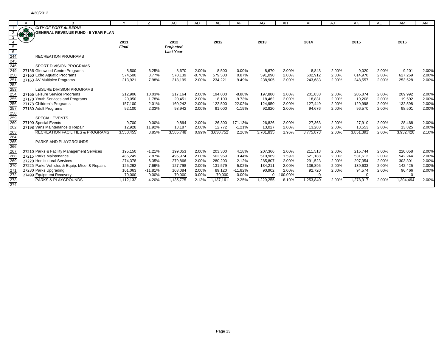|                                                         |    | R                                                                     |                    |                   | AC                            | AD             | AE                 | AF                    | AG                 | AH             | AI                 | AJ             | AK                 |                | AM                 | AN             |
|---------------------------------------------------------|----|-----------------------------------------------------------------------|--------------------|-------------------|-------------------------------|----------------|--------------------|-----------------------|--------------------|----------------|--------------------|----------------|--------------------|----------------|--------------------|----------------|
|                                                         |    | <b>CITY OF PORT ALBERNI</b>                                           |                    |                   |                               |                |                    |                       |                    |                |                    |                |                    |                |                    |                |
|                                                         | RE | <b>GENERAL REVENUE FUND - 5 YEAR PLAN</b>                             |                    |                   |                               |                |                    |                       |                    |                |                    |                |                    |                |                    |                |
|                                                         |    |                                                                       |                    |                   |                               |                |                    |                       |                    |                |                    |                |                    |                |                    |                |
|                                                         |    |                                                                       | 2011<br>Final      |                   | 2012                          |                | 2012               |                       | 2013               |                | 2014               |                | 2015               |                | 2016               |                |
|                                                         |    |                                                                       |                    |                   | Projected<br><b>Last Year</b> |                |                    |                       |                    |                |                    |                |                    |                |                    |                |
|                                                         |    | <b>RECREATION PROGRAMS</b>                                            |                    |                   |                               |                |                    |                       |                    |                |                    |                |                    |                |                    |                |
|                                                         |    |                                                                       |                    |                   |                               |                |                    |                       |                    |                |                    |                |                    |                |                    |                |
| $\frac{5}{6}$<br>$\frac{244}{245}$<br>$\frac{245}{246}$ |    | <b>SPORT DIVISION PROGRAMS</b>                                        |                    |                   |                               |                |                    |                       |                    |                |                    |                |                    |                |                    |                |
| $\frac{248}{250}$                                       |    | 27156 Glenwood Centre Programs                                        | 8,500              | 6.25%             | 8,670                         | 2.00%          | 8,500              | 0.00%                 | 8,670              | 2.00%          | 8,843              | 2.00%          | 9,020              | 2.00%          | 9,201              | 2.00%          |
|                                                         |    | 27160 Echo Aquatic Programs                                           | 574,500            | 3.77%             | 570,139                       | $-0.76%$       | 579,500            | 0.87%                 | 591,090            | 2.00%          | 602,912            | 2.00%          | 614,970            | 2.00%          | 627,269            | 2.00%          |
|                                                         |    | 27163 AV Multiplex Programs                                           | 213,921            | 7.98%             | 218,199                       | 2.00%          | 234,221            | 9.49%                 | 238,905            | 2.00%          | 243,683            | 2.00%          | 248,557            | 2.00%          | 253,528            | 2.00%          |
| $\frac{251}{252}$                                       |    |                                                                       |                    |                   |                               |                |                    |                       |                    |                |                    |                |                    |                |                    |                |
|                                                         |    | LEISURE DIVISION PROGRAMS                                             |                    |                   |                               |                |                    |                       |                    |                |                    |                |                    |                |                    |                |
| $\frac{256}{254}$<br>$\frac{255}{256}$                  |    | 27166 Leisure Service Programs                                        | 212,906            | 10.03%            | 217,164                       | 2.00%          | 194,000            | $-8.88%$              | 197,880            | 2.00%          | 201,838            | 2.00%          | 205,874            | 2.00%          | 209,992            | 2.00%          |
|                                                         |    | 27170 Youth Services and Programs                                     | 20,050             | 1.78%<br>2.01%    | 20,451                        | 2.00%<br>2.00% | 18,100             | $-9.73%$<br>$-22.02%$ | 18,462             | 2.00%<br>2.00% | 18,831             | 2.00%          | 19,208             | 2.00%<br>2.00% | 19,592             | 2.00%<br>2.00% |
|                                                         |    | 27173 Children's Programs<br>27180 Adult Programs                     | 157,100<br>92.100  | 2.33%             | 160,242<br>93,942             | 2.00%          | 122,500<br>91.000  | $-1.19%$              | 124,950<br>92,820  | 2.00%          | 127,449<br>94.676  | 2.00%<br>2.00% | 129,998<br>96,570  | 2.00%          | 132,598<br>98,501  | 2.00%          |
|                                                         |    |                                                                       |                    |                   |                               |                |                    |                       |                    |                |                    |                |                    |                |                    |                |
|                                                         |    | <b>SPECIAL EVENTS</b>                                                 |                    |                   |                               |                |                    |                       |                    |                |                    |                |                    |                |                    |                |
|                                                         |    | 27190 Special Events                                                  | 9,700              | 0.00%             | 9,894                         | 2.00%          | 26,300             | 171.13%               | 26,826             | 2.00%          | 27,363             | 2.00%          | 27,910             | 2.00%          | 28,468             | 2.00%          |
| 257<br>258<br>259<br>260<br>262<br>263                  |    | 27198 Vans Maintenance & Repair                                       | 12,928             | 11.92%            | 13,187                        | 2.00%          | 12,772             | $-1.21%$              | 13,027             | 2.00%          | 13,288             | 2.00%          | 13,553             | 2.00%          | 13,825             | 2.00%          |
|                                                         |    | <b>RECREATION FACILITIES &amp; PROGRAMS</b>                           | 3,550,455          | 3.85%             | 3,585,748                     | 0.99%          | 3.630.752          | 2.26%                 | 3,701,835          | 1.96%          | 3,775,873          | 2.00%          | 3,851,391          | 2.00%          | 3,932,420          | 2.10%          |
|                                                         |    |                                                                       |                    |                   |                               |                |                    |                       |                    |                |                    |                |                    |                |                    |                |
| 264<br>265<br>266<br>267<br>268                         |    | PARKS AND PLAYGROUNDS                                                 |                    |                   |                               |                |                    |                       |                    |                |                    |                |                    |                |                    |                |
|                                                         |    |                                                                       |                    |                   |                               |                |                    |                       |                    |                |                    |                |                    |                |                    |                |
|                                                         |    | 27210 Parks & Facility Management Services<br>27215 Parks Maintenance | 195,150<br>486,249 | $-1.21%$<br>7.87% | 199,053                       | 2.00%<br>2.00% | 203,300<br>502,959 | 4.18%<br>3.44%        | 207,366<br>510,969 | 2.00%<br>1.59% | 211,513<br>521,188 | 2.00%<br>2.00% | 215.744            | 2.00%<br>2.00% | 220,058<br>542,244 | 2.00%<br>2.00% |
|                                                         |    | 27220 Horticultural Services                                          | 274,378            | 6.35%             | 495,974<br>279,866            | 2.00%          | 280,203            | 2.12%                 | 285,807            | 2.00%          | 291,523            | 2.00%          | 531,612<br>297,354 | 2.00%          | 303,301            | 2.00%          |
| 269<br>270                                              |    | 27225 Parks Vehicles & Equip. Mtce. & Repairs                         | 125,292            | 7.69%             | 127.798                       | 2.00%          | 131.579            | 5.02%                 | 134,211            | 2.00%          | 136,895            | 2.00%          | 139,633            | 2.00%          | 142,425            | 2.00%          |
|                                                         |    | 27230 Parks Upgrading                                                 | 101,063            | $-11.81%$         | 103.084                       | 2.00%          | 89,120             | $-11.82%$             | 90,902             | 2.00%          | 92,720             | 2.00%          | 94,574             | 2.00%          | 96,466             | 2.00%          |
|                                                         |    | 27499 Equipment Recovery                                              | $-70,000$          | 0.00%             | $-70,000$                     | 0.00%          | $-70,000$          | 0.00%                 | $\Omega$           | $-100.00\%$    | $\Omega$           |                |                    |                | $\Omega$           |                |
| $\frac{271}{272}$                                       |    | <b>PARKS &amp; PLAYGROUNDS</b>                                        | 1,112,132          | 4.20%             | 1,135,775                     | 2.13%          | 1,137,161          | 2.25%                 | 1,229,255          | 8.10%          | 1,253,840          | 2.00%          | 1,278,917          | 2.00%          | 1,304,494          | 2.00%          |
| 274                                                     |    |                                                                       |                    |                   |                               |                |                    |                       |                    |                |                    |                |                    |                |                    |                |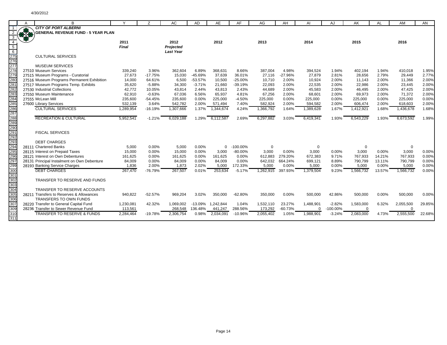|                                        | A      | В                                                                               |                   |                    | AC                | <b>AD</b>          | AE                | AF              | AG                 | AH                 | AI                 | AJ             | AK                 | AL               | AM                 | AN             |
|----------------------------------------|--------|---------------------------------------------------------------------------------|-------------------|--------------------|-------------------|--------------------|-------------------|-----------------|--------------------|--------------------|--------------------|----------------|--------------------|------------------|--------------------|----------------|
|                                        |        | <b>CITY OF PORT ALBERNI</b>                                                     |                   |                    |                   |                    |                   |                 |                    |                    |                    |                |                    |                  |                    |                |
|                                        | \$3.00 | <b>GENERAL REVENUE FUND - 5 YEAR PLAN</b>                                       |                   |                    |                   |                    |                   |                 |                    |                    |                    |                |                    |                  |                    |                |
|                                        |        |                                                                                 |                   |                    |                   |                    |                   |                 |                    |                    |                    |                |                    |                  |                    |                |
| $\overline{4}$                         |        |                                                                                 | 2011              |                    | 2012              |                    | 2012              |                 | 2013               |                    | 2014               |                | 2015               |                  | 2016               |                |
| $5\overline{)}$                        |        |                                                                                 | Final             |                    | Projected         |                    |                   |                 |                    |                    |                    |                |                    |                  |                    |                |
|                                        |        |                                                                                 |                   |                    | <b>Last Year</b>  |                    |                   |                 |                    |                    |                    |                |                    |                  |                    |                |
|                                        |        | <b>CULTURAL SERVICES</b>                                                        |                   |                    |                   |                    |                   |                 |                    |                    |                    |                |                    |                  |                    |                |
|                                        |        |                                                                                 |                   |                    |                   |                    |                   |                 |                    |                    |                    |                |                    |                  |                    |                |
|                                        |        | <b>MUSEUM SERVICES</b>                                                          |                   |                    |                   |                    |                   |                 |                    |                    |                    |                |                    |                  |                    |                |
|                                        |        | 27510 Museum Services<br>27515 Museum Programs - Curatorial                     | 339.240<br>27,673 | 3.96%<br>$-17.75%$ | 362.604<br>15,030 | 6.89%<br>$-45.69%$ | 368.631<br>37,639 | 8.66%<br>36.01% | 387.004<br>27,116  | 4.98%<br>$-27.96%$ | 394.524<br>27,879  | 1.94%<br>2.81% | 402.194<br>28,656  | 1.94%<br>2.79%   | 410.018<br>29,449  | 1.95%<br>2.77% |
|                                        |        | 27516 Museum Programs Permanent Exhibition                                      | 14,000            | 64.61%             | 6,500             | $-53.57%$          | 10,500            | $-25.00%$       | 10,710             | 2.00%              | 10,924             | 2.00%          | 11.143             | 2.00%            | 11.366             | 2.00%          |
|                                        |        | 27517 Museum Programs Temp. Exhibits                                            | 35,620            | $-5.88%$           | 34,300            | $-3.71%$           | 21,660            | $-39.19%$       | 22,093             | 2.00%              | 22,535             | 2.00%          | 22,986             | 2.00%            | 23,445             | 2.00%          |
|                                        |        | 27530 Industrial Collections                                                    | 42,772            | 10.05%             | 43,814            | 2.44%              | 43,813            | 2.43%           | 44,689             | 2.00%              | 45,583             | 2.00%          | 46,495             | 2.00%            | 47,425             | 2.00%          |
|                                        |        | 27550 Museum Maintenance                                                        | 62,910            | $-0.63%$           | 67,036            | 6.56%              | 65,937            | 4.81%           | 67,256             | 2.00%              | 68,601             | 2.00%          | 69,973             | 2.00%            | 71,372             | 2.00%          |
|                                        |        | 27555 McLean Mill                                                               | 235,600           | $-54.45%$          | 235,600           | 0.00%              | 225,000           | $-4.50%$        | 225,000            | 0.00%              | 225,000            | 0.00%          | 225,000            | 0.00%            | 225,000            | 0.00%          |
|                                        |        | 27600 Library Services                                                          | 532,139           | 3.64%              | 542,782           | 2.00%              | 571,494           | 7.40%           | 582,924            | 2.00%              | 594,582            | 2.00%          | 606,474            | 2.00%            | 618,603            | 2.00%          |
|                                        |        | <b>CULTURAL SERVICES</b>                                                        | 1,289,954         | $-16.19%$          | 1,307,666         | 1.37%              | 1.344.674         | 4.24%           | 1,366,792          | 1.64%              | 1,389,628          | 1.67%          | 1,412,921          | 1.68%            | 1,436,678          | 1.68%          |
|                                        |        |                                                                                 |                   |                    |                   |                    |                   |                 |                    |                    |                    |                |                    |                  |                    |                |
|                                        |        | <b>RECREATION &amp; CULTURAL</b>                                                | 5,952,541         | $-1.21%$           | 6,029,188         | 1.29%              | 6,112,587         | 2.69%           | 6,297,882          | 3.03%              | 6,419,341          | 1.93%          | 6,543,229          | 1.93%            | 6,673,592          | 1.99%          |
|                                        |        |                                                                                 |                   |                    |                   |                    |                   |                 |                    |                    |                    |                |                    |                  |                    |                |
|                                        |        |                                                                                 |                   |                    |                   |                    |                   |                 |                    |                    |                    |                |                    |                  |                    |                |
|                                        |        | <b>FISCAL SERVICES</b>                                                          |                   |                    |                   |                    |                   |                 |                    |                    |                    |                |                    |                  |                    |                |
|                                        |        |                                                                                 |                   |                    |                   |                    |                   |                 |                    |                    |                    |                |                    |                  |                    |                |
|                                        |        | <b>DEBT CHARGES</b>                                                             |                   |                    |                   |                    |                   |                 |                    |                    |                    |                |                    |                  |                    |                |
|                                        |        | 28111 Chartered Banks                                                           | 5,000             | $0.00\%$           | 5.000             | 0.00%              | $\Omega$          | $-100.00\%$     | $\mathbf 0$        |                    | $\mathbf 0$        |                | $\Omega$           |                  | $\Omega$           |                |
|                                        |        | 28115 Interest on Prepaid Taxes                                                 | 15,000            | 0.00%              | 15,000            | 0.00%              | 3,000             | $-80.00%$       | 3,000              | 0.00%              | 3,000              | 0.00%          | 3,000              | 0.00%            | 3,000              | 0.00%          |
|                                        |        | 28121 Interest on Own Debentures<br>28131 Principal Instalment on Own Debenture | 161,625<br>84,009 | 0.00%<br>0.00%     | 161.625<br>84,009 | 0.00%<br>0.00%     | 161.625<br>84,009 | 0.00%<br>0.00%  | 612,883<br>642,032 | 279.20%<br>664.24% | 672,383<br>699,121 | 9.71%<br>8.89% | 767,933<br>790,799 | 14.21%<br>13.11% | 767,933<br>790,799 | 0.00%<br>0.00% |
| 297<br>299<br>300<br>301               |        | 28193 Banking Service Charges                                                   | 1,836             | 2.00%              | 1,873             | 2.02%              | 5.000             | 172.33%         | 5,000              | 0.00%              | 5,000              | 0.00%          | 5,000              | 0.00%            | 5,000              | 0.00%          |
|                                        |        | <b>DEBT CHARGES</b>                                                             | 267,470           | $-76.79%$          | 267,507           | 0.01%              | 253.634           | $-5.17%$        | 1,262,915          | 397.93%            | 1,379,504          | 9.23%          | 1.566.732          | 13.57%           | 1,566,732          | 0.00%          |
|                                        |        |                                                                                 |                   |                    |                   |                    |                   |                 |                    |                    |                    |                |                    |                  |                    |                |
| 302                                    |        | TRANSFER TO RESERVE AND FUNDS                                                   |                   |                    |                   |                    |                   |                 |                    |                    |                    |                |                    |                  |                    |                |
|                                        |        |                                                                                 |                   |                    |                   |                    |                   |                 |                    |                    |                    |                |                    |                  |                    |                |
|                                        |        | TRANSFER TO RESERVE ACCOUNTS                                                    |                   |                    |                   |                    |                   |                 |                    |                    |                    |                |                    |                  |                    |                |
|                                        |        | 28211 Transfers to Reserves & Allowances                                        | 940,822           | $-52.57%$          | 969,204           | 3.02%              | 350,000           | $-62.80%$       | 350,000            | 0.00%              | 500,000            | 42.86%         | 500,000            | 0.00%            | 500,000            | 0.00%          |
| $\frac{303}{303}$<br>$\frac{304}{305}$ |        | TRANSFERS TO OWN FUNDS                                                          |                   |                    |                   |                    |                   |                 |                    |                    |                    |                |                    |                  |                    |                |
| 307                                    |        | 28220 Transfer to General Capital Fund                                          | 1,230,081         | 42.32%             | 1,069,002         | $-13.09%$          | 1,242,844         | 1.04%           | 1,532,110          | 23.27%             | 1,488,901          | $-2.82%$       | 1,583,000          | 6.32%            | 2,055,500          | 29.85%         |
| 309                                    |        | 28236 Transfer to Sewer Revenue Fund                                            | 113,561           |                    | 268.548           | 136.48%            | 441,247           | 288.56%         | 173,292            | $-60.73%$          | $\Omega$           | $-100.00\%$    | $\Omega$           |                  | $\Omega$           |                |
| 310                                    |        | <b>TRANSFER TO RESERVE &amp; FUNDS</b>                                          | 2,284,464         | $-19.78%$          | 2,306,754         | 0.98%              | 2,034,091         | $-10.96%$       | 2,055,402          | 1.05%              | 1,988,901          | $-3.24%$       | 2,083,000          | 4.73%            | 2,555,500          | 22.68%         |
| 311                                    |        |                                                                                 |                   |                    |                   |                    |                   |                 |                    |                    |                    |                |                    |                  |                    |                |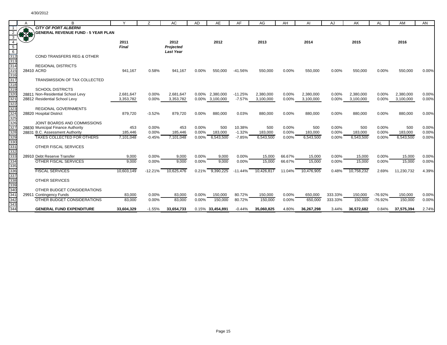|                                                                                  | R                                         | $\checkmark$ | 7         | AC               | <b>AD</b> | AE               | AF        | AG         | AH       | AI         | AJ       | AK         | AL        | AM         | AN    |
|----------------------------------------------------------------------------------|-------------------------------------------|--------------|-----------|------------------|-----------|------------------|-----------|------------|----------|------------|----------|------------|-----------|------------|-------|
|                                                                                  | <b>CITY OF PORT ALBERNI</b>               |              |           |                  |           |                  |           |            |          |            |          |            |           |            |       |
|                                                                                  | <b>GENERAL REVENUE FUND - 5 YEAR PLAN</b> |              |           |                  |           |                  |           |            |          |            |          |            |           |            |       |
| -3                                                                               |                                           |              |           |                  |           |                  |           |            |          |            |          |            |           |            |       |
|                                                                                  |                                           | 2011         |           | 2012             |           | 2012             |           | 2013       |          | 2014       |          | 2015       |           | 2016       |       |
|                                                                                  |                                           | <b>Final</b> |           | Projected        |           |                  |           |            |          |            |          |            |           |            |       |
| $\begin{array}{r}\n5 \\ \hline\n6 \\ \hline\n312\n\end{array}$                   |                                           |              |           | <b>Last Year</b> |           |                  |           |            |          |            |          |            |           |            |       |
|                                                                                  | COND TRANSFERS REG & OTHER                |              |           |                  |           |                  |           |            |          |            |          |            |           |            |       |
| 313<br>314                                                                       |                                           |              |           |                  |           |                  |           |            |          |            |          |            |           |            |       |
| 315                                                                              | <b>REGIONAL DISTRICTS</b><br>28410 ACRD   | 941.167      | 0.58%     | 941.167          | 0.00%     | 550,000          | $-41.56%$ | 550,000    | 0.00%    | 550,000    | 0.00%    | 550,000    | 0.00%     | 550,000    | 0.00% |
|                                                                                  |                                           |              |           |                  |           |                  |           |            |          |            |          |            |           |            |       |
| 316<br>317                                                                       | TRANSMISSION OF TAX COLLECTED             |              |           |                  |           |                  |           |            |          |            |          |            |           |            |       |
| 318                                                                              |                                           |              |           |                  |           |                  |           |            |          |            |          |            |           |            |       |
| 319                                                                              | <b>SCHOOL DISTRICTS</b>                   |              |           |                  |           |                  |           |            |          |            |          |            |           |            |       |
|                                                                                  | 28811 Non-Residential School Levy         | 2.681.647    | $0.00\%$  | 2,681,647        | $0.00\%$  | 2.380.000        | $-11.25%$ | 2,380,000  | $0.00\%$ | 2,380,000  | $0.00\%$ | 2,380,000  | $0.00\%$  | 2,380,000  | 0.00% |
| 320<br>321<br>322<br>323                                                         | 28812 Residential School Levy             | 3.353.782    | $0.00\%$  | 3,353,782        |           | 0.00% 3,100,000  | $-7.57%$  | 3,100,000  | 0.00%    | 3,100,000  | $0.00\%$ | 3,100,000  | 0.00%     | 3,100,000  | 0.00% |
|                                                                                  |                                           |              |           |                  |           |                  |           |            |          |            |          |            |           |            |       |
|                                                                                  | <b>REGIONAL GOVERNMENTS</b>               |              |           |                  |           |                  |           |            |          |            |          |            |           |            |       |
|                                                                                  | 28820 Hospital District                   | 879,720      | $-3.52%$  | 879,720          | 0.00%     | 880,000          | 0.03%     | 880,000    | 0.00%    | 880,000    | 0.00%    | 880,000    | 0.00%     | 880,000    | 0.00% |
| 324<br>324<br>325<br>326                                                         | JOINT BOARDS AND COMMISSIONS              |              |           |                  |           |                  |           |            |          |            |          |            |           |            |       |
|                                                                                  | 28830 Municipal Finance Authority         | 453          | 0.00%     | 453              | 0.00%     | 500              | 10.38%    | 500        | 0.00%    | 500        | 0.00%    | 500        | 0.00%     | 500        | 0.00% |
|                                                                                  | 28831 B.C. Assessment Authority           | 185,446      | 0.00%     | 185,446          | 0.00%     | 183,000          | $-1.32%$  | 183,000    | 0.00%    | 183,000    | 0.00%    | 183,000    | 0.00%     | 183,000    | 0.00% |
|                                                                                  | <b>TAXES COLLECTED FOR OTHERS</b>         | 7,101,048    | $-0.45%$  | 7,101,048        | 0.00%     | 6,543,500        | $-7.85%$  | 6,543,500  | 0.00%    | 6,543,500  | 0.00%    | 6,543,500  | 0.00%     | 6,543,500  | 0.00% |
|                                                                                  |                                           |              |           |                  |           |                  |           |            |          |            |          |            |           |            |       |
|                                                                                  | OTHER FISCAL SERVICES                     |              |           |                  |           |                  |           |            |          |            |          |            |           |            |       |
|                                                                                  | 28910 Debt Reserve Transfer               | 9,000        | $0.00\%$  | 9,000            | 0.00%     | 9,000            | 0.00%     | 15,000     | 66.67%   | 15,000     | 0.00%    | 15,000     | 0.00%     | 15,000     | 0.00% |
|                                                                                  | <b>OTHER FISCAL SERVICES</b>              | 9,000        | 0.00%     | 9,000            | 0.00%     | 9,000            | 0.00%     | 15,000     | 66.67%   | 15,000     | 0.00%    | 15,000     | 0.00%     | 15,000     | 0.00% |
|                                                                                  |                                           |              |           |                  |           |                  |           |            |          |            |          |            |           |            |       |
|                                                                                  | <b>FISCAL SERVICES</b>                    | 10,603,149   | $-12.21%$ | 10.625.476       | 0.21%     | 9,390,225        | $-11.44%$ | 10,426,817 | 11.04%   | 10,476,905 | 0.48%    | 10,758,232 | 2.69%     | 11,230,732 | 4.39% |
|                                                                                  |                                           |              |           |                  |           |                  |           |            |          |            |          |            |           |            |       |
|                                                                                  | <b>OTHER SERVICES</b>                     |              |           |                  |           |                  |           |            |          |            |          |            |           |            |       |
| 327<br>328<br>329<br>330<br>331<br>332<br>333<br>335<br>335<br>335<br>338<br>337 |                                           |              |           |                  |           |                  |           |            |          |            |          |            |           |            |       |
|                                                                                  | OTHER BUDGET CONSIDERATIONS               |              |           |                  |           |                  |           |            |          |            |          |            |           |            |       |
| 341                                                                              | 29911 Contingency Funds                   | 83,000       | 0.00%     | 83,000           | 0.00%     | 150,000          | 80.72%    | 150,000    | 0.00%    | 650,000    | 333.33%  | 150,000    | $-76.92%$ | 150,000    | 0.00% |
| -<br>342                                                                         | OTHER BUDGET CONSIDERATIONS               | 83,000       | 0.00%     | 83,000           | 0.00%     | 150,000          | 80.72%    | 150,000    | 0.00%    | 650,000    | 333.33%  | 150,000    | $-76.92%$ | 150,000    | 0.00% |
| 343<br>344                                                                       | <b>GENERAL FUND EXPENDITURE</b>           | 33.604.329   | $-1.55%$  | 33.654.733       |           | 0.15% 33,454,891 | $-0.44%$  | 35.060.825 | 4.80%    | 36.267.298 | 3.44%    | 36.572.682 | 0.84%     | 37.575.394 | 2.74% |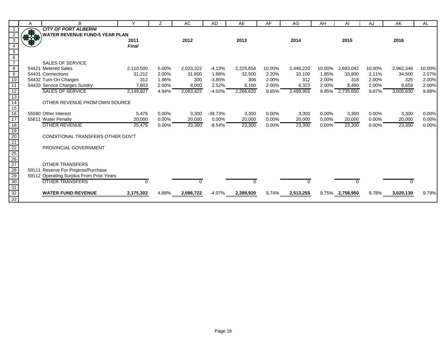|                                                                                                                   | Α   | B                                        |              |       | AC        | AD        | AE        | AF     | AG        | AH       | AI              | AJ     | AK        | AL     |
|-------------------------------------------------------------------------------------------------------------------|-----|------------------------------------------|--------------|-------|-----------|-----------|-----------|--------|-----------|----------|-----------------|--------|-----------|--------|
|                                                                                                                   |     | <b>CITY OF PORT ALBERNI</b>              |              |       |           |           |           |        |           |          |                 |        |           |        |
|                                                                                                                   | *** | <b>WATER REVENUE FUND-5 YEAR PLAN</b>    |              |       |           |           |           |        |           |          |                 |        |           |        |
| 3                                                                                                                 |     |                                          | 2011         |       | 2012      |           | 2013      |        | 2014      |          | 2015            |        | 2016      |        |
|                                                                                                                   |     |                                          | <b>Final</b> |       |           |           |           |        |           |          |                 |        |           |        |
| $\begin{array}{c} 5 \\ 6 \\ 7 \end{array}$                                                                        |     |                                          |              |       |           |           |           |        |           |          |                 |        |           |        |
|                                                                                                                   |     |                                          |              |       |           |           |           |        |           |          |                 |        |           |        |
|                                                                                                                   |     | <b>SALES OF SERVICE</b>                  |              |       |           |           |           |        |           |          |                 |        |           |        |
| $\begin{array}{c}\n 8 \\  \hline\n 9 \\  \hline\n 10\n \end{array}$                                               |     | 54421 Metered Sales                      | 2,110,500    | 5.00% | 2,023,322 | $-4.13%$  | 2,225,654 | 10.00% | 2,448,220 | 10.00%   | 2,693,042       | 10.00% | 2,962,346 | 10.00% |
|                                                                                                                   |     | 54431 Connections                        | 31,212       | 2.00% | 31,800    | 1.88%     | 32,500    | 2.20%  | 33,100    | 1.85%    | 33,800          | 2.11%  | 34,500    | 2.07%  |
|                                                                                                                   |     | 54432 Turn-On Charges                    | 312          | 1.96% | 300       | $-3.85%$  | 306       | 2.00%  | 312       | 2.00%    | 318             | 2.00%  | 325       | 2.00%  |
| $\overline{11}$                                                                                                   |     | 54433 Service Charges Sundry             | 7,803        | 2.00% | 8,000     | 2.52%     | 8,160     | 2.00%  | 8,323     | 2.00%    | 8,490           | 2.00%  | 8,659     | 2.00%  |
| $\frac{12}{13}$                                                                                                   |     | <b>SALES OF SERVICE</b>                  | 2.149.827    | 4.94% | 2,063,422 | $-4.02%$  | 2,266,620 | 9.85%  | 2,489,955 |          | 9.85% 2,735,650 | 9.87%  | 3,005,830 | 9.88%  |
|                                                                                                                   |     |                                          |              |       |           |           |           |        |           |          |                 |        |           |        |
|                                                                                                                   |     | OTHER REVENUE FROM OWN SOURCE            |              |       |           |           |           |        |           |          |                 |        |           |        |
| $\frac{1}{15}$                                                                                                    |     |                                          |              |       |           |           |           |        |           |          |                 |        |           |        |
| 16                                                                                                                |     | 55590 Other Interest                     | 5,475        | 0.00% | 3,300     | $-39.73%$ | 3,300     | 0.00%  | 3,300     | $0.00\%$ | 3,300           | 0.00%  | 3,300     | 0.00%  |
| $\overline{17}$                                                                                                   |     | 55611 Water Penalty                      | 20,000       | 0.00% | 20,000    | 0.00%     | 20,000    | 0.00%  | 20,000    | 0.00%    | 20,000          | 0.00%  | 20,000    | 0.00%  |
| $\overline{18}$                                                                                                   |     | <b>OTHER REVENUE</b>                     | 25,475       | 0.00% | 23,300    | $-8.54%$  | 23,300    | 0.00%  | 23,300    | 0.00%    | 23,300          | 0.00%  | 23,300    | 0.00%  |
|                                                                                                                   |     |                                          |              |       |           |           |           |        |           |          |                 |        |           |        |
|                                                                                                                   |     | CONDITIONAL TRANSFERS OTHER GOV'T        |              |       |           |           |           |        |           |          |                 |        |           |        |
|                                                                                                                   |     |                                          |              |       |           |           |           |        |           |          |                 |        |           |        |
|                                                                                                                   |     | PROVINCIAL GOVERNMENT                    |              |       |           |           |           |        |           |          |                 |        |           |        |
|                                                                                                                   |     |                                          |              |       |           |           |           |        |           |          |                 |        |           |        |
|                                                                                                                   |     |                                          |              |       |           |           |           |        |           |          |                 |        |           |        |
|                                                                                                                   |     | <b>OTHER TRANSFERS</b>                   |              |       |           |           |           |        |           |          |                 |        |           |        |
|                                                                                                                   |     | 59111 Reserve For Projects/Purchase      |              |       |           |           |           |        |           |          |                 |        |           |        |
|                                                                                                                   |     | 59112 Operating Surplus From Prior Years |              |       |           |           |           |        |           |          |                 |        |           |        |
|                                                                                                                   |     | <b>OTHER TRANSFERS</b>                   |              |       |           |           |           |        |           |          |                 |        |           |        |
| $\frac{19}{20} \frac{21}{21} \frac{22}{25} \frac{25}{25} \frac{28}{29} \frac{29}{30} \frac{31}{31} \frac{32}{33}$ |     |                                          |              |       |           |           |           |        |           |          |                 |        |           |        |
|                                                                                                                   |     | <b>WATER FUND REVENUE</b>                | 2,175,302    | 4.88% | 2,086,722 | $-4.07%$  | 2,289,920 | 9.74%  | 2,513,255 |          | 9.75% 2,758,950 | 9.78%  | 3,029,130 | 9.79%  |
|                                                                                                                   |     |                                          |              |       |           |           |           |        |           |          |                 |        |           |        |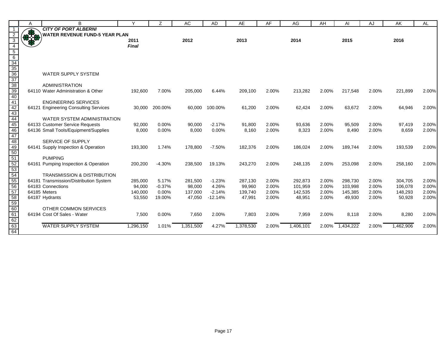|                                                                                                              | A     | B                                                    | ٧            | Ζ        | <b>AC</b> | <b>AD</b> | AE        | AF    | AG        | AH    | AI        | AJ    | AK        | <b>AL</b> |
|--------------------------------------------------------------------------------------------------------------|-------|------------------------------------------------------|--------------|----------|-----------|-----------|-----------|-------|-----------|-------|-----------|-------|-----------|-----------|
| -1                                                                                                           |       | <b>CITY OF PORT ALBERNI</b>                          |              |          |           |           |           |       |           |       |           |       |           |           |
| 2                                                                                                            | 83.00 | <b>WATER REVENUE FUND-5 YEAR PLAN</b>                |              |          |           |           |           |       |           |       |           |       |           |           |
| 3                                                                                                            |       |                                                      | 2011         |          | 2012      |           | 2013      |       | 2014      |       | 2015      |       | 2016      |           |
| $\overline{4}$                                                                                               |       |                                                      | <b>Final</b> |          |           |           |           |       |           |       |           |       |           |           |
|                                                                                                              |       |                                                      |              |          |           |           |           |       |           |       |           |       |           |           |
|                                                                                                              |       |                                                      |              |          |           |           |           |       |           |       |           |       |           |           |
|                                                                                                              |       |                                                      |              |          |           |           |           |       |           |       |           |       |           |           |
|                                                                                                              |       | <b>WATER SUPPLY SYSTEM</b>                           |              |          |           |           |           |       |           |       |           |       |           |           |
|                                                                                                              |       |                                                      |              |          |           |           |           |       |           |       |           |       |           |           |
|                                                                                                              |       | ADMINISTRATION                                       |              |          |           |           |           |       |           |       |           |       |           |           |
|                                                                                                              |       | 64110 Water Administration & Other                   | 192,600      | 7.00%    | 205,000   | 6.44%     | 209,100   | 2.00% | 213,282   | 2.00% | 217,548   | 2.00% | 221,899   | 2.00%     |
|                                                                                                              |       |                                                      |              |          |           |           |           |       |           |       |           |       |           |           |
| $\frac{5}{6}$ $\frac{6}{34}$ $\frac{33}{36}$ $\frac{37}{38}$ $\frac{39}{40}$ $\frac{41}{42}$ $\frac{42}{43}$ |       | <b>ENGINEERING SERVICES</b>                          |              |          |           |           |           |       |           |       |           |       |           |           |
|                                                                                                              |       | 64121 Engineering Consulting Services                | 30,000       | 200.00%  | 60.000    | 100.00%   | 61,200    | 2.00% | 62,424    | 2.00% | 63,672    | 2.00% | 64,946    | 2.00%     |
|                                                                                                              |       |                                                      |              |          |           |           |           |       |           |       |           |       |           |           |
| 44<br>45                                                                                                     |       | <b>WATER SYSTEM ADMINISTRATION</b>                   |              |          |           |           |           |       |           |       |           |       |           |           |
|                                                                                                              |       | 64133 Customer Service Requests                      | 92,000       | 0.00%    | 90,000    | $-2.17%$  | 91,800    | 2.00% | 93,636    | 2.00% | 95,509    | 2.00% | 97,419    | 2.00%     |
| 46                                                                                                           |       | 64136 Small Tools/Equipment/Supplies                 | 8,000        | 0.00%    | 8,000     | 0.00%     | 8,160     | 2.00% | 8,323     | 2.00% | 8,490     | 2.00% | 8,659     | 2.00%     |
|                                                                                                              |       | SERVICE OF SUPPLY                                    |              |          |           |           |           |       |           |       |           |       |           |           |
|                                                                                                              |       | 64141 Supply Inspection & Operation                  | 193,300      | 1.74%    | 178,800   | $-7.50%$  | 182,376   | 2.00% | 186,024   | 2.00% | 189,744   | 2.00% | 193,539   | 2.00%     |
| 47<br>48<br>49<br>50<br>50<br>52<br>52<br>53<br>54<br>55                                                     |       |                                                      |              |          |           |           |           |       |           |       |           |       |           |           |
|                                                                                                              |       | <b>PUMPING</b>                                       |              |          |           |           |           |       |           |       |           |       |           |           |
|                                                                                                              |       | 64161 Pumping Inspection & Operation                 | 200,200      | $-4.30%$ | 238,500   | 19.13%    | 243,270   | 2.00% | 248,135   | 2.00% | 253,098   | 2.00% | 258,160   | 2.00%     |
|                                                                                                              |       |                                                      |              |          |           |           |           |       |           |       |           |       |           |           |
|                                                                                                              |       | <b>TRANSMISSION &amp; DISTRIBUTION</b>               |              |          |           |           |           |       |           |       |           |       |           |           |
|                                                                                                              |       | 64181 Transmission/Distribution System               | 285,000      | 5.17%    | 281,500   | $-1.23%$  | 287,130   | 2.00% | 292,873   | 2.00% | 298,730   | 2.00% | 304,705   | 2.00%     |
| 56                                                                                                           |       | 64183 Connections                                    | 94,000       | $-0.37%$ | 98,000    | 4.26%     | 99,960    | 2.00% | 101,959   | 2.00% | 103,998   | 2.00% | 106,078   | 2.00%     |
| 57                                                                                                           |       | 64185 Meters                                         | 140,000      | 0.00%    | 137,000   | $-2.14%$  | 139,740   | 2.00% | 142,535   | 2.00% | 145,385   | 2.00% | 148,293   | 2.00%     |
| 58<br>59<br>60<br>61                                                                                         |       | 64187 Hydrants                                       | 53,550       | 19.00%   | 47,050    | $-12.14%$ | 47,991    | 2.00% | 48,951    | 2.00% | 49,930    | 2.00% | 50,928    | 2.00%     |
|                                                                                                              |       |                                                      |              |          |           |           |           |       |           |       |           |       |           |           |
|                                                                                                              |       | OTHER COMMON SERVICES<br>64194 Cost Of Sales - Water |              |          |           |           |           |       |           |       |           |       |           |           |
|                                                                                                              |       |                                                      | 7,500        | 0.00%    | 7,650     | 2.00%     | 7,803     | 2.00% | 7,959     | 2.00% | 8.118     | 2.00% | 8,280     | 2.00%     |
|                                                                                                              |       | <b>WATER SUPPLY SYSTEM</b>                           | 1,296,150    | 1.01%    | 1,351,500 | 4.27%     | 1,378,530 | 2.00% | 1,406,101 | 2.00% | 1,434,222 | 2.00% | 1,462,906 | 2.00%     |
| $\frac{62}{63}$<br>63                                                                                        |       |                                                      |              |          |           |           |           |       |           |       |           |       |           |           |
|                                                                                                              |       |                                                      |              |          |           |           |           |       |           |       |           |       |           |           |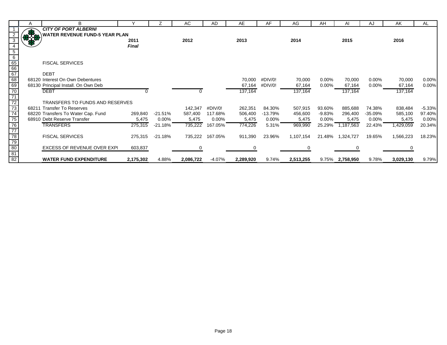|                                                        | Α   |                                       |              |           | AC        | <b>AD</b> | AE        | AF       | AG        | AH       | Al               | AJ         | AK        | AL       |
|--------------------------------------------------------|-----|---------------------------------------|--------------|-----------|-----------|-----------|-----------|----------|-----------|----------|------------------|------------|-----------|----------|
|                                                        |     | <b>CITY OF PORT ALBERNI</b>           |              |           |           |           |           |          |           |          |                  |            |           |          |
|                                                        | 878 | <b>WATER REVENUE FUND-5 YEAR PLAN</b> |              |           |           |           |           |          |           |          |                  |            |           |          |
|                                                        |     |                                       | 2011         |           | 2012      |           | 2013      |          | 2014      |          | 2015             |            | 2016      |          |
|                                                        |     |                                       | <b>Final</b> |           |           |           |           |          |           |          |                  |            |           |          |
|                                                        |     |                                       |              |           |           |           |           |          |           |          |                  |            |           |          |
|                                                        |     |                                       |              |           |           |           |           |          |           |          |                  |            |           |          |
|                                                        |     | <b>FISCAL SERVICES</b>                |              |           |           |           |           |          |           |          |                  |            |           |          |
|                                                        |     |                                       |              |           |           |           |           |          |           |          |                  |            |           |          |
|                                                        |     | <b>DEBT</b>                           |              |           |           |           |           |          |           |          |                  |            |           |          |
|                                                        |     | 68120 Interest On Own Debentures      |              |           |           |           | 70,000    | #DIV/0!  | 70,000    | $0.00\%$ | 70,000           | $0.00\%$   | 70,000    | 0.00%    |
|                                                        |     | 68130 Principal Install. On Own Deb   |              |           |           |           | 67,164    | #DIV/0!  | 67,164    | $0.00\%$ | 67,164           | $0.00\%$   | 67,164    | 0.00%    |
|                                                        |     | <b>DEBT</b>                           |              |           |           |           | 137,164   |          | 137,164   |          | 137,164          |            | 137,164   |          |
|                                                        |     |                                       |              |           |           |           |           |          |           |          |                  |            |           |          |
|                                                        |     | TRANSFERS TO FUNDS AND RESERVES       |              |           |           |           |           |          |           |          |                  |            |           |          |
|                                                        |     | 68211 Transfer To Reserves            |              |           | 142,347   | #DIV/0!   | 262,351   | 84.30%   | 507,915   | 93.60%   | 885,688          | 74.38%     | 838,484   | $-5.33%$ |
|                                                        |     | 68220 Transfers To Water Cap. Fund    | 269,840      | $-21.51%$ | 587,400   | 117.68%   | 506,400   | -13.79%  | 456,600   | -9.83%   | 296,400          | $-35.09\%$ | 585,100   | 97.40%   |
|                                                        |     | 68910 Debt Reserve Transfer           | 5,475        | $0.00\%$  | 5,475     | $0.00\%$  | 5,475     | $0.00\%$ | 5,475     | $0.00\%$ | 5,475            | 0.00%      | 5,475     | 0.00%    |
|                                                        |     | <b>TRANSFERS</b>                      | 275,315      | $-21.18%$ | 735,222   | 167.05%   | 774,226   | 5.31%    | 969,990   |          | 25.29% 1,187,563 | 22.43%     | 1,429,059 | 20.34%   |
|                                                        |     |                                       |              |           |           |           |           |          |           |          |                  |            |           |          |
|                                                        |     | <b>FISCAL SERVICES</b>                | 275,315      | $-21.18%$ | 735,222   | 167.05%   | 911,390   | 23.96%   | 1,107,154 | 21.48%   | 1,324,727        | 19.65%     | 1,566,223 | 18.23%   |
|                                                        |     |                                       |              |           |           |           |           |          |           |          |                  |            |           |          |
|                                                        |     | <b>EXCESS OF REVENUE OVER EXPI</b>    | 603,837      |           |           |           |           |          |           |          |                  |            |           |          |
| 5 6 6 6 6 7 8 9 70 71 72 73 74 75 76 77 78 79 80 81 82 |     |                                       |              |           |           |           |           |          |           |          |                  |            |           |          |
|                                                        |     | <b>WATER FUND EXPENDITURE</b>         | 2,175,302    | 4.88%     | 2,086,722 | $-4.07%$  | 2,289,920 | 9.74%    | 2,513,255 |          | 9.75% 2,758,950  | 9.78%      | 3,029,130 | 9.79%    |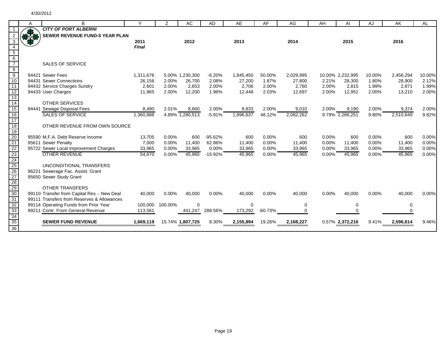| <b>CITY OF PORT ALBERNI</b><br>378<br>SEWER REVENUE FUND-5 YEAR PLAN                                                                                        | 2015            | 2016                |
|-------------------------------------------------------------------------------------------------------------------------------------------------------------|-----------------|---------------------|
|                                                                                                                                                             |                 |                     |
|                                                                                                                                                             |                 |                     |
| 3<br>2012<br>2013<br>2011<br>2014                                                                                                                           |                 |                     |
| $\overline{4}$<br><b>Final</b>                                                                                                                              |                 |                     |
|                                                                                                                                                             |                 |                     |
|                                                                                                                                                             |                 |                     |
| $\frac{1}{5}$ $\frac{6}{7}$<br><b>SALES OF SERVICE</b>                                                                                                      |                 |                     |
| $\frac{8}{9}$                                                                                                                                               |                 |                     |
| 94421 Sewer Fees<br>1,311,676<br>$-6.20%$<br>2,029,995<br>10.00% 2,232,995<br>5.00% 1,230,300<br>1,845,450<br>50.00%                                        | 10.00%          | 10.00%<br>2,456,294 |
| 10<br>94431 Sewer Connections<br>26,156<br>2.00%<br>26,700<br>2.08%<br>27,200<br>1.87%<br>27,800<br>2.21%                                                   | 28,300<br>1.80% | 28,900<br>2.12%     |
| $\overline{11}$<br>94432 Service Charges Sundry<br>2,601<br>2,706<br>2.00%<br>2.00%<br>2,653<br>2.00%<br>2.00%<br>2.760                                     | 2,815<br>1.99%  | 2,871<br>1.99%      |
| 11,965<br>2.00%<br>12,200<br>1.96%<br>12,448<br>2.03%<br>2.00%<br>94433 User Charges<br>12,697                                                              | 2.00%<br>12,951 | 13,210<br>2.00%     |
| $\frac{12}{13}$ $\frac{14}{15}$                                                                                                                             |                 |                     |
| <b>OTHER SERVICES</b>                                                                                                                                       |                 |                     |
| 94441 Sewage Disposal Fees<br>2.01%<br>8,660<br>2.00%<br>8,833<br>2.00%<br>9,010<br>2.00%<br>8,490                                                          | 9,190<br>2.00%  | 9,374<br>2.00%      |
| $\frac{16}{17}$<br><b>SALES OF SERVICE</b><br>4.89% 1,280,513<br>2,082,262<br>9.79% 2,286,251<br>1,360,888<br>$-5.91%$<br>1,896,637<br>48.12%               | 9.80%           | 2,510,649<br>9.82%  |
|                                                                                                                                                             |                 |                     |
| OTHER REVENUE FROM OWN SOURCE                                                                                                                               |                 |                     |
|                                                                                                                                                             |                 |                     |
| 95590 M.F.A. Debt Reserve Income<br>13,705<br>0.00%<br>$-95.62%$<br>600<br>0.00%<br>$0.00\%$<br>600<br>600                                                  | 600<br>0.00%    | 600<br>0.00%        |
| 7,000<br>0.00%<br>11,400<br>62.86%<br>0.00%<br>95611 Sewer Penalty<br>11,400<br>11,400<br>0.00%                                                             | 0.00%<br>11,400 | 11,400<br>0.00%     |
| 18 19 20 21 22 23 24 25 26 27 28 29 30<br>0.00%<br>95722 Sewer Local Improvement Charges<br>0.00%<br>0.00%<br>33,965<br>0.00%<br>33,965<br>33,965<br>33,965 | 33,965<br>0.00% | 33,965<br>0.00%     |
| <b>OTHER REVENUE</b><br>54,670<br>0.00%<br>45,965<br>$-15.92%$<br>45,965<br>0.00%<br>45,965<br>0.00%                                                        | 45,965<br>0.00% | 45,965<br>0.00%     |
|                                                                                                                                                             |                 |                     |
| UNCONDITIONAL TRANSFERS                                                                                                                                     |                 |                     |
| 96221 Sewerage Fac. Assist. Grant                                                                                                                           |                 |                     |
| 95650 Sewer Study Grant                                                                                                                                     |                 |                     |
| <b>OTHER TRANSFERS</b>                                                                                                                                      |                 |                     |
| 99110 Transfer from Capital Res. - New Deal<br>40,000<br>0.00%<br>40,000<br>0.00%<br>40,000<br>0.00%<br>40,000<br>0.00%                                     | 40,000<br>0.00% | 40,000<br>0.00%     |
| 31<br>99111 Transfers from Reserves & Allowances                                                                                                            |                 |                     |
| 32<br>99114 Operating Funds from Prior Year<br>100,000<br>$\mathbf 0$<br>$\mathbf 0$<br>100.00%<br>0                                                        | 0               | 0                   |
| 33<br>99211 Contr. From General Revenue<br>441,247<br>288.56%<br>173,292<br>$-60.73%$<br>113,561<br>$\Omega$                                                |                 | $\Omega$            |
| 34                                                                                                                                                          |                 |                     |
| 35<br><b>SEWER FUND REVENUE</b><br>1,669,119<br>8.30%<br>19.26%<br>2,168,227<br>0.57% 2,372,216<br>15.74% 1,807,725<br>2,155,894                            | 9.41%           | 2,596,614<br>9.46%  |
| 36                                                                                                                                                          |                 |                     |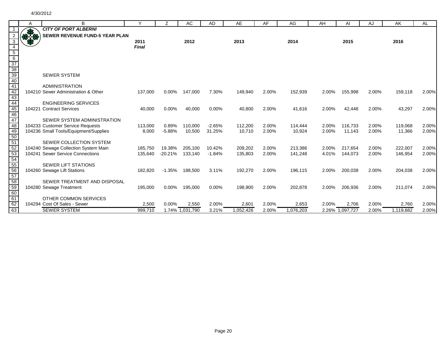|                                                               | A              | B                                                                        | Y                  | Z                   | <b>AC</b>          | AD                 | AE                 | AF             | AG                 | AH             | Al                 | AJ             | AK                 | <b>AL</b>      |
|---------------------------------------------------------------|----------------|--------------------------------------------------------------------------|--------------------|---------------------|--------------------|--------------------|--------------------|----------------|--------------------|----------------|--------------------|----------------|--------------------|----------------|
|                                                               |                | <b>CITY OF PORT ALBERNI</b>                                              |                    |                     |                    |                    |                    |                |                    |                |                    |                |                    |                |
|                                                               | $\frac{1}{10}$ | <b>SEWER REVENUE FUND-5 YEAR PLAN</b>                                    |                    |                     |                    |                    |                    |                |                    |                |                    |                |                    |                |
| 3                                                             |                |                                                                          | 2011               |                     | 2012               |                    | 2013               |                | 2014               |                | 2015               |                | 2016               |                |
| 4                                                             |                |                                                                          | <b>Final</b>       |                     |                    |                    |                    |                |                    |                |                    |                |                    |                |
|                                                               |                |                                                                          |                    |                     |                    |                    |                    |                |                    |                |                    |                |                    |                |
|                                                               |                |                                                                          |                    |                     |                    |                    |                    |                |                    |                |                    |                |                    |                |
| $\frac{5}{6}$ $\frac{37}{38}$ $\frac{39}{40}$ $\frac{40}{43}$ |                |                                                                          |                    |                     |                    |                    |                    |                |                    |                |                    |                |                    |                |
|                                                               |                |                                                                          |                    |                     |                    |                    |                    |                |                    |                |                    |                |                    |                |
|                                                               |                | <b>SEWER SYSTEM</b>                                                      |                    |                     |                    |                    |                    |                |                    |                |                    |                |                    |                |
|                                                               |                |                                                                          |                    |                     |                    |                    |                    |                |                    |                |                    |                |                    |                |
|                                                               |                | <b>ADMINISTRATION</b>                                                    |                    |                     |                    |                    |                    |                |                    |                |                    |                |                    |                |
|                                                               |                | 104210 Sewer Administration & Other                                      | 137,000            | $0.00\%$            | 147,000            | 7.30%              | 149,940            | 2.00%          | 152,939            | 2.00%          | 155,998            | 2.00%          | 159,118            | 2.00%          |
|                                                               |                |                                                                          |                    |                     |                    |                    |                    |                |                    |                |                    |                |                    |                |
| 44<br>45                                                      |                | <b>ENGINEERING SERVICES</b>                                              |                    |                     |                    |                    |                    |                |                    |                |                    |                |                    |                |
|                                                               |                | 104221 Contract Services                                                 | 40,000             | 0.00%               | 40,000             | 0.00%              | 40,800             | 2.00%          | 41,616             | 2.00%          | 42,448             | 2.00%          | 43,297             | 2.00%          |
| $\frac{1}{46}$                                                |                |                                                                          |                    |                     |                    |                    |                    |                |                    |                |                    |                |                    |                |
| 47                                                            |                | SEWER SYSTEM ADMINISTRATION                                              |                    |                     |                    |                    |                    |                |                    |                |                    |                |                    |                |
| $\overline{48}$                                               |                | 104233 Customer Service Requests                                         | 113,000            | 0.89%               | 110.000            | $-2.65%$           | 112,200            | 2.00%          | 114.444            | 2.00%          | 116.733            | 2.00%          | 119,068            | 2.00%          |
| 49<br>$\frac{1}{50}$                                          |                | 104236 Small Tools/Equipment/Supplies                                    | 8,000              | $-5.88%$            | 10,500             | 31.25%             | 10,710             | 2.00%          | 10,924             | 2.00%          | 11,143             | 2.00%          | 11,366             | 2.00%          |
| 51                                                            |                | SEWER COLLECTION SYSTEM                                                  |                    |                     |                    |                    |                    |                |                    |                |                    |                |                    |                |
| $\overline{52}$                                               |                |                                                                          |                    |                     |                    |                    |                    |                |                    |                |                    |                |                    |                |
| 53                                                            |                | 104240 Sewage Collection System Main<br>104241 Sewer Service Connections | 185.750<br>135,640 | 19.38%<br>$-20.21%$ | 205.100<br>133,140 | 10.42%<br>$-1.84%$ | 209,202<br>135,803 | 2.00%<br>2.00% | 213.386<br>141,248 | 2.00%<br>4.01% | 217.654<br>144,073 | 2.00%<br>2.00% | 222,007<br>146,954 | 2.00%<br>2.00% |
|                                                               |                |                                                                          |                    |                     |                    |                    |                    |                |                    |                |                    |                |                    |                |
|                                                               |                | <b>SEWER LIFT STATIONS</b>                                               |                    |                     |                    |                    |                    |                |                    |                |                    |                |                    |                |
| 54<br>55<br>56<br>57                                          |                | 104260 Sewage Lift Stations                                              | 182,820            | $-1.35%$            | 188,500            | 3.11%              | 192,270            | 2.00%          | 196,115            | 2.00%          | 200,038            | 2.00%          | 204,038            | 2.00%          |
|                                                               |                |                                                                          |                    |                     |                    |                    |                    |                |                    |                |                    |                |                    |                |
| 58                                                            |                | SEWER TREATMENT AND DISPOSAL                                             |                    |                     |                    |                    |                    |                |                    |                |                    |                |                    |                |
|                                                               |                | 104280 Sewage Treatment                                                  | 195,000            | $0.00\%$            | 195,000            | 0.00%              | 198,900            | 2.00%          | 202,878            | 2.00%          | 206,936            | 2.00%          | 211,074            | 2.00%          |
|                                                               |                |                                                                          |                    |                     |                    |                    |                    |                |                    |                |                    |                |                    |                |
| $\frac{68}{59}$<br>60<br>61                                   |                | OTHER COMMON SERVICES                                                    |                    |                     |                    |                    |                    |                |                    |                |                    |                |                    |                |
| $\frac{1}{62}$                                                |                | 104294 Cost Of Sales - Sewer                                             | 2,500              | 0.00%               | 2,550              | 2.00%              | 2,601              | 2.00%          | 2,653              | 2.00%          | 2,706              | 2.00%          | 2,760              | 2.00%          |
| $\overline{63}$                                               |                | <b>SEWER SYSTEM</b>                                                      | 999.710            |                     | 1.74% 1,031,790    | 3.21%              | 1,052,426          | 2.00%          | 1,076,203          |                | 2.26% 1,097,727    | 2.00%          | 1,119,682          | 2.00%          |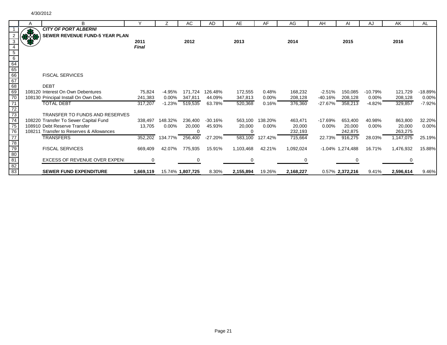|                                                                                       | Α   | B                                        | $\checkmark$ | $\overline{z}$  | AC                  | <b>AD</b>  | AE        | AF       | AG        | AH        | AI                  | AJ        | AK        | AL        |
|---------------------------------------------------------------------------------------|-----|------------------------------------------|--------------|-----------------|---------------------|------------|-----------|----------|-----------|-----------|---------------------|-----------|-----------|-----------|
|                                                                                       |     | <b>CITY OF PORT ALBERNI</b>              |              |                 |                     |            |           |          |           |           |                     |           |           |           |
|                                                                                       | 818 | SEWER REVENUE FUND-5 YEAR PLAN           |              |                 |                     |            |           |          |           |           |                     |           |           |           |
| 3                                                                                     |     |                                          | 2011         |                 | 2012                |            | 2013      |          | 2014      |           | 2015                |           | 2016      |           |
|                                                                                       |     |                                          | <b>Final</b> |                 |                     |            |           |          |           |           |                     |           |           |           |
|                                                                                       |     |                                          |              |                 |                     |            |           |          |           |           |                     |           |           |           |
| $\frac{4}{5}$ $\frac{6}{64}$<br>$\frac{64}{66}$<br>$\frac{65}{68}$<br>$\frac{67}{68}$ |     |                                          |              |                 |                     |            |           |          |           |           |                     |           |           |           |
|                                                                                       |     |                                          |              |                 |                     |            |           |          |           |           |                     |           |           |           |
|                                                                                       |     |                                          |              |                 |                     |            |           |          |           |           |                     |           |           |           |
|                                                                                       |     | <b>FISCAL SERVICES</b>                   |              |                 |                     |            |           |          |           |           |                     |           |           |           |
|                                                                                       |     |                                          |              |                 |                     |            |           |          |           |           |                     |           |           |           |
|                                                                                       |     | <b>DEBT</b>                              |              |                 |                     |            |           |          |           |           |                     |           |           |           |
|                                                                                       |     | 108120 Interest On Own Debentures        | 75,824       | $-4.95%$        | 171,724             | 126.48%    | 172,555   | 0.48%    | 168,232   | $-2.51%$  | 150,085             | $-10.79%$ | 121,729   | $-18.89%$ |
| $\frac{1}{70}$                                                                        |     | 108130 Principal Install On Own Deb.     | 241,383      | $0.00\%$        | 347,811             | 44.09%     | 347,813   | $0.00\%$ | 208,128   | $-40.16%$ | 208,128             | $0.00\%$  | 208,128   | 0.00%     |
| $\overline{71}$                                                                       |     | <b>TOTAL DEBT</b>                        | 317,207      |                 | $-1.23\% - 519,535$ | 63.78%     | 520,368   | 0.16%    | 376,360   | -27.67%   | 358,213             | $-4.82%$  | 329,857   | $-7.92%$  |
|                                                                                       |     |                                          |              |                 |                     |            |           |          |           |           |                     |           |           |           |
|                                                                                       |     | <b>TRANSFER TO FUNDS AND RESERVES</b>    |              |                 |                     |            |           |          |           |           |                     |           |           |           |
|                                                                                       |     | 108220 Transfer To Sewer Capital Fund    | 338,497      | 148.32%         | 236,400             | $-30.16%$  | 563,100   | 138.20%  | 463,471   | $-17.69%$ | 653,400             | 40.98%    | 863,800   | 32.20%    |
|                                                                                       |     | 108910 Debt Reserve Transfer             | 13,705       | $0.00\%$        | 20,000              | 45.93%     | 20,000    | $0.00\%$ | 20,000    | $0.00\%$  | 20,000              | $0.00\%$  | 20,000    | 0.00%     |
|                                                                                       |     | 108211 Transfer to Reserves & Allowances |              |                 |                     |            | $\Omega$  |          | 232,193   |           | 242,875             |           | 263,275   |           |
|                                                                                       |     | <b>TRANSFERS</b>                         | 352,202      | 134.77% 256,400 |                     | $-27.20\%$ | 583,100   | 127.42%  | 715,664   | 22.73%    | 916,275             | 28.03%    | 1,147,075 | 25.19%    |
|                                                                                       |     |                                          |              |                 |                     |            |           |          |           |           |                     |           |           |           |
|                                                                                       |     | <b>FISCAL SERVICES</b>                   | 669,409      | 42.07%          | 775,935             | 15.91%     | 1,103,468 | 42.21%   | 1,092,024 |           | $-1.04\%$ 1,274,488 | 16.71%    | 1,476,932 | 15.88%    |
| 72 73 74 75 76 77 78 79 80 81 82 83                                                   |     |                                          |              |                 |                     |            |           |          |           |           |                     |           |           |           |
|                                                                                       |     | <b>EXCESS OF REVENUE OVER EXPENI</b>     |              |                 |                     |            |           |          |           |           |                     |           | 0         |           |
|                                                                                       |     |                                          |              |                 |                     |            |           |          |           |           |                     |           |           |           |
|                                                                                       |     | <b>SEWER FUND EXPENDITURE</b>            | 1,669,119    |                 | 15.74% 1,807,725    | 8.30%      | 2,155,894 | 19.26%   | 2,168,227 |           | 0.57% 2,372,216     | 9.41%     | 2,596,614 | 9.46%     |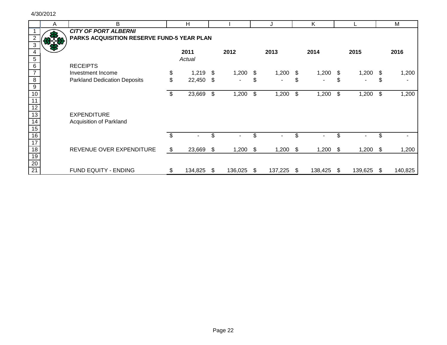|                 | A | B                                                 | H            |     |         |    | J       |     | K       |    |         |     | M       |
|-----------------|---|---------------------------------------------------|--------------|-----|---------|----|---------|-----|---------|----|---------|-----|---------|
|                 |   | <b>CITY OF PORT ALBERNI</b>                       |              |     |         |    |         |     |         |    |         |     |         |
|                 |   | <b>PARKS ACQUISITION RESERVE FUND-5 YEAR PLAN</b> |              |     |         |    |         |     |         |    |         |     |         |
| 3               |   |                                                   |              |     |         |    |         |     |         |    |         |     |         |
|                 |   |                                                   | 2011         |     | 2012    |    | 2013    |     | 2014    |    | 2015    |     | 2016    |
| $5\phantom{.0}$ |   |                                                   | Actual       |     |         |    |         |     |         |    |         |     |         |
| 6               |   | <b>RECEIPTS</b>                                   |              |     |         |    |         |     |         |    |         |     |         |
| $\overline{7}$  |   | Investment Income                                 | \$<br>1,219  | \$  | 1,200   | \$ | 1,200   | \$  | 1,200   | \$ | 1,200   | \$  | 1,200   |
| 8               |   | <b>Parkland Dedication Deposits</b>               | \$<br>22,450 | \$  |         | \$ |         |     |         |    |         | J.  |         |
| $\overline{9}$  |   |                                                   |              |     |         |    |         |     |         |    |         |     |         |
| 10              |   |                                                   | \$<br>23,669 | \$  | 1,200   | \$ | 1,200   | \$  | 1,200   | \$ | 1,200   | \$  | 1,200   |
| $\overline{11}$ |   |                                                   |              |     |         |    |         |     |         |    |         |     |         |
| $\overline{12}$ |   |                                                   |              |     |         |    |         |     |         |    |         |     |         |
| 13              |   | <b>EXPENDITURE</b>                                |              |     |         |    |         |     |         |    |         |     |         |
| $\overline{14}$ |   | Acquisition of Parkland                           |              |     |         |    |         |     |         |    |         |     |         |
| 15              |   |                                                   |              |     |         |    |         |     |         |    |         |     |         |
| 16              |   |                                                   | \$<br>۰.     | \$. | ۰       | \$ | ٠       |     | -       |    |         | \$. |         |
| 17              |   |                                                   |              |     |         |    |         |     |         |    |         |     |         |
| $\overline{18}$ |   | REVENUE OVER EXPENDITURE                          | \$<br>23,669 | \$  | 1,200   | S. | 1,200   | \$  | 1,200   | \$ | 1,200   | S.  | 1,200   |
| 19              |   |                                                   |              |     |         |    |         |     |         |    |         |     |         |
| 20              |   |                                                   |              |     |         |    |         |     |         |    |         |     |         |
| 21              |   | FUND EQUITY - ENDING                              | 134,825      | S   | 136,025 | \$ | 137,225 | \$. | 138,425 | -S | 139,625 | -SS | 140,825 |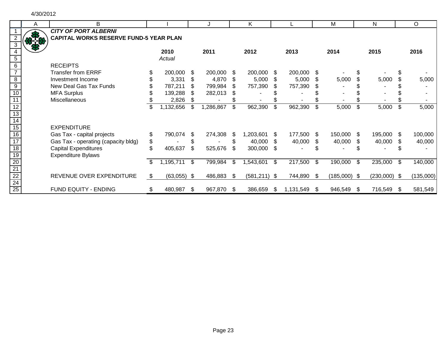| A | B                                             |                     |      |            |     | K              |      |           |      | M              |      | N              |      | O         |
|---|-----------------------------------------------|---------------------|------|------------|-----|----------------|------|-----------|------|----------------|------|----------------|------|-----------|
|   | <b>CITY OF PORT ALBERNI</b>                   |                     |      |            |     |                |      |           |      |                |      |                |      |           |
|   | <b>CAPITAL WORKS RESERVE FUND-5 YEAR PLAN</b> |                     |      |            |     |                |      |           |      |                |      |                |      |           |
|   |                                               | 2010<br>Actual      |      | 2011       |     | 2012           |      | 2013      |      | 2014           |      | 2015           |      | 2016      |
|   | <b>RECEIPTS</b>                               |                     |      |            |     |                |      |           |      |                |      |                |      |           |
|   | <b>Transfer from ERRF</b>                     | 200,000             | \$.  | 200,000    | -S  | 200,000        | -\$  | 200,000   | \$   |                |      |                | \$   |           |
|   | Investment Income                             | 3,331               |      | 4,870      | S.  | 5,000          | \$   | 5,000     | S    | 5,000          |      | 5,000          |      | 5,000     |
|   | New Deal Gas Tax Funds                        | 787,211             | \$.  | 799,984    | \$. | 757,390        |      | 757,390   | \$.  |                |      |                |      |           |
|   | <b>MFA Surplus</b>                            | 139,288             | \$.  | 282,013    |     |                |      |           |      |                |      |                |      |           |
|   | Miscellaneous                                 | 2,826               |      |            |     |                |      |           |      |                |      |                |      |           |
|   |                                               | \$<br>1,132,656     | \$   | 1,286,867  | \$  | 962,390        | \$   | 962,390   | \$   | 5,000          | \$   | 5,000          | \$   | 5,000     |
|   | <b>EXPENDITURE</b>                            |                     |      |            |     |                |      |           |      |                |      |                |      |           |
|   | Gas Tax - capital projects                    | \$<br>790,074       | \$.  | 274,308    | \$  | 1,203,601      | S.   | 177,500   | - \$ | 150,000        | - \$ | 195,000        | \$.  | 100,000   |
|   | Gas Tax - operating (capacity bldg)           | \$                  |      |            | \$  | 40,000         | \$.  | 40,000    | S    | 40,000         | S    | 40,000         | S    | 40,000    |
|   | <b>Capital Expenditures</b>                   | 405,637             | \$   | 525,676    | \$  | 300,000        | -\$  |           |      |                |      |                |      |           |
|   | <b>Expenditure Bylaws</b>                     | \$                  | \$   | 799,984    | \$  |                | \$   |           | \$   | 190,000        | \$   | 235,000        | \$   |           |
|   |                                               | 1,195,711           |      |            |     | 1,543,601      |      | 217,500   |      |                |      |                |      | 140,000   |
|   | REVENUE OVER EXPENDITURE                      | \$<br>$(63,055)$ \$ |      | 486,883    | S.  | $(581,211)$ \$ |      | 744,890   | - \$ | $(185,000)$ \$ |      | $(230,000)$ \$ |      | (135,000) |
|   | FUND EQUITY - ENDING                          | \$<br>480,987       | - \$ | 967,870 \$ |     | 386,659        | - \$ | 1,131,549 | -SS  | 946,549        | - \$ | 716,549        | - \$ | 581,549   |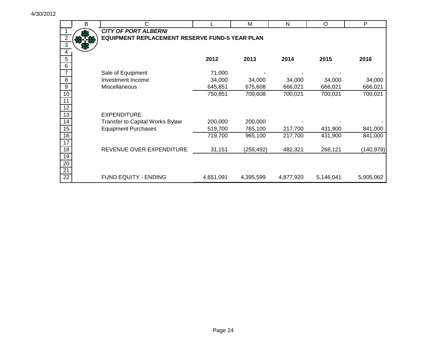|                     | В | C.                                                    |           | M         | N         | O         | P          |
|---------------------|---|-------------------------------------------------------|-----------|-----------|-----------|-----------|------------|
|                     |   | <b>CITY OF PORT ALBERNI</b>                           |           |           |           |           |            |
|                     |   | <b>EQUIPMENT REPLACEMENT RESERVE FUND-5 YEAR PLAN</b> |           |           |           |           |            |
| $\overline{\omega}$ |   |                                                       |           |           |           |           |            |
| $\overline{4}$      |   |                                                       |           |           |           |           |            |
| 5                   |   |                                                       | 2012      | 2013      | 2014      | 2015      | 2016       |
| $6\phantom{1}6$     |   |                                                       |           |           |           |           |            |
|                     |   | Sale of Equipment                                     | 71,000    |           |           |           |            |
| 8                   |   | Investment Income                                     | 34,000    | 34,000    | 34,000    | 34,000    | 34,000     |
| $9\,$               |   | Miscellaneous                                         | 645,851   | 675,608   | 666,021   | 666,021   | 666,021    |
| 10                  |   |                                                       | 750,851   | 709,608   | 700,021   | 700,021   | 700,021    |
| 11                  |   |                                                       |           |           |           |           |            |
| 12                  |   |                                                       |           |           |           |           |            |
| 13                  |   | <b>EXPENDITURE</b>                                    |           |           |           |           |            |
| 14                  |   | Transfer to Capital Works Bylaw                       | 200,000   | 200,000   |           |           |            |
| 15                  |   | <b>Equipment Purchases</b>                            | 519,700   | 765,100   | 217,700   | 431,900   | 841,000    |
| 16                  |   |                                                       | 719,700   | 965,100   | 217,700   | 431,900   | 841,000    |
| 17                  |   |                                                       |           |           |           |           |            |
| 18                  |   | REVENUE OVER EXPENDITURE                              | 31,151    | (255,492) | 482,321   | 268,121   | (140, 979) |
| 19                  |   |                                                       |           |           |           |           |            |
| 20                  |   |                                                       |           |           |           |           |            |
| 21                  |   |                                                       |           |           |           |           |            |
| 22                  |   | <b>FUND EQUITY - ENDING</b>                           | 4,651,091 | 4,395,599 | 4,877,920 | 5,146,041 | 5,005,062  |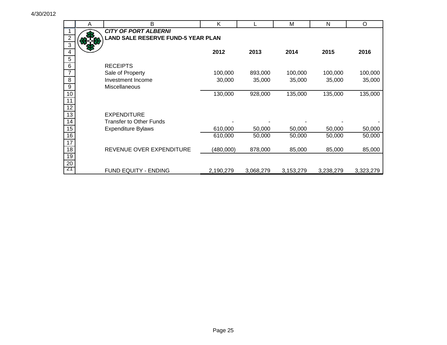|                         | A | B                                         | K         |           | М         | N         | O         |
|-------------------------|---|-------------------------------------------|-----------|-----------|-----------|-----------|-----------|
|                         |   | <b>CITY OF PORT ALBERNI</b>               |           |           |           |           |           |
| $\overline{\mathbf{c}}$ |   | <b>LAND SALE RESERVE FUND-5 YEAR PLAN</b> |           |           |           |           |           |
| $\overline{3}$          |   |                                           |           |           |           |           |           |
| 4                       |   |                                           | 2012      | 2013      | 2014      | 2015      | 2016      |
| 5                       |   |                                           |           |           |           |           |           |
| 6                       |   | <b>RECEIPTS</b>                           |           |           |           |           |           |
| $\overline{7}$          |   | Sale of Property                          | 100,000   | 893,000   | 100,000   | 100,000   | 100,000   |
| $\, 8$                  |   | Investment Income                         | 30,000    | 35,000    | 35,000    | 35,000    | 35,000    |
| $\boldsymbol{9}$        |   | <b>Miscellaneous</b>                      |           |           |           |           |           |
| 10                      |   |                                           | 130,000   | 928,000   | 135,000   | 135,000   | 135,000   |
| $\overline{11}$         |   |                                           |           |           |           |           |           |
| $\overline{12}$         |   |                                           |           |           |           |           |           |
| $\overline{13}$         |   | <b>EXPENDITURE</b>                        |           |           |           |           |           |
| $\overline{14}$         |   | <b>Transfer to Other Funds</b>            |           |           |           |           |           |
| 15                      |   | <b>Expenditure Bylaws</b>                 | 610,000   | 50,000    | 50,000    | 50,000    | 50,000    |
| 16                      |   |                                           | 610,000   | 50,000    | 50,000    | 50,000    | 50,000    |
| $\overline{17}$         |   |                                           |           |           |           |           |           |
| 18                      |   | REVENUE OVER EXPENDITURE                  | (480,000) | 878,000   | 85,000    | 85,000    | 85,000    |
| 19                      |   |                                           |           |           |           |           |           |
| $\overline{20}$         |   |                                           |           |           |           |           |           |
| 21                      |   | FUND EQUITY - ENDING                      | 2,190,279 | 3,068,279 | 3,153,279 | 3,238,279 | 3,323,279 |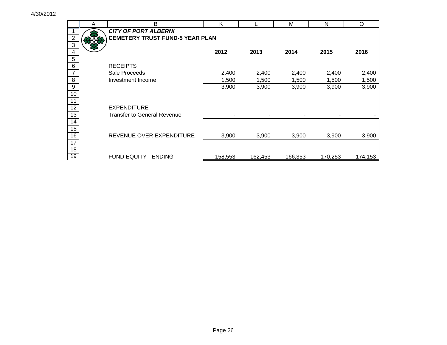|                         | A | B                                      | Κ       |         | M       | N       | O       |
|-------------------------|---|----------------------------------------|---------|---------|---------|---------|---------|
|                         |   | <b>CITY OF PORT ALBERNI</b>            |         |         |         |         |         |
| $\overline{c}$          |   | <b>CEMETERY TRUST FUND-5 YEAR PLAN</b> |         |         |         |         |         |
| $\overline{3}$          |   |                                        |         |         |         |         |         |
| $\overline{\mathbf{4}}$ |   |                                        | 2012    | 2013    | 2014    | 2015    | 2016    |
| $\sqrt{5}$              |   |                                        |         |         |         |         |         |
| $\,6$                   |   | <b>RECEIPTS</b>                        |         |         |         |         |         |
| $\overline{7}$          |   | Sale Proceeds                          | 2,400   | 2,400   | 2,400   | 2,400   | 2,400   |
| 8                       |   | Investment Income                      | 1,500   | 1,500   | 1,500   | 1,500   | 1,500   |
| $\boldsymbol{9}$        |   |                                        | 3,900   | 3,900   | 3,900   | 3,900   | 3,900   |
| 10                      |   |                                        |         |         |         |         |         |
| $\overline{11}$         |   |                                        |         |         |         |         |         |
| $\overline{12}$         |   | <b>EXPENDITURE</b>                     |         |         |         |         |         |
| 13                      |   | <b>Transfer to General Revenue</b>     |         |         |         |         |         |
| $\overline{14}$         |   |                                        |         |         |         |         |         |
| 15                      |   |                                        |         |         |         |         |         |
| 16                      |   | REVENUE OVER EXPENDITURE               | 3,900   | 3,900   | 3,900   | 3,900   | 3,900   |
| $\overline{17}$         |   |                                        |         |         |         |         |         |
| 18                      |   |                                        |         |         |         |         |         |
| $\overline{19}$         |   | FUND EQUITY - ENDING                   | 158,553 | 162,453 | 166,353 | 170,253 | 174,153 |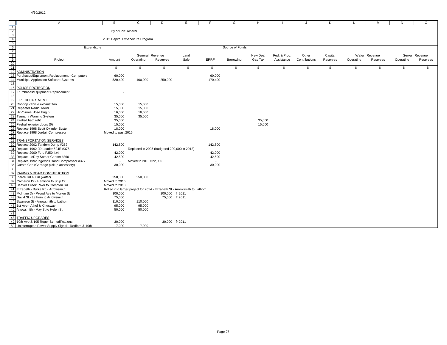| $\overline{A}$                                        | B                        | C                                                                         | D               | Е              | F.      | G               | H        |              | J.            | ĸ        |           | M             | N         | $\Omega$      |
|-------------------------------------------------------|--------------------------|---------------------------------------------------------------------------|-----------------|----------------|---------|-----------------|----------|--------------|---------------|----------|-----------|---------------|-----------|---------------|
| $\overline{1}$                                        |                          |                                                                           |                 |                |         |                 |          |              |               |          |           |               |           |               |
| $\frac{1}{10}$                                        | City of Port Alberni     |                                                                           |                 |                |         |                 |          |              |               |          |           |               |           |               |
|                                                       |                          |                                                                           |                 |                |         |                 |          |              |               |          |           |               |           |               |
|                                                       |                          | 2012 Capital Expenditure Program                                          |                 |                |         |                 |          |              |               |          |           |               |           |               |
|                                                       |                          |                                                                           |                 |                |         |                 |          |              |               |          |           |               |           |               |
| Expenditure                                           |                          |                                                                           |                 |                |         | Source of Funds |          |              |               |          |           |               |           |               |
|                                                       |                          |                                                                           |                 |                |         |                 |          |              |               |          |           |               |           |               |
|                                                       |                          | General Revenue                                                           |                 | Land           |         |                 | New Deal | Fed. & Prov. | Other         | Capital  |           | Water Revenue |           | Sewer Revenue |
| Project                                               | <b>Amount</b>            | Operating                                                                 | Reserves        | Sale           | ERRF    | Borrowing       | Gas Tax  | Assistance   | Contributions | Reserves | Operating | Reserves      | Operating | Reserves      |
|                                                       |                          |                                                                           |                 |                |         |                 |          |              |               |          |           |               |           |               |
| $\overline{11}$                                       | \$                       | \$                                                                        | -S              | \$             | \$      | -S              | \$       | \$           | \$            | -S       | \$        | - \$          | S.        | \$.           |
| 12 ADMINISTRATION                                     |                          |                                                                           |                 |                |         |                 |          |              |               |          |           |               |           |               |
| 13 Purchases/Equipment Replacement - Computers        | 60,000                   |                                                                           |                 |                | 60,000  |                 |          |              |               |          |           |               |           |               |
| 14 Municipal Application Software Systems             | 520,400                  | 100,000                                                                   | 250,000         |                | 170,400 |                 |          |              |               |          |           |               |           |               |
| 15                                                    |                          |                                                                           |                 |                |         |                 |          |              |               |          |           |               |           |               |
| 16 POLICE PROTECTION                                  |                          |                                                                           |                 |                |         |                 |          |              |               |          |           |               |           |               |
| 17 Purchases/Equipment Replacement                    |                          |                                                                           |                 |                |         |                 |          |              |               |          |           |               |           |               |
| 18                                                    |                          |                                                                           |                 |                |         |                 |          |              |               |          |           |               |           |               |
| 19 FIRE DEPARTMENT                                    |                          |                                                                           |                 |                |         |                 |          |              |               |          |           |               |           |               |
| 20 Rooftop vehicle exhaust fan                        | 15,000                   | 15,000                                                                    |                 |                |         |                 |          |              |               |          |           |               |           |               |
| 21 Repeater Radio Tower                               | 15,000                   | 15,000                                                                    |                 |                |         |                 |          |              |               |          |           |               |           |               |
| 22 Hi Volume Hose Eng 5                               | 16,000                   | 16,000                                                                    |                 |                |         |                 |          |              |               |          |           |               |           |               |
| 23 Tsunami Warning System                             |                          | 35,000                                                                    |                 |                |         |                 |          |              |               |          |           |               |           |               |
| 24 Firehall bath refit                                | 35,000                   |                                                                           |                 |                |         |                 |          |              |               |          |           |               |           |               |
|                                                       | 35,000                   |                                                                           |                 |                |         |                 | 35,000   |              |               |          |           |               |           |               |
| 25 Firehall exterior doors (6)                        | 15,000                   |                                                                           |                 |                |         |                 | 15,000   |              |               |          |           |               |           |               |
| 26 Replace 1998 Scott Cylinder System                 | 18,000                   |                                                                           |                 |                | 18,000  |                 |          |              |               |          |           |               |           |               |
| 27 Replace 1998 Jordair Compressor                    | Moved to past 2016       |                                                                           |                 |                |         |                 |          |              |               |          |           |               |           |               |
| 28                                                    |                          |                                                                           |                 |                |         |                 |          |              |               |          |           |               |           |               |
| 29 TRANSPORTATION SERVICES                            |                          |                                                                           |                 |                |         |                 |          |              |               |          |           |               |           |               |
| 30 Replace 2002 Tandem Dump #262                      | 142,800                  |                                                                           |                 |                | 142,800 |                 |          |              |               |          |           |               |           |               |
| 31 Replace 1992 JD Loader 624E #376                   | $\blacksquare$           | Replaced in 2005 (budgeted 209,000 in 2012)                               |                 |                | $\sim$  |                 |          |              |               |          |           |               |           |               |
| 32 Replace 2000 Ford F350 4x4                         | 42,000                   |                                                                           |                 |                | 42,000  |                 |          |              |               |          |           |               |           |               |
| 33 Replace LeRoy Somer Genset #360                    | 42,500                   |                                                                           |                 |                | 42,500  |                 |          |              |               |          |           |               |           |               |
| 34 Replace 1992 Ingersoll Rand Compressor #377        | $\overline{\phantom{a}}$ | Moved to 2013 \$22,000                                                    |                 |                | $\sim$  |                 |          |              |               |          |           |               |           |               |
| 35 Curato Can (Garbage pickup accessory)              | 30,000                   |                                                                           |                 |                | 30,000  |                 |          |              |               |          |           |               |           |               |
| 36                                                    |                          |                                                                           |                 |                |         |                 |          |              |               |          |           |               |           |               |
| 37 PAVING & ROAD CONSTRUCTION                         |                          |                                                                           |                 |                |         |                 |          |              |               |          |           |               |           |               |
| 38 Pierce Rd 400m (water)                             | 250,000                  | 250,000                                                                   |                 |                |         |                 |          |              |               |          |           |               |           |               |
| 39 Cameron Dr - Hamilton to Ship Cr                   | Moved to 2016            |                                                                           |                 |                |         |                 |          |              |               |          |           |               |           |               |
| 40 Beaver Creek River to Compton Rd                   | Moved to 2013            |                                                                           |                 |                |         |                 |          |              |               |          |           |               |           |               |
| 41 Elizabeth - Burke Rd - Arrowsmith                  |                          | Rolled into larger project for 2014 - Elizabeth St - Arrowsmith to Lathom |                 |                |         |                 |          |              |               |          |           |               |           |               |
| 42 McIntyre Dr - Wood Ave to Morton St                | 100,000                  |                                                                           | 100,000 fr 2011 |                |         |                 |          |              |               |          |           |               |           |               |
| 43 David St - Lathom to Arrowsmith                    | 75,000                   |                                                                           |                 | 75,000 fr 2011 |         |                 |          |              |               |          |           |               |           |               |
| 44 Swanson St - Arrowsmith to Lathom                  | 110,000                  | 110,000                                                                   |                 |                |         |                 |          |              |               |          |           |               |           |               |
| 45 1st Ave - Athol & Kingsway                         | 95,000                   | 95,000                                                                    |                 |                |         |                 |          |              |               |          |           |               |           |               |
| 46 Arrowsmith - May St to Helen St                    | 50,000                   | 50,000                                                                    |                 |                |         |                 |          |              |               |          |           |               |           |               |
| 47                                                    |                          |                                                                           |                 |                |         |                 |          |              |               |          |           |               |           |               |
| 48 TRAFFIC UPGRADES                                   |                          |                                                                           |                 |                |         |                 |          |              |               |          |           |               |           |               |
| 49 10th Ave & 195 Roger St modifications              | 30,000                   |                                                                           |                 | 30,000 fr 2011 |         |                 |          |              |               |          |           |               |           |               |
| 50 Uninterrupted Power Supply Signal - Redford & 10th | 7,000                    | 7,000                                                                     |                 |                |         |                 |          |              |               |          |           |               |           |               |
|                                                       |                          |                                                                           |                 |                |         |                 |          |              |               |          |           |               |           |               |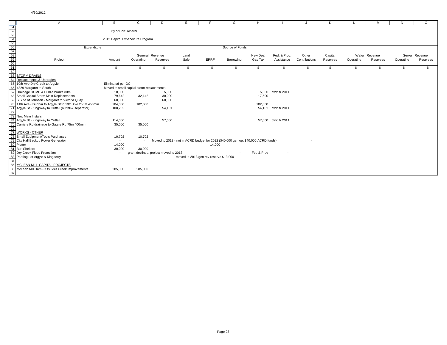| A<br>A<br>$\frac{51}{\frac{52}{100}}$<br>$\frac{53}{\frac{54}{100}}$<br>$\frac{54}{\frac{56}{100}}$<br>$\frac{62}{\frac{62}{100}}$<br>$\frac{63}{\frac{63}{100}}$<br>$\frac{64}{\frac{64}{100}}$<br>$\frac{64}{\frac{64}{100}}$<br>$\frac{64}{\frac{64}{100}}$<br>$\frac{64}{\frac{64}{100}}$<br>$\frac{64}{\frac{64}{100}}$<br>$\frac{64}{\frac{64}{100}}$ | B                    | C                                         | D        | Е                                      |        | G                                                                                  | H          |                     |               | K        |           | M             | N         | $\circ$       |
|-------------------------------------------------------------------------------------------------------------------------------------------------------------------------------------------------------------------------------------------------------------------------------------------------------------------------------------------------------------|----------------------|-------------------------------------------|----------|----------------------------------------|--------|------------------------------------------------------------------------------------|------------|---------------------|---------------|----------|-----------|---------------|-----------|---------------|
|                                                                                                                                                                                                                                                                                                                                                             |                      |                                           |          |                                        |        |                                                                                    |            |                     |               |          |           |               |           |               |
|                                                                                                                                                                                                                                                                                                                                                             | City of Port Alberni |                                           |          |                                        |        |                                                                                    |            |                     |               |          |           |               |           |               |
|                                                                                                                                                                                                                                                                                                                                                             |                      |                                           |          |                                        |        |                                                                                    |            |                     |               |          |           |               |           |               |
|                                                                                                                                                                                                                                                                                                                                                             |                      | 2012 Capital Expenditure Program          |          |                                        |        |                                                                                    |            |                     |               |          |           |               |           |               |
|                                                                                                                                                                                                                                                                                                                                                             |                      |                                           |          |                                        |        |                                                                                    |            |                     |               |          |           |               |           |               |
|                                                                                                                                                                                                                                                                                                                                                             |                      |                                           |          |                                        |        | Source of Funds                                                                    |            |                     |               |          |           |               |           |               |
|                                                                                                                                                                                                                                                                                                                                                             |                      |                                           |          |                                        |        |                                                                                    |            |                     |               |          |           |               |           |               |
|                                                                                                                                                                                                                                                                                                                                                             |                      | General Revenue                           |          | Land                                   |        |                                                                                    | New Deal   | Fed. & Prov.        | Other         | Capital  |           | Water Revenue |           | Sewer Revenue |
|                                                                                                                                                                                                                                                                                                                                                             | Amount               | Operating                                 | Reserves | Sale                                   | ERRF   | Borrowing                                                                          | Gas Tax    | Assistance          | Contributions | Reserves | Operating | Reserves      | Operating | Reserves      |
|                                                                                                                                                                                                                                                                                                                                                             |                      |                                           |          |                                        |        |                                                                                    |            |                     |               |          |           |               |           |               |
|                                                                                                                                                                                                                                                                                                                                                             | \$                   |                                           |          | \$                                     | \$     | -S                                                                                 | \$         | \$                  | S             | -S       |           |               |           |               |
|                                                                                                                                                                                                                                                                                                                                                             |                      |                                           |          |                                        |        |                                                                                    |            |                     |               |          |           |               |           |               |
|                                                                                                                                                                                                                                                                                                                                                             |                      |                                           |          |                                        |        |                                                                                    |            |                     |               |          |           |               |           |               |
|                                                                                                                                                                                                                                                                                                                                                             |                      |                                           |          |                                        |        |                                                                                    |            |                     |               |          |           |               |           |               |
|                                                                                                                                                                                                                                                                                                                                                             | Eliminated per GC    |                                           |          |                                        |        |                                                                                    |            |                     |               |          |           |               |           |               |
|                                                                                                                                                                                                                                                                                                                                                             |                      | Moved to small capital storm replacements |          |                                        |        |                                                                                    |            |                     |               |          |           |               |           |               |
|                                                                                                                                                                                                                                                                                                                                                             | 10,000               |                                           | 5,000    |                                        |        |                                                                                    |            | 5.000 cfwd fr 2011  |               |          |           |               |           |               |
|                                                                                                                                                                                                                                                                                                                                                             | 79,642               | 32,142                                    | 30,000   |                                        |        |                                                                                    | 17,500     |                     |               |          |           |               |           |               |
|                                                                                                                                                                                                                                                                                                                                                             | 60,000               |                                           | 60,000   |                                        |        |                                                                                    |            |                     |               |          |           |               |           |               |
|                                                                                                                                                                                                                                                                                                                                                             | 204,000              | 102,000                                   |          |                                        |        |                                                                                    | 102,000    |                     |               |          |           |               |           |               |
|                                                                                                                                                                                                                                                                                                                                                             | 108,202              |                                           | 54,101   |                                        |        |                                                                                    |            | 54,101 cfwd fr 2011 |               |          |           |               |           |               |
|                                                                                                                                                                                                                                                                                                                                                             |                      |                                           |          |                                        |        |                                                                                    |            |                     |               |          |           |               |           |               |
|                                                                                                                                                                                                                                                                                                                                                             |                      |                                           |          |                                        |        |                                                                                    |            |                     |               |          |           |               |           |               |
|                                                                                                                                                                                                                                                                                                                                                             | 114,000              |                                           | 57,000   |                                        |        |                                                                                    |            | 57,000 cfwd fr 2011 |               |          |           |               |           |               |
|                                                                                                                                                                                                                                                                                                                                                             | 35,000               | 35,000                                    |          |                                        |        |                                                                                    |            |                     |               |          |           |               |           |               |
|                                                                                                                                                                                                                                                                                                                                                             |                      |                                           |          |                                        |        |                                                                                    |            |                     |               |          |           |               |           |               |
|                                                                                                                                                                                                                                                                                                                                                             |                      |                                           |          |                                        |        |                                                                                    |            |                     |               |          |           |               |           |               |
|                                                                                                                                                                                                                                                                                                                                                             | 10,702               | 10,702                                    |          |                                        |        |                                                                                    |            |                     |               |          |           |               |           |               |
|                                                                                                                                                                                                                                                                                                                                                             | $\sim$               |                                           |          |                                        |        | Moved to 2013 - not in ACRD budget for 2012 (\$40,000 gen op, \$40,000 ACRD funds) |            |                     |               |          |           |               |           |               |
|                                                                                                                                                                                                                                                                                                                                                             | 14,000               |                                           |          |                                        | 14,000 |                                                                                    |            |                     |               |          |           |               |           |               |
|                                                                                                                                                                                                                                                                                                                                                             | 30,000               | 30,000                                    |          |                                        |        |                                                                                    |            |                     |               |          |           |               |           |               |
|                                                                                                                                                                                                                                                                                                                                                             |                      | grant declined, project moved to 2013     |          |                                        |        |                                                                                    | Fed & Prov |                     |               |          |           |               |           |               |
|                                                                                                                                                                                                                                                                                                                                                             |                      |                                           |          | moved to 2013 gen rev reserve \$13,000 |        |                                                                                    |            |                     |               |          |           |               |           |               |
|                                                                                                                                                                                                                                                                                                                                                             |                      |                                           |          |                                        |        |                                                                                    |            |                     |               |          |           |               |           |               |
|                                                                                                                                                                                                                                                                                                                                                             |                      |                                           |          |                                        |        |                                                                                    |            |                     |               |          |           |               |           |               |
|                                                                                                                                                                                                                                                                                                                                                             | 285,000              | 285,000                                   |          |                                        |        |                                                                                    |            |                     |               |          |           |               |           |               |
| 78 Small Equipment/Tools Purchases<br>78 City Hall Backup Power Generator<br>80 Plotter<br>81 Bus Shelters<br>82 Dry Creek Flood Protection<br>83 Parking Lot Argyle & Kingsway<br>84 MCLEAN MILL CAPITAL PROJECTS<br>86 MCLEAN MILL CAPITAL                                                                                                                |                      |                                           |          |                                        |        |                                                                                    |            |                     |               |          |           |               |           |               |
|                                                                                                                                                                                                                                                                                                                                                             |                      |                                           |          |                                        |        |                                                                                    |            |                     |               |          |           |               |           |               |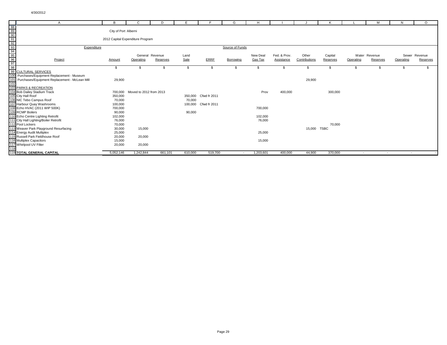| A                                                                                                                                                                                                                                                                        | B                                | C                       | D               | E       |              | G               | Н         |              |               |          |           | м             | N         | $\Omega$      |
|--------------------------------------------------------------------------------------------------------------------------------------------------------------------------------------------------------------------------------------------------------------------------|----------------------------------|-------------------------|-----------------|---------|--------------|-----------------|-----------|--------------|---------------|----------|-----------|---------------|-----------|---------------|
|                                                                                                                                                                                                                                                                          |                                  |                         |                 |         |              |                 |           |              |               |          |           |               |           |               |
|                                                                                                                                                                                                                                                                          | City of Port Alberni             |                         |                 |         |              |                 |           |              |               |          |           |               |           |               |
|                                                                                                                                                                                                                                                                          |                                  |                         |                 |         |              |                 |           |              |               |          |           |               |           |               |
|                                                                                                                                                                                                                                                                          | 2012 Capital Expenditure Program |                         |                 |         |              |                 |           |              |               |          |           |               |           |               |
|                                                                                                                                                                                                                                                                          |                                  |                         |                 |         |              |                 |           |              |               |          |           |               |           |               |
| Expenditure                                                                                                                                                                                                                                                              |                                  |                         |                 |         |              | Source of Funds |           |              |               |          |           |               |           |               |
|                                                                                                                                                                                                                                                                          |                                  |                         |                 |         |              |                 |           |              |               |          |           |               |           |               |
|                                                                                                                                                                                                                                                                          |                                  |                         | General Revenue | Land    |              |                 | New Deal  | Fed. & Prov. | Other         | Capital  |           | Water Revenue |           | Sewer Revenue |
|                                                                                                                                                                                                                                                                          | Amount                           | Operating               | Reserves        | Sale    | ERRF         | Borrowing       | Gas Tax   | Assistance   | Contributions | Reserves | Operating | Reserves      | Operating | Reserves      |
| A<br>88<br>99<br>99<br>99<br>99<br>99<br>99<br>99<br>CULTURAL SERVICES<br>99<br>99<br>CULTURAL SERVICES<br>99<br>PICORE PRICES<br>100<br>Puchases/Equipment Replacement - McLean Mill<br>102<br>102<br>2ARKS & RECREATION<br>104 Bob Dailey Stadium Track<br>105 City Ha |                                  |                         |                 |         |              |                 |           |              |               |          |           |               |           |               |
|                                                                                                                                                                                                                                                                          | - SS                             |                         |                 |         |              |                 |           |              |               |          |           |               |           |               |
|                                                                                                                                                                                                                                                                          |                                  |                         |                 |         |              |                 |           |              |               |          |           |               |           |               |
|                                                                                                                                                                                                                                                                          |                                  |                         |                 |         |              |                 |           |              |               |          |           |               |           |               |
|                                                                                                                                                                                                                                                                          | 29,900                           |                         |                 |         |              |                 |           |              | 29,900        |          |           |               |           |               |
|                                                                                                                                                                                                                                                                          |                                  |                         |                 |         |              |                 |           |              |               |          |           |               |           |               |
|                                                                                                                                                                                                                                                                          |                                  |                         |                 |         |              |                 |           |              |               |          |           |               |           |               |
|                                                                                                                                                                                                                                                                          | 700.000                          | Moved to 2012 from 2013 |                 |         |              |                 | Prov      | 400,000      |               | 300,000  |           |               |           |               |
|                                                                                                                                                                                                                                                                          | 350,000                          |                         |                 | 350,000 | Cfwd fr 2011 |                 |           |              |               |          |           |               |           |               |
|                                                                                                                                                                                                                                                                          | 70,000                           |                         |                 | 70,000  |              |                 |           |              |               |          |           |               |           |               |
|                                                                                                                                                                                                                                                                          | 100,000                          |                         |                 | 100,000 | Cfwd fr 2011 |                 |           |              |               |          |           |               |           |               |
|                                                                                                                                                                                                                                                                          | 700,000                          |                         |                 |         |              |                 | 700,000   |              |               |          |           |               |           |               |
|                                                                                                                                                                                                                                                                          | 90,000                           |                         |                 | 90,000  |              |                 |           |              |               |          |           |               |           |               |
|                                                                                                                                                                                                                                                                          | 102,000                          |                         |                 |         |              |                 | 102,000   |              |               |          |           |               |           |               |
|                                                                                                                                                                                                                                                                          | 76,000                           |                         |                 |         |              |                 | 76,000    |              |               |          |           |               |           |               |
|                                                                                                                                                                                                                                                                          | 70,000                           |                         |                 |         |              |                 |           |              |               | 70,000   |           |               |           |               |
|                                                                                                                                                                                                                                                                          | 30,000                           | 15,000                  |                 |         |              |                 |           |              | 15,000 TSBC   |          |           |               |           |               |
|                                                                                                                                                                                                                                                                          | 25,000                           |                         |                 |         |              |                 | 25,000    |              |               |          |           |               |           |               |
|                                                                                                                                                                                                                                                                          | 20,000                           | 20,000                  |                 |         |              |                 |           |              |               |          |           |               |           |               |
|                                                                                                                                                                                                                                                                          | 15,000                           |                         |                 |         |              |                 | 15,000    |              |               |          |           |               |           |               |
|                                                                                                                                                                                                                                                                          | 20,000                           | 20,000                  |                 |         |              |                 |           |              |               |          |           |               |           |               |
|                                                                                                                                                                                                                                                                          |                                  |                         |                 |         |              |                 |           |              |               |          |           |               |           |               |
| 107 Harbour Quay Washrooms<br>108 Echo HVAC (2011 WIP 500K)<br>109 RCMP Boilers<br>110 Echo Centre Lighting Retrofit<br>111 City Hall Lighting/Boiler Retrofit<br>112 Pool Lockers<br>113 Weaver Park Playground Resurfacing<br>114 Energy A                             | 5,052,146                        | 1,242,844               | 661,101         | 610,000 | 519,700      |                 | 1,203,601 | 400,000      | 44,900        | 370,000  |           | $\sim$        | $\sim$    |               |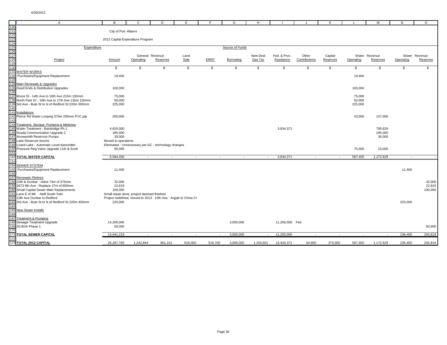|                                                             | A                                                   | в                                          | C         | D                                                                | Е             |         | G               | H         |                |               | к        |               | м         | N             | $\circ$  |
|-------------------------------------------------------------|-----------------------------------------------------|--------------------------------------------|-----------|------------------------------------------------------------------|---------------|---------|-----------------|-----------|----------------|---------------|----------|---------------|-----------|---------------|----------|
| 120<br>121<br>122<br>123<br>124<br>125<br>127<br>128<br>129 |                                                     |                                            |           |                                                                  |               |         |                 |           |                |               |          |               |           |               |          |
|                                                             |                                                     | City of Port Alberni                       |           |                                                                  |               |         |                 |           |                |               |          |               |           |               |          |
|                                                             |                                                     |                                            |           |                                                                  |               |         |                 |           |                |               |          |               |           |               |          |
|                                                             |                                                     | 2012 Capital Expenditure Program           |           |                                                                  |               |         |                 |           |                |               |          |               |           |               |          |
|                                                             |                                                     |                                            |           |                                                                  |               |         | Source of Funds |           |                |               |          |               |           |               |          |
|                                                             | Expenditure                                         |                                            |           |                                                                  |               |         |                 |           |                |               |          |               |           |               |          |
|                                                             |                                                     |                                            |           | General Revenue                                                  | Land          |         |                 | New Deal  | Fed. & Prov.   | Other         | Capital  | Water Revenue |           | Sewer Revenue |          |
|                                                             | Project                                             | Amount                                     | Operating | Reserves                                                         | Sale          | ERRF    | Borrowing       | Gas Tax   | Assistance     | Contributions | Reserves | Operating     | Reserves  | Operating     | Reserves |
|                                                             |                                                     |                                            |           |                                                                  |               |         |                 |           |                |               |          |               |           |               |          |
| 130                                                         |                                                     | \$                                         | \$        | \$                                                               | $\mathfrak s$ | \$      | \$              | \$        | \$             | \$            | S.       | \$            | \$        | \$            | \$       |
|                                                             | <b>131 WATER WORKS</b>                              |                                            |           |                                                                  |               |         |                 |           |                |               |          |               |           |               |          |
|                                                             | 132 Purchases/Equipment Replacement                 | 19,400                                     |           |                                                                  |               |         |                 |           |                |               |          | 19,400        |           |               |          |
| 133                                                         |                                                     |                                            |           |                                                                  |               |         |                 |           |                |               |          |               |           |               |          |
| 134                                                         | Main Renewals & Upgrades                            |                                            |           |                                                                  |               |         |                 |           |                |               |          |               |           |               |          |
|                                                             | 135 Dead Ends & Distribution Upgrades               | 100,000                                    |           |                                                                  |               |         |                 |           |                |               |          | 100,000       |           |               |          |
| 136                                                         |                                                     |                                            |           |                                                                  |               |         |                 |           |                |               |          |               |           |               |          |
|                                                             | 137 Bruce St - 14th Ave to 16th Ave 215m 150mm      | 75,000                                     |           |                                                                  |               |         |                 |           |                |               |          | 75,000        |           |               |          |
|                                                             | 138 North Park Dr - 16th Ave to 17th Ave 135m 150mm | 50,000                                     |           |                                                                  |               |         |                 |           |                |               |          | 50,000        |           |               |          |
|                                                             | 139 3rd Ave - Bute St to N of Redford St 220m 300mm | 225,000                                    |           |                                                                  |               |         |                 |           |                |               |          | 225,000       |           |               |          |
| 140                                                         |                                                     |                                            |           |                                                                  |               |         |                 |           |                |               |          |               |           |               |          |
|                                                             | 141 Installations                                   |                                            |           |                                                                  |               |         |                 |           |                |               |          |               |           |               |          |
|                                                             | 142 Pierce Rd Water Looping 570m 200mm PVC ptp      | 200,000                                    |           |                                                                  |               |         |                 |           |                |               |          | 43,000        | 157,000   |               |          |
| 143                                                         |                                                     |                                            |           |                                                                  |               |         |                 |           |                |               |          |               |           |               |          |
|                                                             | 144 Treatment, Storage, Pumping & Metering          |                                            |           |                                                                  |               |         |                 |           |                |               |          |               |           |               |          |
|                                                             | 145 Water Treatment - Bainbridge Ph 1               | 4,620,000                                  |           |                                                                  |               |         |                 |           | 3,834,371      |               |          |               | 785,629   |               |          |
|                                                             | 146 Scada Communication Upgrade 2                   | 185,000                                    |           |                                                                  |               |         |                 |           |                |               |          |               | 185,000   |               |          |
|                                                             | 147 Arrowsmith Reservoir Pumps                      | 30,000                                     |           |                                                                  |               |         |                 |           |                |               |          |               | 30,000    |               |          |
|                                                             | 148 Lake Reservoir booms                            | Moved to operations                        |           |                                                                  |               |         |                 |           |                |               |          |               |           |               |          |
|                                                             | 149 Lizard Lake - Automatic Level transmitter       |                                            |           | Eliminated - Unnecessary per GC - technology changes             |               |         |                 |           |                |               |          |               |           |               |          |
| 151                                                         | 150 Pressure Reg Valve Upgrade 11th & Scott         | 90,000                                     |           |                                                                  |               |         |                 |           |                |               |          | 75,000        | 15,000    |               |          |
|                                                             | <b>152 TOTAL WATER CAPITAL</b>                      | 5,594,400                                  | $\sim$    | $\sim$                                                           | $\sim$        | $\sim$  | $\sim$          | $\sim$    | 3,834,371      | $\sim$        | $\sim$   | 587,400       | 1,172,629 |               |          |
| 153                                                         |                                                     |                                            |           |                                                                  |               |         |                 |           |                |               |          |               |           |               |          |
| 154                                                         | <b>SEWER SYSTEM</b>                                 |                                            |           |                                                                  |               |         |                 |           |                |               |          |               |           |               |          |
| 155                                                         | Purchases/Equipment Replacement                     | 11,400                                     |           |                                                                  |               |         |                 |           |                |               |          |               |           | 11,400        |          |
| 156                                                         |                                                     |                                            |           |                                                                  |               |         |                 |           |                |               |          |               |           |               |          |
|                                                             | 157 Renewals / Relines                              |                                            |           |                                                                  |               |         |                 |           |                |               |          |               |           |               |          |
| 158                                                         | 10th & Dunbar - reline 73m of 375mm                 | 32,000                                     |           |                                                                  |               |         |                 |           |                |               |          |               |           |               | 32,000   |
|                                                             | 159 2673 9th Ave - Replace 27m of 600mm             | 22,819                                     |           |                                                                  |               |         |                 |           |                |               |          |               |           |               | 22,819   |
|                                                             | 160 Small Capital Sewer Main Replacements           | 100,000                                    |           |                                                                  |               |         |                 |           |                |               |          |               |           |               | 100,000  |
|                                                             | 161 Lane E of 9th - Neill South Twin                | Small repair done, project deemed finished |           |                                                                  |               |         |                 |           |                |               |          |               |           |               |          |
|                                                             | 162 10th Ave Dunbar to Redford                      |                                            |           | Project redefined, moved to 2013 - 10th Ave - Argyle to China Cr |               |         |                 |           |                |               |          |               |           |               |          |
|                                                             | 163 3rd Ave - Bute St to N of Redford St 220m 450mm | 225.000                                    |           |                                                                  |               |         |                 |           |                |               |          |               |           | 225,000       |          |
| 164                                                         |                                                     |                                            |           |                                                                  |               |         |                 |           |                |               |          |               |           |               |          |
| 165                                                         | <b>New Sewer Installs</b>                           |                                            |           |                                                                  |               |         |                 |           |                |               |          |               |           |               |          |
| 166                                                         |                                                     |                                            |           |                                                                  |               |         |                 |           |                |               |          |               |           |               |          |
|                                                             | 167 Treatment & Pumping                             |                                            |           |                                                                  |               |         |                 |           |                |               |          |               |           |               |          |
|                                                             | 168 Sewage Treatment Upgrade                        | 14,200,000                                 |           |                                                                  |               |         | 3,000,000       |           | 11,200,000 Fed |               |          |               |           |               |          |
|                                                             | 169 SCADA Phase 1                                   | 50,000                                     |           |                                                                  |               |         |                 |           |                |               |          |               |           |               | 50,000   |
| 17C                                                         |                                                     |                                            |           |                                                                  |               |         |                 |           |                |               |          |               |           |               |          |
|                                                             | 171 TOTAL SEWER CAPITAL                             | 14,641,219                                 |           |                                                                  | $\sim$        | $\sim$  | 3,000,000       | $\sim$    | 11,200,000     |               |          |               | $\sim$    | 236,400       | 204,819  |
| 172                                                         |                                                     |                                            |           |                                                                  |               |         |                 |           |                |               |          |               |           |               |          |
|                                                             | 173 TOTAL 2012 CAPITAL                              | 25,287,765                                 | 1,242,844 | 661,101                                                          | 610,000       | 519,700 | 3,000,000       | 1,203,601 | 15,434,371     | 44,900        | 370,000  | 587,400       | 1,172,629 | 236,400       | 204,819  |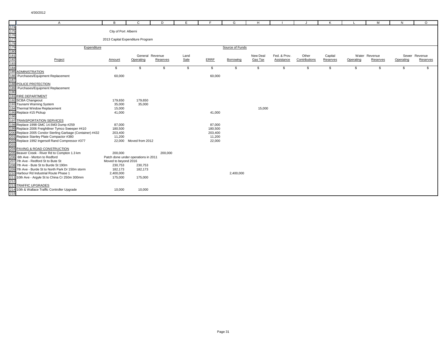|                                                             | $\mathsf{A}$                                              | B                    | C                                   | D        | E            | E           | G               | H        |              |               | К        |           | м             | N         | $\circ$       |
|-------------------------------------------------------------|-----------------------------------------------------------|----------------------|-------------------------------------|----------|--------------|-------------|-----------------|----------|--------------|---------------|----------|-----------|---------------|-----------|---------------|
|                                                             |                                                           |                      |                                     |          |              |             |                 |          |              |               |          |           |               |           |               |
|                                                             |                                                           | City of Port Alberni |                                     |          |              |             |                 |          |              |               |          |           |               |           |               |
|                                                             |                                                           |                      |                                     |          |              |             |                 |          |              |               |          |           |               |           |               |
|                                                             |                                                           |                      | 2013 Capital Expenditure Program    |          |              |             |                 |          |              |               |          |           |               |           |               |
|                                                             |                                                           |                      |                                     |          |              |             |                 |          |              |               |          |           |               |           |               |
|                                                             | Expenditure                                               |                      |                                     |          |              |             | Source of Funds |          |              |               |          |           |               |           |               |
| 174<br>175<br>176<br>177<br>178<br>189<br>181<br>182<br>183 |                                                           |                      |                                     |          |              |             |                 |          |              |               |          |           |               |           |               |
|                                                             |                                                           |                      | General Revenue                     |          | Land         |             |                 | New Deal | Fed. & Prov. | Other         | Capital  |           | Water Revenue |           | Sewer Revenue |
|                                                             | Project                                                   | Amount               | Operating                           | Reserves | Sale         | <b>ERRF</b> | Borrowing       | Gas Tax  | Assistance   | Contributions | Reserves | Operating | Reserves      | Operating | Reserves      |
| 184                                                         |                                                           | \$                   | \$                                  | \$       | $\mathbb{S}$ | \$          | S.              | \$       | \$           | \$            | \$       | \$        | \$            | \$        | \$            |
|                                                             | <b>185 ADMINISTRATION</b>                                 |                      |                                     |          |              |             |                 |          |              |               |          |           |               |           |               |
| 186                                                         | Purchases/Equipment Replacement                           | 60,000               |                                     |          |              | 60,000      |                 |          |              |               |          |           |               |           |               |
| 187                                                         |                                                           |                      |                                     |          |              |             |                 |          |              |               |          |           |               |           |               |
|                                                             | <b>188 POLICE PROTECTION</b>                              |                      |                                     |          |              |             |                 |          |              |               |          |           |               |           |               |
| 189                                                         | Purchases/Equipment Replacement                           |                      |                                     |          |              |             |                 |          |              |               |          |           |               |           |               |
| 190                                                         |                                                           |                      |                                     |          |              |             |                 |          |              |               |          |           |               |           |               |
|                                                             | 191 FIRE DEPARTMENT                                       |                      |                                     |          |              |             |                 |          |              |               |          |           |               |           |               |
|                                                             | 192 SCBA Changeout                                        | 179,650              | 179,650                             |          |              |             |                 |          |              |               |          |           |               |           |               |
|                                                             | 193 Tsunami Warning System                                | 35,000               | 35,000                              |          |              |             |                 |          |              |               |          |           |               |           |               |
|                                                             | 194 Thermal Window Replacement                            | 15,000               |                                     |          |              |             |                 | 15,000   |              |               |          |           |               |           |               |
|                                                             | 195 Replace #15 Pickup                                    | 41,000               |                                     |          |              | 41,000      |                 |          |              |               |          |           |               |           |               |
| 196                                                         | 197 TRANSPORTATION SERVICES                               |                      |                                     |          |              |             |                 |          |              |               |          |           |               |           |               |
|                                                             | 198 Replace 1998 GMC 14.5M3 Dump #259                     | 87,000               |                                     |          |              | 87,000      |                 |          |              |               |          |           |               |           |               |
|                                                             | 199 Replace 2006 Freightliner Tymco Sweeper #410          | 180,500              |                                     |          |              | 180,500     |                 |          |              |               |          |           |               |           |               |
|                                                             | 200 Replace 2005 Condor Sterling Garbage (Container) #432 | 203,400              |                                     |          |              | 203,400     |                 |          |              |               |          |           |               |           |               |
|                                                             | 201 Replace Stanley Plate Compactor #380                  | 11,200               |                                     |          |              | 11,200      |                 |          |              |               |          |           |               |           |               |
|                                                             | 202 Replace 1992 Ingersoll Rand Compressor #377           |                      | 22,000 Moved from 2012              |          |              | 22,000      |                 |          |              |               |          |           |               |           |               |
| 203                                                         |                                                           |                      |                                     |          |              |             |                 |          |              |               |          |           |               |           |               |
|                                                             | 204 PAVING & ROAD CONSTRUCTION                            |                      |                                     |          |              |             |                 |          |              |               |          |           |               |           |               |
|                                                             | 205 Beaver Creek - River Rd to Compton 1.3 km             | 200,000              |                                     | 200,000  |              |             |                 |          |              |               |          |           |               |           |               |
|                                                             | 206 6th Ave - Morton to Redford                           |                      | Patch done under operations in 2011 |          |              |             |                 |          |              |               |          |           |               |           |               |
|                                                             | 207 7th Ave - Redford St to Bute St                       | Moved to beyond 2016 |                                     |          |              |             |                 |          |              |               |          |           |               |           |               |
|                                                             | 208 7th Ave - Bute St to Burde St 190m                    | 230,753              | 230,753                             |          |              |             |                 |          |              |               |          |           |               |           |               |
|                                                             | 209 7th Ave - Burde St to North Park Dr 150m storm        | 182,173              | 182,173                             |          |              |             |                 |          |              |               |          |           |               |           |               |
|                                                             | 210 Harbour Rd Industrial Route Phase 1                   | 2,400,000            |                                     |          |              |             | 2,400,000       |          |              |               |          |           |               |           |               |
| 212                                                         | 211 10th Ave - Argyle St to China Cr 250m 300mm           | 175,000              | 175,000                             |          |              |             |                 |          |              |               |          |           |               |           |               |
|                                                             | 213 TRAFFIC UPGRADES                                      |                      |                                     |          |              |             |                 |          |              |               |          |           |               |           |               |
|                                                             | 214 10th & Wallace Traffic Controller Upgrade             | 10,000               | 10,000                              |          |              |             |                 |          |              |               |          |           |               |           |               |
| 215                                                         |                                                           |                      |                                     |          |              |             |                 |          |              |               |          |           |               |           |               |
|                                                             |                                                           |                      |                                     |          |              |             |                 |          |              |               |          |           |               |           |               |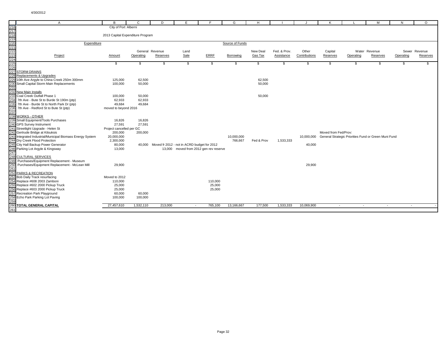|                                                      | A                                                                        | в                                | $\mathbf{C}$ | D               | E.                                                 | E                                      | G               | H          |              |               | К                    |                                                                 | M               | N         | $\circ$       |
|------------------------------------------------------|--------------------------------------------------------------------------|----------------------------------|--------------|-----------------|----------------------------------------------------|----------------------------------------|-----------------|------------|--------------|---------------|----------------------|-----------------------------------------------------------------|-----------------|-----------|---------------|
| 216                                                  |                                                                          | City of Port Alberni             |              |                 |                                                    |                                        |                 |            |              |               |                      |                                                                 |                 |           |               |
|                                                      |                                                                          |                                  |              |                 |                                                    |                                        |                 |            |              |               |                      |                                                                 |                 |           |               |
|                                                      |                                                                          | 2013 Capital Expenditure Program |              |                 |                                                    |                                        |                 |            |              |               |                      |                                                                 |                 |           |               |
| 217<br>218<br>219<br>220<br>221<br>222<br>223<br>223 |                                                                          |                                  |              |                 |                                                    |                                        |                 |            |              |               |                      |                                                                 |                 |           |               |
|                                                      | Expenditure                                                              |                                  |              |                 |                                                    |                                        | Source of Funds |            |              |               |                      |                                                                 |                 |           |               |
|                                                      |                                                                          |                                  |              |                 |                                                    |                                        |                 |            |              |               |                      |                                                                 |                 |           |               |
|                                                      |                                                                          |                                  |              | General Revenue | Land                                               |                                        |                 | New Deal   | Fed. & Prov. | Other         | Capital              |                                                                 | Water Revenue   |           | Sewer Revenue |
|                                                      | Project                                                                  | Amount                           | Operating    | Reserves        | Sale                                               | <b>ERRF</b>                            | Borrowing       | Gas Tax    | Assistance   | Contributions | Reserves             | Operating                                                       | <b>Reserves</b> | Operating | Reserves      |
|                                                      |                                                                          |                                  |              |                 |                                                    |                                        |                 |            |              |               |                      |                                                                 |                 |           |               |
|                                                      |                                                                          | \$                               | \$           | s.              | \$                                                 | \$                                     | \$              | \$         | -S           | \$            | \$                   | \$                                                              | \$              | \$.       | \$            |
| 225<br>226                                           |                                                                          |                                  |              |                 |                                                    |                                        |                 |            |              |               |                      |                                                                 |                 |           |               |
| 227                                                  | <b>STORM DRAINS</b>                                                      |                                  |              |                 |                                                    |                                        |                 |            |              |               |                      |                                                                 |                 |           |               |
| 228                                                  | Replacements & Upgrades                                                  |                                  |              |                 |                                                    |                                        |                 |            |              |               |                      |                                                                 |                 |           |               |
|                                                      | 229 10th Ave Argyle to China Creek 250m 300mm                            | 125,000                          | 62,500       |                 |                                                    |                                        |                 | 62,500     |              |               |                      |                                                                 |                 |           |               |
|                                                      | 230 Small Capital Storm Main Replacements                                | 100,000                          | 50,000       |                 |                                                    |                                        |                 | 50,000     |              |               |                      |                                                                 |                 |           |               |
| 231                                                  |                                                                          |                                  |              |                 |                                                    |                                        |                 |            |              |               |                      |                                                                 |                 |           |               |
|                                                      | 232 New Main Installs                                                    |                                  |              |                 |                                                    |                                        |                 |            |              |               |                      |                                                                 |                 |           |               |
|                                                      | 233 Coal Creek Outfall Phase 1                                           | 100,000                          | 50,000       |                 |                                                    |                                        |                 | 50,000     |              |               |                      |                                                                 |                 |           |               |
|                                                      | 234 7th Ave - Bute St to Burde St 190m (ptp)                             | 62,933                           | 62,933       |                 |                                                    |                                        |                 |            |              |               |                      |                                                                 |                 |           |               |
| 235                                                  | 7th Ave - Burde St to North Park Dr (ptp)                                | 49,684                           | 49,684       |                 |                                                    |                                        |                 |            |              |               |                      |                                                                 |                 |           |               |
| 236                                                  | 7th Ave - Redford St to Bute St (ptp)                                    | moved to beyond 2016             |              |                 |                                                    |                                        |                 |            |              |               |                      |                                                                 |                 |           |               |
| 237                                                  |                                                                          |                                  |              |                 |                                                    |                                        |                 |            |              |               |                      |                                                                 |                 |           |               |
|                                                      | 238 WORKS - OTHER                                                        |                                  |              |                 |                                                    |                                        |                 |            |              |               |                      |                                                                 |                 |           |               |
|                                                      | 239 Small Equipment/Tools Purchases                                      | 16,826                           | 16,826       |                 |                                                    |                                        |                 |            |              |               |                      |                                                                 |                 |           |               |
|                                                      | 240 GPS Survey Instrument                                                | 27,591                           | 27,591       |                 |                                                    |                                        |                 |            |              |               |                      |                                                                 |                 |           |               |
|                                                      | 241 Streetlight Upgrade - Helen St                                       | Project cancelled per GC         |              |                 |                                                    |                                        |                 |            |              |               |                      |                                                                 |                 |           |               |
|                                                      | 242 Gertrude Bridge at Kitsuksis                                         | 200,000                          | 200,000      |                 |                                                    |                                        |                 |            |              |               | Moved from Fed/Prov: |                                                                 |                 |           |               |
|                                                      | 243 Integrated Industrial/Municipal Biomass Energy System                | 20,000,000                       |              |                 |                                                    |                                        | 10,000,000      |            |              |               |                      | 10,000,000 General Strategic Priorities Fund or Green Muni Fund |                 |           |               |
|                                                      | 244 Dry Creek Flood Protection                                           | 2,300,000                        |              |                 |                                                    |                                        | 766,667         | Fed & Prov | 1,533,333    |               |                      |                                                                 |                 |           |               |
|                                                      | 245 City Hall Backup Power Generator                                     | 80,000                           |              |                 | 40,000 Moved fr 2012 - not in ACRD budget for 2012 |                                        |                 |            |              | 40,000        |                      |                                                                 |                 |           |               |
|                                                      | 246 Parking Lot Argyle & Kingsway                                        | 13,000                           |              |                 |                                                    | 13,000 moved from 2012 gen rev reserve |                 |            |              |               |                      |                                                                 |                 |           |               |
| 247                                                  |                                                                          |                                  |              |                 |                                                    |                                        |                 |            |              |               |                      |                                                                 |                 |           |               |
|                                                      | 248 CULTURAL SERVICES                                                    |                                  |              |                 |                                                    |                                        |                 |            |              |               |                      |                                                                 |                 |           |               |
| 249                                                  | Purchases/Equipment Replacement - Museum                                 |                                  |              |                 |                                                    |                                        |                 |            |              |               |                      |                                                                 |                 |           |               |
| 250                                                  | Purchases/Equipment Replacement - McLean Mill                            | 29,900                           |              |                 |                                                    |                                        |                 |            |              | 29,900        |                      |                                                                 |                 |           |               |
| 251                                                  |                                                                          |                                  |              |                 |                                                    |                                        |                 |            |              |               |                      |                                                                 |                 |           |               |
| 252                                                  | PARKS & RECREATION                                                       |                                  |              |                 |                                                    |                                        |                 |            |              |               |                      |                                                                 |                 |           |               |
|                                                      | 253 Bob Daily Track resurfacing                                          | Moved to 2012                    |              |                 |                                                    |                                        |                 |            |              |               |                      |                                                                 |                 |           |               |
|                                                      | 254 Replace #608 2003 Zamboni                                            | 110,000                          |              |                 |                                                    | 110,000                                |                 |            |              |               |                      |                                                                 |                 |           |               |
|                                                      | 255 Replace #602 2000 Pickup Truck<br>256 Replace #603 2000 Pickup Truck | 25,000                           |              |                 |                                                    | 25,000                                 |                 |            |              |               |                      |                                                                 |                 |           |               |
|                                                      | 257 Recreation Park Playground                                           | 25,000<br>60,000                 | 60,000       |                 |                                                    | 25,000                                 |                 |            |              |               |                      |                                                                 |                 |           |               |
|                                                      | 258 Echo Park Parking Lot Paving                                         | 100,000                          | 100,000      |                 |                                                    |                                        |                 |            |              |               |                      |                                                                 |                 |           |               |
| 259                                                  |                                                                          |                                  |              |                 |                                                    |                                        |                 |            |              |               |                      |                                                                 |                 |           |               |
| 260                                                  | <b>TOTAL GENERAL CAPITAL</b>                                             | 27,457,610                       | 1,532,110    | 213,000         | $\sim$                                             | 765,100                                | 13,166,667      | 177,500    | 1,533,333    | 10,069,900    | $\sim$               | $\sim$                                                          | $\sim$          | $\sim$    |               |
| 261                                                  |                                                                          |                                  |              |                 |                                                    |                                        |                 |            |              |               |                      |                                                                 |                 |           |               |
|                                                      |                                                                          |                                  |              |                 |                                                    |                                        |                 |            |              |               |                      |                                                                 |                 |           |               |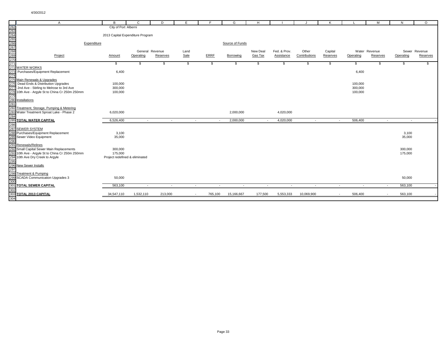|                                                             | $\mathsf{A}$                                    | B                                | $\mathbf{C}$    | D        | E      | F.               | G                        | H        |                          |               | ĸ        |           | M             | N         | $\circ$       |
|-------------------------------------------------------------|-------------------------------------------------|----------------------------------|-----------------|----------|--------|------------------|--------------------------|----------|--------------------------|---------------|----------|-----------|---------------|-----------|---------------|
| 262<br>263<br>264<br>265<br>266<br>267<br>268<br>270<br>271 |                                                 | City of Port Alberni             |                 |          |        |                  |                          |          |                          |               |          |           |               |           |               |
|                                                             |                                                 |                                  |                 |          |        |                  |                          |          |                          |               |          |           |               |           |               |
|                                                             |                                                 | 2013 Capital Expenditure Program |                 |          |        |                  |                          |          |                          |               |          |           |               |           |               |
|                                                             |                                                 |                                  |                 |          |        |                  |                          |          |                          |               |          |           |               |           |               |
|                                                             | Expenditure                                     |                                  |                 |          |        |                  | Source of Funds          |          |                          |               |          |           |               |           |               |
|                                                             |                                                 |                                  | General Revenue |          | Land   |                  |                          | New Deal | Fed. & Prov.             | Other         | Capital  |           | Water Revenue |           | Sewer Revenue |
|                                                             | Project                                         | Amount                           | Operating       | Reserves | Sale   | <b>ERRF</b>      | Borrowing                | Gas Tax  | Assistance               | Contributions | Reserves | Operating | Reserves      | Operating | Reserves      |
|                                                             |                                                 |                                  |                 |          |        |                  |                          |          |                          |               |          |           |               |           |               |
|                                                             |                                                 | \$                               | \$              | \$       | \$     | \$               | \$                       | \$       | \$                       | \$            | \$       | \$        | \$            | \$        | \$            |
|                                                             | 272 WATER WORKS                                 |                                  |                 |          |        |                  |                          |          |                          |               |          |           |               |           |               |
| 273                                                         | Purchases/Equipment Replacement                 | 6,400                            |                 |          |        |                  |                          |          |                          |               |          | 6,400     |               |           |               |
| 274                                                         |                                                 |                                  |                 |          |        |                  |                          |          |                          |               |          |           |               |           |               |
|                                                             | 275 Main Renewals & Upgrades                    |                                  |                 |          |        |                  |                          |          |                          |               |          |           |               |           |               |
| 276                                                         | Dead Ends & Distribution Upgrades               | 100,000                          |                 |          |        |                  |                          |          |                          |               |          | 100,000   |               |           |               |
|                                                             | 277 2nd Ave - Stirling to Melrose to 3rd Ave    | 300,000                          |                 |          |        |                  |                          |          |                          |               |          | 300,000   |               |           |               |
|                                                             | 278 10th Ave - Argyle St to China Cr 250m 250mm | 100,000                          |                 |          |        |                  |                          |          |                          |               |          | 100,000   |               |           |               |
| 279                                                         |                                                 |                                  |                 |          |        |                  |                          |          |                          |               |          |           |               |           |               |
|                                                             | 280 Installations                               |                                  |                 |          |        |                  |                          |          |                          |               |          |           |               |           |               |
| 281                                                         |                                                 |                                  |                 |          |        |                  |                          |          |                          |               |          |           |               |           |               |
|                                                             | 282 Treatment, Storage, Pumping & Metering      |                                  |                 |          |        |                  |                          |          |                          |               |          |           |               |           |               |
|                                                             | 283 Water Treatment Sproat Lake - Phase 2       | 6,020,000                        |                 |          |        |                  | 2,000,000                |          | 4,020,000                |               |          |           |               |           |               |
| 284                                                         |                                                 |                                  |                 |          |        |                  |                          |          |                          |               |          |           |               |           |               |
|                                                             | <b>285 TOTAL WATER CAPITAL</b>                  | 6,526,400                        | $\sim$          | $\sim$   |        | $\sim$<br>$\sim$ | 2,000,000                | $\sim$   | 4,020,000                | $\sim$        | $\sim$   | 506,400   | $\sim$        | $\sim$    |               |
| 286                                                         |                                                 |                                  |                 |          |        |                  |                          |          |                          |               |          |           |               |           |               |
|                                                             | 287 SEWER SYSTEM                                |                                  |                 |          |        |                  |                          |          |                          |               |          |           |               |           |               |
|                                                             | 288 Purchases/Equipment Replacement             | 3,100                            |                 |          |        |                  |                          |          |                          |               |          |           |               | 3,100     |               |
| 290                                                         | 289 Sewer Video Equipment                       | 35,000                           |                 |          |        |                  |                          |          |                          |               |          |           |               | 35,000    |               |
|                                                             | 291 Renewals/Relines                            |                                  |                 |          |        |                  |                          |          |                          |               |          |           |               |           |               |
|                                                             | 292 Small Capital Sewer Main Replacements       | 300,000                          |                 |          |        |                  |                          |          |                          |               |          |           |               | 300,000   |               |
|                                                             | 293 10th Ave - Argyle St to China Cr 250m 250mm | 175,000                          |                 |          |        |                  |                          |          |                          |               |          |           |               | 175,000   |               |
|                                                             | 294 10th Ave Dry Creek to Argyle                | Project redefined & eliminated   |                 |          |        |                  |                          |          |                          |               |          |           |               |           |               |
| 295                                                         |                                                 |                                  |                 |          |        |                  |                          |          |                          |               |          |           |               |           |               |
|                                                             | 296 New Sewer Installs                          |                                  |                 |          |        |                  |                          |          |                          |               |          |           |               |           |               |
| 297                                                         |                                                 |                                  |                 |          |        |                  |                          |          |                          |               |          |           |               |           |               |
|                                                             | 298 Treatment & Pumping                         |                                  |                 |          |        |                  |                          |          |                          |               |          |           |               |           |               |
|                                                             | 299 SCADA Communication Upgrades 3              | 50,000                           |                 |          |        |                  |                          |          |                          |               |          |           |               | 50,000    |               |
| 300                                                         |                                                 |                                  |                 |          |        |                  |                          |          |                          |               |          |           |               |           |               |
|                                                             | 301 TOTAL SEWER CAPITAL                         | 563,100                          | $\sim$          | $\sim$   | $\sim$ | $\sim$           | $\overline{\phantom{a}}$ | $\sim$   | $\overline{\phantom{a}}$ | $\sim$        | $\sim$   |           | $\sim$        | 563,100   |               |
| 302                                                         |                                                 |                                  |                 |          |        |                  |                          |          |                          |               |          |           |               |           |               |
|                                                             | 303 TOTAL 2013 CAPITAL                          | 34,547,110                       | 1,532,110       | 213,000  | $\sim$ | 765,100          | 15,166,667               | 177,500  | 5,553,333                | 10,069,900    | $\sim$   | 506,400   | $\sim$        | 563,100   |               |
| 304                                                         |                                                 |                                  |                 |          |        |                  |                          |          |                          |               |          |           |               |           |               |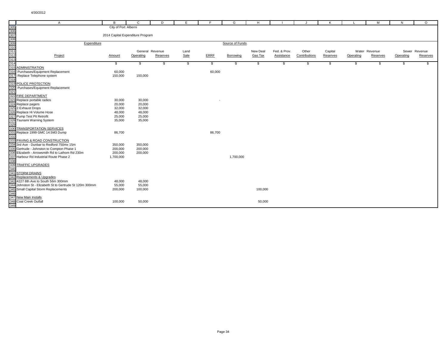|                                                             | $\mathsf{A}$                                                                | B                                | $\mathbf{C}$ | D               | E             | F           | G               | H        |              | J.            | K        |           | M             | N         | $\circ$       |
|-------------------------------------------------------------|-----------------------------------------------------------------------------|----------------------------------|--------------|-----------------|---------------|-------------|-----------------|----------|--------------|---------------|----------|-----------|---------------|-----------|---------------|
| 305<br>306<br>307<br>308<br>309<br>310<br>311<br>312<br>313 |                                                                             | City of Port Alberni             |              |                 |               |             |                 |          |              |               |          |           |               |           |               |
|                                                             |                                                                             |                                  |              |                 |               |             |                 |          |              |               |          |           |               |           |               |
|                                                             |                                                                             | 2014 Capital Expenditure Program |              |                 |               |             |                 |          |              |               |          |           |               |           |               |
|                                                             |                                                                             |                                  |              |                 |               |             |                 |          |              |               |          |           |               |           |               |
|                                                             | Expenditure                                                                 |                                  |              |                 |               |             | Source of Funds |          |              |               |          |           |               |           |               |
|                                                             |                                                                             |                                  |              | General Revenue | Land          |             |                 | New Deal | Fed. & Prov. | Other         | Capital  |           | Water Revenue |           | Sewer Revenue |
|                                                             | Project                                                                     | Amount                           | Operating    | Reserves        | Sale          | <b>ERRF</b> | Borrowing       | Gas Tax  | Assistance   | Contributions | Reserves | Operating | Reserves      | Operating | Reserves      |
|                                                             |                                                                             |                                  |              |                 |               |             |                 |          |              |               |          |           |               |           |               |
| 314                                                         |                                                                             | \$                               | \$           | \$              | $\mathfrak s$ | \$          | \$              | \$       | \$           | \$            | \$       | \$        | \$            | \$        | \$            |
|                                                             | 315 ADMINISTRATION                                                          |                                  |              |                 |               |             |                 |          |              |               |          |           |               |           |               |
|                                                             | 316 Purchases/Equipment Replacement                                         | 60,000                           |              |                 |               | 60,000      |                 |          |              |               |          |           |               |           |               |
| 317                                                         | Replace Telephone system                                                    | 150,000                          | 150,000      |                 |               |             |                 |          |              |               |          |           |               |           |               |
| 318                                                         |                                                                             |                                  |              |                 |               |             |                 |          |              |               |          |           |               |           |               |
|                                                             | 319 POLICE PROTECTION                                                       |                                  |              |                 |               |             |                 |          |              |               |          |           |               |           |               |
| 320                                                         | Purchases/Equipment Replacement                                             |                                  |              |                 |               |             |                 |          |              |               |          |           |               |           |               |
| 321                                                         |                                                                             |                                  |              |                 |               |             |                 |          |              |               |          |           |               |           |               |
|                                                             | 322 FIRE DEPARTMENT                                                         |                                  |              |                 |               |             |                 |          |              |               |          |           |               |           |               |
|                                                             | 323 Replace portable radios                                                 | 30,000                           | 30,000       |                 |               | ٠           |                 |          |              |               |          |           |               |           |               |
|                                                             | 324 Replace pagers                                                          | 20,000                           | 20,000       |                 |               |             |                 |          |              |               |          |           |               |           |               |
|                                                             | 325 2 Exhaust Drops                                                         | 32,000                           | 32,000       |                 |               |             |                 |          |              |               |          |           |               |           |               |
|                                                             | 326 Replace Hi Volume Hose                                                  | 48,000                           | 48,000       |                 |               |             |                 |          |              |               |          |           |               |           |               |
|                                                             | 327 Pump Test Pit Retrofit                                                  | 25,000                           | 25,000       |                 |               |             |                 |          |              |               |          |           |               |           |               |
|                                                             | 328 Tsunami Warning System                                                  | 35,000                           | 35,000       |                 |               |             |                 |          |              |               |          |           |               |           |               |
| 329                                                         |                                                                             |                                  |              |                 |               |             |                 |          |              |               |          |           |               |           |               |
|                                                             | 330 TRANSPORTATION SERVICES                                                 |                                  |              |                 |               |             |                 |          |              |               |          |           |               |           |               |
| 332                                                         | 331 Replace 1999 GMC 14.5M3 Dump                                            | 86,700                           |              |                 |               | 86,700      |                 |          |              |               |          |           |               |           |               |
|                                                             |                                                                             |                                  |              |                 |               |             |                 |          |              |               |          |           |               |           |               |
|                                                             | 333 PAVING & ROAD CONSTRUCTION<br>334 3rd Ave - Dunbar to Redford 750mx 15m |                                  | 350,000      |                 |               |             |                 |          |              |               |          |           |               |           |               |
|                                                             | 335 Gertrude - Johnston to Compton Phase 1                                  | 350,000<br>200,000               | 200,000      |                 |               |             |                 |          |              |               |          |           |               |           |               |
|                                                             | 336 Elizabeth - Arrowsmith Rd to Lathom Rd 230m                             | 200,000                          | 200,000      |                 |               |             |                 |          |              |               |          |           |               |           |               |
|                                                             | 337 Harbour Rd Industrial Route Phase 2                                     | 1,700,000                        |              |                 |               |             | 1,700,000       |          |              |               |          |           |               |           |               |
| 338                                                         |                                                                             |                                  |              |                 |               |             |                 |          |              |               |          |           |               |           |               |
| 339                                                         | <b>TRAFFIC UPGRADES</b>                                                     |                                  |              |                 |               |             |                 |          |              |               |          |           |               |           |               |
| 340                                                         |                                                                             |                                  |              |                 |               |             |                 |          |              |               |          |           |               |           |               |
|                                                             | 341 STORM DRAINS                                                            |                                  |              |                 |               |             |                 |          |              |               |          |           |               |           |               |
|                                                             | 342 Replacements & Upgrades                                                 |                                  |              |                 |               |             |                 |          |              |               |          |           |               |           |               |
|                                                             | 343 4227 8th Ave to South 56m 300mm                                         | 48,000                           | 48,000       |                 |               |             |                 |          |              |               |          |           |               |           |               |
|                                                             | 344 Johnston St - Elizabeth St to Gertrude St 120m 300mm                    | 55,000                           | 55,000       |                 |               |             |                 |          |              |               |          |           |               |           |               |
|                                                             | 345 Small Capital Storm Replacements                                        | 200,000                          | 100,000      |                 |               |             |                 | 100,000  |              |               |          |           |               |           |               |
| 346                                                         |                                                                             |                                  |              |                 |               |             |                 |          |              |               |          |           |               |           |               |
|                                                             | 347 New Main Installs                                                       |                                  |              |                 |               |             |                 |          |              |               |          |           |               |           |               |
|                                                             | 348 Coal Creek Outfall                                                      | 100,000                          | 50,000       |                 |               |             |                 | 50,000   |              |               |          |           |               |           |               |
| 349                                                         |                                                                             |                                  |              |                 |               |             |                 |          |              |               |          |           |               |           |               |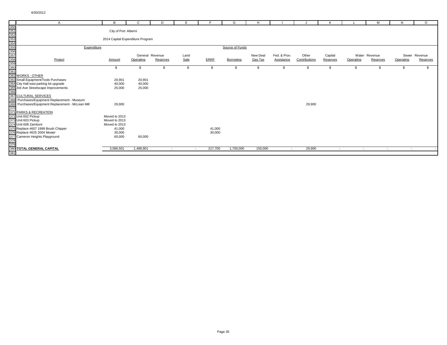| A                                                                                                                                                                                                                                                                                    | B                                                         | $\mathsf{C}$                 | D          | F            |             | G               | H                   |                            |                        | K                   |           | м                         | N         | $\circ$                   |
|--------------------------------------------------------------------------------------------------------------------------------------------------------------------------------------------------------------------------------------------------------------------------------------|-----------------------------------------------------------|------------------------------|------------|--------------|-------------|-----------------|---------------------|----------------------------|------------------------|---------------------|-----------|---------------------------|-----------|---------------------------|
|                                                                                                                                                                                                                                                                                      | City of Port Alberni                                      |                              |            |              |             |                 |                     |                            |                        |                     |           |                           |           |                           |
|                                                                                                                                                                                                                                                                                      | 2014 Capital Expenditure Program                          |                              |            |              |             |                 |                     |                            |                        |                     |           |                           |           |                           |
| Expenditure                                                                                                                                                                                                                                                                          |                                                           |                              |            |              |             | Source of Funds |                     |                            |                        |                     |           |                           |           |                           |
|                                                                                                                                                                                                                                                                                      | Amount                                                    | General Revenue<br>Operating | Reserves   | Land<br>Sale | <b>ERRF</b> | Borrowing       | New Deal<br>Gas Tax | Fed. & Prov.<br>Assistance | Other<br>Contributions | Capital<br>Reserves | Operating | Water Revenue<br>Reserves | Operating | Sewer Revenue<br>Reserves |
|                                                                                                                                                                                                                                                                                      | £.                                                        |                              |            |              | \$          |                 |                     |                            |                        |                     | £.        |                           |           |                           |
| A<br>350<br>351<br>355<br>355<br>355<br>356<br>360<br>360<br>360<br>360<br>361<br>362<br>360<br>361<br>362<br>363<br>363<br>363<br>363<br>363<br>364 City Hall east parking lot upgrade<br>365<br>366<br>367 CULTURAL SERVICES<br>366<br>367 CULTURAL SERVICES<br>368 Purchases/Equi | 20,901<br>40,000<br>25,000                                | 20,901<br>40,000<br>25,000   |            |              |             |                 |                     |                            |                        |                     |           |                           |           |                           |
| Purchases/Equipment Replacement - McLean Mill                                                                                                                                                                                                                                        | 29,900                                                    |                              |            |              |             |                 |                     |                            | 29,900                 |                     |           |                           |           |                           |
|                                                                                                                                                                                                                                                                                      | Moved to 2013<br>Moved to 2013<br>Moved to 2013<br>41,000 |                              |            |              | 41,000      |                 |                     |                            |                        |                     |           |                           |           |                           |
|                                                                                                                                                                                                                                                                                      | 30,000<br>60,000                                          | 60,000                       |            |              | 30,000      |                 |                     |                            |                        |                     |           |                           |           |                           |
|                                                                                                                                                                                                                                                                                      | 3,586,501                                                 | 1,488,901                    | $\sim$ $-$ | $\sim$       | 217,700     | 1,700,000       | 150,000             | $\sim$                     | 29,900                 | $\sim$              | $\sim$    | $\sim$ $-$                | $\sim$    |                           |
|                                                                                                                                                                                                                                                                                      |                                                           |                              |            |              |             |                 |                     |                            |                        |                     |           |                           |           |                           |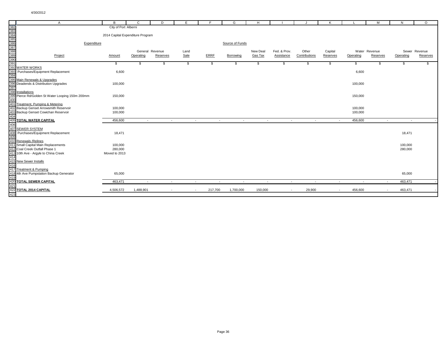|                   | A                                                                                                                                                                                                                                                                                                              | B                                | C         | D                        | E      | E                        | G               | H        |                |               | K        |                          | м             | N         | $\circ$       |
|-------------------|----------------------------------------------------------------------------------------------------------------------------------------------------------------------------------------------------------------------------------------------------------------------------------------------------------------|----------------------------------|-----------|--------------------------|--------|--------------------------|-----------------|----------|----------------|---------------|----------|--------------------------|---------------|-----------|---------------|
|                   |                                                                                                                                                                                                                                                                                                                | City of Port Alberni             |           |                          |        |                          |                 |          |                |               |          |                          |               |           |               |
|                   |                                                                                                                                                                                                                                                                                                                |                                  |           |                          |        |                          |                 |          |                |               |          |                          |               |           |               |
|                   |                                                                                                                                                                                                                                                                                                                | 2014 Capital Expenditure Program |           |                          |        |                          |                 |          |                |               |          |                          |               |           |               |
|                   |                                                                                                                                                                                                                                                                                                                |                                  |           |                          |        |                          |                 |          |                |               |          |                          |               |           |               |
|                   | Expenditure                                                                                                                                                                                                                                                                                                    |                                  |           |                          |        |                          | Source of Funds |          |                |               |          |                          |               |           |               |
|                   |                                                                                                                                                                                                                                                                                                                |                                  |           | General Revenue          | Land   |                          |                 | New Deal | Fed. & Prov.   | Other         | Capital  |                          | Water Revenue |           | Sewer Revenue |
|                   |                                                                                                                                                                                                                                                                                                                | <b>Amount</b>                    | Operating | Reserves                 | Sale   | <b>ERRF</b>              | Borrowing       | Gas Tax  | Assistance     | Contributions | Reserves | Operating                | Reserves      | Operating | Reserves      |
|                   |                                                                                                                                                                                                                                                                                                                |                                  |           |                          |        |                          |                 |          |                |               |          |                          |               |           |               |
|                   |                                                                                                                                                                                                                                                                                                                | \$                               | \$        | \$                       | S.     | \$                       | <b>S</b>        | \$       | \$             | <b>S</b>      | \$       | \$                       | S.            |           | \$            |
|                   |                                                                                                                                                                                                                                                                                                                |                                  |           |                          |        |                          |                 |          |                |               |          |                          |               |           |               |
|                   |                                                                                                                                                                                                                                                                                                                | 6,600                            |           |                          |        |                          |                 |          |                |               |          | 6,600                    |               |           |               |
|                   |                                                                                                                                                                                                                                                                                                                |                                  |           |                          |        |                          |                 |          |                |               |          |                          |               |           |               |
|                   |                                                                                                                                                                                                                                                                                                                |                                  |           |                          |        |                          |                 |          |                |               |          |                          |               |           |               |
|                   |                                                                                                                                                                                                                                                                                                                | 100,000                          |           |                          |        |                          |                 |          |                |               |          | 100,000                  |               |           |               |
|                   |                                                                                                                                                                                                                                                                                                                |                                  |           |                          |        |                          |                 |          |                |               |          |                          |               |           |               |
|                   |                                                                                                                                                                                                                                                                                                                |                                  |           |                          |        |                          |                 |          |                |               |          |                          |               |           |               |
|                   | Pierce Rd/Golden St Water Looping 150m 200mm                                                                                                                                                                                                                                                                   | 150,000                          |           |                          |        |                          |                 |          |                |               |          | 150,000                  |               |           |               |
|                   |                                                                                                                                                                                                                                                                                                                |                                  |           |                          |        |                          |                 |          |                |               |          |                          |               |           |               |
|                   |                                                                                                                                                                                                                                                                                                                | 100,000                          |           |                          |        |                          |                 |          |                |               |          | 100,000                  |               |           |               |
|                   |                                                                                                                                                                                                                                                                                                                | 100,000                          |           |                          |        |                          |                 |          |                |               |          | 100,000                  |               |           |               |
|                   |                                                                                                                                                                                                                                                                                                                |                                  |           |                          |        |                          |                 |          |                |               |          |                          |               |           |               |
|                   |                                                                                                                                                                                                                                                                                                                | 456,600                          | $\sim$    | $\sim$                   | $\sim$ | $\overline{\phantom{a}}$ | $\overline{a}$  | $\sim$   | $\overline{a}$ | $\sim$        | $\sim$   | 456,600                  | $\sim$        | $\sim$    |               |
|                   |                                                                                                                                                                                                                                                                                                                |                                  |           |                          |        |                          |                 |          |                |               |          |                          |               |           |               |
|                   |                                                                                                                                                                                                                                                                                                                |                                  |           |                          |        |                          |                 |          |                |               |          |                          |               |           |               |
|                   |                                                                                                                                                                                                                                                                                                                | 18,471                           |           |                          |        |                          |                 |          |                |               |          |                          |               | 18,471    |               |
|                   |                                                                                                                                                                                                                                                                                                                |                                  |           |                          |        |                          |                 |          |                |               |          |                          |               |           |               |
|                   |                                                                                                                                                                                                                                                                                                                |                                  |           |                          |        |                          |                 |          |                |               |          |                          |               |           |               |
|                   |                                                                                                                                                                                                                                                                                                                | 100,000                          |           |                          |        |                          |                 |          |                |               |          |                          |               | 100,000   |               |
|                   |                                                                                                                                                                                                                                                                                                                | 280,000                          |           |                          |        |                          |                 |          |                |               |          |                          |               | 280,000   |               |
|                   |                                                                                                                                                                                                                                                                                                                | Moved to 2013                    |           |                          |        |                          |                 |          |                |               |          |                          |               |           |               |
|                   |                                                                                                                                                                                                                                                                                                                |                                  |           |                          |        |                          |                 |          |                |               |          |                          |               |           |               |
|                   |                                                                                                                                                                                                                                                                                                                |                                  |           |                          |        |                          |                 |          |                |               |          |                          |               |           |               |
|                   |                                                                                                                                                                                                                                                                                                                |                                  |           |                          |        |                          |                 |          |                |               |          |                          |               |           |               |
|                   | A<br>382<br>383<br>383<br>385<br>385<br>385<br>385<br>389<br>390<br>391<br>292 WATER WORKS<br>393<br>Purchases/Equipment Replacement<br>394<br>296 Deadends & Distribution Upgrades<br>397<br>399 Pierce Rd/Golden St Water Looping 15<br>400<br>400<br>402 Backup Gen<br>4th Ave Pumpstation Backup Generator | 65,000                           |           |                          |        |                          |                 |          |                |               |          |                          |               | 65,000    |               |
| $\frac{418}{419}$ |                                                                                                                                                                                                                                                                                                                |                                  |           |                          |        |                          |                 |          |                |               |          |                          |               |           |               |
|                   | <b>TOTAL SEWER CAPITAL</b>                                                                                                                                                                                                                                                                                     | 463,471                          | $\sim$    | $\sim$                   | $\sim$ | $\sim$                   | $\sim$          | $\sim$   | $\sim$         | $\sim$        | $\sim$   | $\overline{\phantom{a}}$ | $\sim$        | 463,471   |               |
|                   | 421<br>422 TOTAL 2014 CAPITAL                                                                                                                                                                                                                                                                                  |                                  |           |                          |        |                          |                 |          |                |               |          |                          |               |           |               |
|                   |                                                                                                                                                                                                                                                                                                                | 4,506,572                        | 1,488,901 | $\overline{\phantom{a}}$ |        | 217,700                  | 1,700,000       | 150,000  | $\sim$         | 29,900        |          | 456,600                  |               | 463,471   |               |
| 423               |                                                                                                                                                                                                                                                                                                                |                                  |           |                          |        |                          |                 |          |                |               |          |                          |               |           |               |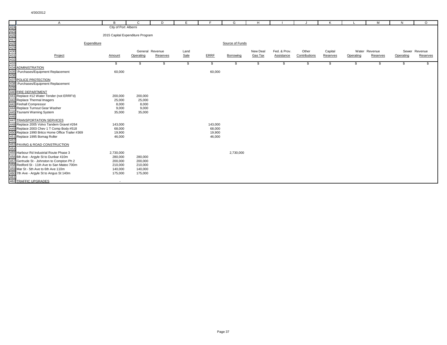|                                                      | A                                                                                         | B                                | $\mathbf{C}$    | D        | E.   | E                 | G               | H        |              | $\cdot$       | K        |           | M             | N         | $\circ$       |
|------------------------------------------------------|-------------------------------------------------------------------------------------------|----------------------------------|-----------------|----------|------|-------------------|-----------------|----------|--------------|---------------|----------|-----------|---------------|-----------|---------------|
|                                                      |                                                                                           | City of Port Alberni             |                 |          |      |                   |                 |          |              |               |          |           |               |           |               |
|                                                      |                                                                                           |                                  |                 |          |      |                   |                 |          |              |               |          |           |               |           |               |
|                                                      |                                                                                           | 2015 Capital Expenditure Program |                 |          |      |                   |                 |          |              |               |          |           |               |           |               |
|                                                      |                                                                                           |                                  |                 |          |      |                   |                 |          |              |               |          |           |               |           |               |
|                                                      | Expenditure                                                                               |                                  |                 |          |      |                   | Source of Funds |          |              |               |          |           |               |           |               |
|                                                      |                                                                                           |                                  |                 |          |      |                   |                 |          |              |               |          |           |               |           |               |
|                                                      |                                                                                           |                                  | General Revenue |          | Land |                   |                 | New Deal | Fed. & Prov. | Other         | Capital  |           | Water Revenue |           | Sewer Revenue |
|                                                      | Project                                                                                   | Amount                           | Operating       | Reserves | Sale | <b>ERRF</b>       | Borrowing       | Gas Tax  | Assistance   | Contributions | Reserves | Operating | Reserves      | Operating | Reserves      |
| 424<br>425<br>427<br>428<br>429<br>431<br>432<br>433 |                                                                                           |                                  |                 |          |      |                   |                 |          |              |               |          |           |               |           |               |
|                                                      |                                                                                           | \$                               | \$              | -\$      | \$   | \$                | \$              | \$       | \$           | \$            | \$       | \$        | \$            | \$        | \$            |
| 434                                                  | <b>ADMINISTRATION</b>                                                                     |                                  |                 |          |      |                   |                 |          |              |               |          |           |               |           |               |
| 435                                                  | Purchases/Equipment Replacement                                                           | 60,000                           |                 |          |      | 60,000            |                 |          |              |               |          |           |               |           |               |
| 436                                                  |                                                                                           |                                  |                 |          |      |                   |                 |          |              |               |          |           |               |           |               |
| 437                                                  | POLICE PROTECTION                                                                         |                                  |                 |          |      |                   |                 |          |              |               |          |           |               |           |               |
| 438                                                  | Purchases/Equipment Replacement                                                           |                                  |                 |          |      |                   |                 |          |              |               |          |           |               |           |               |
| 439                                                  |                                                                                           |                                  |                 |          |      |                   |                 |          |              |               |          |           |               |           |               |
| 440                                                  | <b>FIRE DEPARTMENT</b>                                                                    |                                  |                 |          |      |                   |                 |          |              |               |          |           |               |           |               |
| 441                                                  | Replace #12 Water Tender (not ERRF'd)                                                     | 200,000                          | 200,000         |          |      |                   |                 |          |              |               |          |           |               |           |               |
|                                                      | 442 Replace Thermal Imagers                                                               | 25,000                           | 25,000          |          |      |                   |                 |          |              |               |          |           |               |           |               |
|                                                      | 443 Firehall Compressor                                                                   | 8,000                            | 8,000           |          |      |                   |                 |          |              |               |          |           |               |           |               |
|                                                      | 444 Replace Turnout Gear Was<br>445 Tsunami Warning System<br>Replace Turnout Gear Washer | 9,000                            | 9,000           |          |      |                   |                 |          |              |               |          |           |               |           |               |
|                                                      |                                                                                           | 35,000                           | 35,000          |          |      |                   |                 |          |              |               |          |           |               |           |               |
| 446                                                  | 447 TRANSPORTATION SERVICES                                                               |                                  |                 |          |      |                   |                 |          |              |               |          |           |               |           |               |
| 448                                                  |                                                                                           |                                  |                 |          |      |                   |                 |          |              |               |          |           |               |           |               |
| 449                                                  | Replace 2005 Volvo Tandem Gravel #264<br>Replace 2003 Chev 1 T Comp Body #518             | 143,000<br>68,000                |                 |          |      | 143,000<br>68,000 |                 |          |              |               |          |           |               |           |               |
| 450                                                  | Replace 1990 Britco Home Office Trailer #369                                              | 19,900                           |                 |          |      | 19,900            |                 |          |              |               |          |           |               |           |               |
| 451                                                  | Replace 1995 Bomag Roller                                                                 | 46,000                           |                 |          |      | 46,000            |                 |          |              |               |          |           |               |           |               |
| 452                                                  |                                                                                           |                                  |                 |          |      |                   |                 |          |              |               |          |           |               |           |               |
| 453                                                  | PAVING & ROAD CONSTRUCTION                                                                |                                  |                 |          |      |                   |                 |          |              |               |          |           |               |           |               |
| 454                                                  |                                                                                           |                                  |                 |          |      |                   |                 |          |              |               |          |           |               |           |               |
|                                                      | 455 Harbour Rd Industrial Route Phase 3                                                   | 2,730,000                        |                 |          |      |                   | 2,730,000       |          |              |               |          |           |               |           |               |
|                                                      | 456 6th Ave - Argyle St to Dunbar 410m                                                    | 280,000                          | 280,000         |          |      |                   |                 |          |              |               |          |           |               |           |               |
|                                                      | 457 Gertrude St - Johnston to Compton Ph 2                                                | 200,000                          | 200,000         |          |      |                   |                 |          |              |               |          |           |               |           |               |
| 458                                                  | Redford St - 11th Ave to San Mateo 700m                                                   | 210,000                          | 210,000         |          |      |                   |                 |          |              |               |          |           |               |           |               |
|                                                      | 459 Mar St - 5th Ave to 6th Ave 110m                                                      | 140,000                          | 140,000         |          |      |                   |                 |          |              |               |          |           |               |           |               |
|                                                      | 460 7th Ave - Argyle St to Angus St 140m                                                  | 175,000                          | 175,000         |          |      |                   |                 |          |              |               |          |           |               |           |               |
| 461                                                  |                                                                                           |                                  |                 |          |      |                   |                 |          |              |               |          |           |               |           |               |
|                                                      | <b>462 TRAFFIC UPGRADES</b>                                                               |                                  |                 |          |      |                   |                 |          |              |               |          |           |               |           |               |
|                                                      |                                                                                           |                                  |                 |          |      |                   |                 |          |              |               |          |           |               |           |               |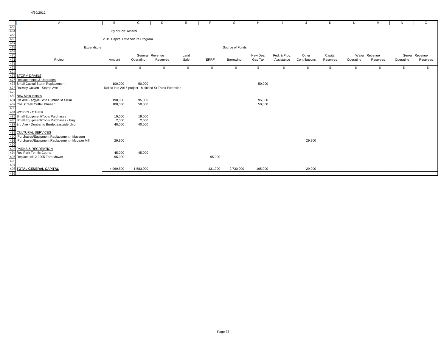|                                                                    | A                                                                                         | в                                | C                                                      | D        | E                        |             | G               | H        |              |               | K        |                          | м             | N         | $\circ$       |
|--------------------------------------------------------------------|-------------------------------------------------------------------------------------------|----------------------------------|--------------------------------------------------------|----------|--------------------------|-------------|-----------------|----------|--------------|---------------|----------|--------------------------|---------------|-----------|---------------|
|                                                                    |                                                                                           |                                  |                                                        |          |                          |             |                 |          |              |               |          |                          |               |           |               |
|                                                                    |                                                                                           | City of Port Alberni             |                                                        |          |                          |             |                 |          |              |               |          |                          |               |           |               |
|                                                                    |                                                                                           |                                  |                                                        |          |                          |             |                 |          |              |               |          |                          |               |           |               |
|                                                                    |                                                                                           | 2015 Capital Expenditure Program |                                                        |          |                          |             |                 |          |              |               |          |                          |               |           |               |
|                                                                    |                                                                                           |                                  |                                                        |          |                          |             |                 |          |              |               |          |                          |               |           |               |
|                                                                    | Expenditure                                                                               |                                  |                                                        |          |                          |             | Source of Funds |          |              |               |          |                          |               |           |               |
|                                                                    |                                                                                           |                                  | General Revenue                                        |          | Land                     |             |                 | New Deal | Fed. & Prov. | Other         | Capital  |                          | Water Revenue |           | Sewer Revenue |
|                                                                    | Project                                                                                   | Amount                           | Operating                                              | Reserves | Sale                     | <b>ERRF</b> | Borrowing       | Gas Tax  | Assistance   | Contributions | Reserves | Operating                | Reserves      | Operating | Reserves      |
|                                                                    |                                                                                           |                                  |                                                        |          |                          |             |                 |          |              |               |          |                          |               |           |               |
| 463<br>464<br>465<br>466<br>468<br>468<br>471<br>472<br>473<br>474 |                                                                                           | \$                               | \$                                                     | \$       | S.                       | \$          | \$              | \$       | \$           | \$            | \$       | \$                       | \$            | \$        | \$.           |
|                                                                    |                                                                                           |                                  |                                                        |          |                          |             |                 |          |              |               |          |                          |               |           |               |
|                                                                    | 475 STORM DRAINS                                                                          |                                  |                                                        |          |                          |             |                 |          |              |               |          |                          |               |           |               |
|                                                                    | 476 Replacements & Upgrades                                                               |                                  |                                                        |          |                          |             |                 |          |              |               |          |                          |               |           |               |
|                                                                    | 477 Small Capital Storm Replacement                                                       | 100,000                          | 50,000                                                 |          |                          |             |                 | 50,000   |              |               |          |                          |               |           |               |
|                                                                    | 478 Railway Culvert - Stamp Ave                                                           |                                  | Rolled into 2016 project - Maitland St Trunk Extension |          |                          |             |                 |          |              |               |          |                          |               |           |               |
| 479                                                                |                                                                                           |                                  |                                                        |          |                          |             |                 |          |              |               |          |                          |               |           |               |
|                                                                    | 480 New Main Installs                                                                     |                                  |                                                        |          |                          |             |                 |          |              |               |          |                          |               |           |               |
|                                                                    | 481 6th Ave - Argyle St to Dunbar St 410m                                                 | 190,000                          | 95,000                                                 |          |                          |             |                 | 95,000   |              |               |          |                          |               |           |               |
|                                                                    | 482 Coal Creek Outfall Phase 1                                                            | 100,000                          | 50,000                                                 |          |                          |             |                 | 50,000   |              |               |          |                          |               |           |               |
| 483                                                                |                                                                                           |                                  |                                                        |          |                          |             |                 |          |              |               |          |                          |               |           |               |
|                                                                    | 484 WORKS - OTHER                                                                         |                                  |                                                        |          |                          |             |                 |          |              |               |          |                          |               |           |               |
|                                                                    | 485 Small Equipment/Tools Purchases                                                       | 19,000                           | 19,000                                                 |          |                          |             |                 |          |              |               |          |                          |               |           |               |
|                                                                    | 486 Small Equipment/Tools Purchases - Eng<br>487 3rd Ave - Dunbar to Burde, eastside blvd | 2,000                            | 2,000                                                  |          |                          |             |                 |          |              |               |          |                          |               |           |               |
| 488                                                                |                                                                                           | 40,000                           | 40,000                                                 |          |                          |             |                 |          |              |               |          |                          |               |           |               |
|                                                                    | 489 CULTURAL SERVICES                                                                     |                                  |                                                        |          |                          |             |                 |          |              |               |          |                          |               |           |               |
|                                                                    | 490 Purchases/Equipment Replacement - Museum                                              |                                  |                                                        |          |                          |             |                 |          |              |               |          |                          |               |           |               |
|                                                                    | 491 Purchases/Equipment Replacement - McLean Mill                                         | 29,900                           |                                                        |          |                          |             |                 |          |              | 29,900        |          |                          |               |           |               |
| 492                                                                |                                                                                           |                                  |                                                        |          |                          |             |                 |          |              |               |          |                          |               |           |               |
|                                                                    | 493 PARKS & RECREATION                                                                    |                                  |                                                        |          |                          |             |                 |          |              |               |          |                          |               |           |               |
|                                                                    | 494 Rec Park Tennis Courts                                                                | 45,000                           | 45,000                                                 |          |                          |             |                 |          |              |               |          |                          |               |           |               |
|                                                                    | 495 Replace #612 2005 Toro Mower                                                          | 95,000                           |                                                        |          |                          | 95,000      |                 |          |              |               |          |                          |               |           |               |
|                                                                    |                                                                                           |                                  |                                                        |          |                          |             |                 |          |              |               |          |                          |               |           |               |
|                                                                    | 496<br>497<br>498 TOTAL GENERAL CAPITAL                                                   |                                  |                                                        |          |                          |             |                 |          |              |               |          |                          |               |           |               |
|                                                                    |                                                                                           | 4,969,800                        | 1,583,000                                              | $\sim$   | $\overline{\phantom{a}}$ | 431,900     | 2,730,000       | 195,000  | $\sim$       | 29,900        | $\sim$   | $\overline{\phantom{a}}$ | $\sim$        | $\sim$    |               |
| 499                                                                |                                                                                           |                                  |                                                        |          |                          |             |                 |          |              |               |          |                          |               |           |               |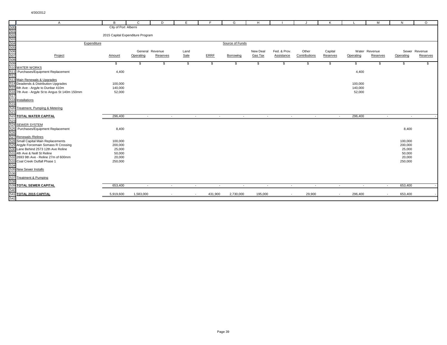|                                                             | $\mathsf{A}$                                                  | B                                | $\mathbf{C}$ | D               | Е    | E                 | G               | H        |                          |               | K          |                          | M             | N                 | $\circ$       |
|-------------------------------------------------------------|---------------------------------------------------------------|----------------------------------|--------------|-----------------|------|-------------------|-----------------|----------|--------------------------|---------------|------------|--------------------------|---------------|-------------------|---------------|
| 500<br>501<br>502<br>503<br>504<br>505<br>506<br>507<br>508 |                                                               | City of Port Alberni             |              |                 |      |                   |                 |          |                          |               |            |                          |               |                   |               |
|                                                             |                                                               |                                  |              |                 |      |                   |                 |          |                          |               |            |                          |               |                   |               |
|                                                             |                                                               | 2015 Capital Expenditure Program |              |                 |      |                   |                 |          |                          |               |            |                          |               |                   |               |
|                                                             |                                                               |                                  |              |                 |      |                   |                 |          |                          |               |            |                          |               |                   |               |
|                                                             | Expenditure                                                   |                                  |              |                 |      |                   | Source of Funds |          |                          |               |            |                          |               |                   |               |
|                                                             |                                                               |                                  |              |                 |      |                   |                 |          |                          |               |            |                          |               |                   |               |
|                                                             |                                                               |                                  |              | General Revenue | Land |                   |                 | New Deal | Fed. & Prov.             | Other         | Capital    |                          | Water Revenue |                   | Sewer Revenue |
|                                                             | Project                                                       | Amount                           | Operating    | Reserves        | Sale | <b>ERRF</b>       | Borrowing       | Gas Tax  | Assistance               | Contributions | Reserves   | Operating                | Reserves      | Operating         | Reserves      |
| 509                                                         |                                                               | \$                               | \$           | \$              | \$   | \$                | S               | \$       | \$                       | \$            | S.         | \$                       | \$            | \$                | \$            |
|                                                             | 510 WATER WORKS                                               |                                  |              |                 |      |                   |                 |          |                          |               |            |                          |               |                   |               |
|                                                             | 511 Purchases/Equipment Replacement                           | 4,400                            |              |                 |      |                   |                 |          |                          |               |            | 4,400                    |               |                   |               |
| 512                                                         |                                                               |                                  |              |                 |      |                   |                 |          |                          |               |            |                          |               |                   |               |
|                                                             | 513 Main Renewals & Upgrades                                  |                                  |              |                 |      |                   |                 |          |                          |               |            |                          |               |                   |               |
|                                                             | 514 Deadends & Distribution Upgrades                          | 100,000                          |              |                 |      |                   |                 |          |                          |               |            | 100,000                  |               |                   |               |
|                                                             | 515 6th Ave - Argyle to Dunbar 410m                           | 140,000                          |              |                 |      |                   |                 |          |                          |               |            | 140,000                  |               |                   |               |
|                                                             | 516 7th Ave - Argyle St to Angus St 140m 150mm                | 52,000                           |              |                 |      |                   |                 |          |                          |               |            | 52,000                   |               |                   |               |
| 517                                                         |                                                               |                                  |              |                 |      |                   |                 |          |                          |               |            |                          |               |                   |               |
|                                                             | 518 Installations                                             |                                  |              |                 |      |                   |                 |          |                          |               |            |                          |               |                   |               |
| 519                                                         |                                                               |                                  |              |                 |      |                   |                 |          |                          |               |            |                          |               |                   |               |
| 520                                                         | Treatment, Pumping & Metering                                 |                                  |              |                 |      |                   |                 |          |                          |               |            |                          |               |                   |               |
| 521                                                         |                                                               |                                  |              |                 |      |                   |                 |          |                          |               |            |                          |               |                   |               |
|                                                             | <b>522 TOTAL WATER CAPITAL</b>                                | 296,400                          | $\sim$       | $\sim$          |      | $\sim$<br>$\sim$  | $\sim$          | $\sim$   | $\sim$                   | $\sim$        | $\sim$ $-$ | 296,400                  | $\sim$        | $\sim$            |               |
| 523                                                         |                                                               |                                  |              |                 |      |                   |                 |          |                          |               |            |                          |               |                   |               |
|                                                             | 524 SEWER SYSTEM                                              |                                  |              |                 |      |                   |                 |          |                          |               |            |                          |               |                   |               |
| 525                                                         | Purchases/Equipment Replacement                               | 8,400                            |              |                 |      |                   |                 |          |                          |               |            |                          |               | 8,400             |               |
| 526                                                         |                                                               |                                  |              |                 |      |                   |                 |          |                          |               |            |                          |               |                   |               |
|                                                             | 527 Renewals / Relines<br>528 Small Capital Main Replacements |                                  |              |                 |      |                   |                 |          |                          |               |            |                          |               |                   |               |
|                                                             | 529 Argyle Forcemain Somass R Crossing                        | 100,000                          |              |                 |      |                   |                 |          |                          |               |            |                          |               | 100,000           |               |
|                                                             | 530 Lane Behind 2573 12th Ave Reline                          | 200,000<br>25,000                |              |                 |      |                   |                 |          |                          |               |            |                          |               | 200,000<br>25,000 |               |
|                                                             | 531 4th Ave & Neill St Reline                                 | 50,000                           |              |                 |      |                   |                 |          |                          |               |            |                          |               | 50,000            |               |
|                                                             | 532 2693 9th Ave - Reline 27m of 600mm                        | 20,000                           |              |                 |      |                   |                 |          |                          |               |            |                          |               | 20,000            |               |
|                                                             | 533 Coal Creek Outfall Phase 1                                | 250,000                          |              |                 |      |                   |                 |          |                          |               |            |                          |               | 250,000           |               |
| 534                                                         |                                                               |                                  |              |                 |      |                   |                 |          |                          |               |            |                          |               |                   |               |
| 535                                                         | <b>New Sewer Installs</b>                                     |                                  |              |                 |      |                   |                 |          |                          |               |            |                          |               |                   |               |
| 536                                                         |                                                               |                                  |              |                 |      |                   |                 |          |                          |               |            |                          |               |                   |               |
|                                                             | 537 Treatment & Pumping                                       |                                  |              |                 |      |                   |                 |          |                          |               |            |                          |               |                   |               |
| 538                                                         |                                                               |                                  |              |                 |      |                   |                 |          |                          |               |            |                          |               |                   |               |
|                                                             | 539 TOTAL SEWER CAPITAL                                       | 653,400                          | $\sim$       | $\sim$          |      | $\sim$<br>$\sim$  | $\sim$          | $\sim$   | $\overline{\phantom{a}}$ |               | $\sim$     | $\overline{\phantom{a}}$ | $\sim$        | 653,400           |               |
| 540                                                         |                                                               |                                  |              |                 |      |                   |                 |          |                          |               |            |                          |               |                   |               |
|                                                             | 541 TOTAL 2015 CAPITAL                                        | 5,919,600                        | 1,583,000    |                 |      | 431,900<br>$\sim$ | 2,730,000       | 195,000  | $\sim$                   | 29,900        | $\sim$     | 296,400                  | $\sim$        | 653,400           |               |
| 542                                                         |                                                               |                                  |              |                 |      |                   |                 |          |                          |               |            |                          |               |                   |               |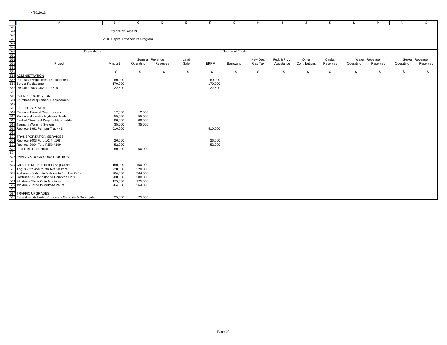|     | $\overline{A}$                                                                            | B                    | $\mathbf{C}$                     | D        | F    | F           | G               | H.       |              |               | K        |           | M             | N         | $\circ$       |
|-----|-------------------------------------------------------------------------------------------|----------------------|----------------------------------|----------|------|-------------|-----------------|----------|--------------|---------------|----------|-----------|---------------|-----------|---------------|
|     |                                                                                           |                      |                                  |          |      |             |                 |          |              |               |          |           |               |           |               |
|     |                                                                                           | City of Port Alberni |                                  |          |      |             |                 |          |              |               |          |           |               |           |               |
|     |                                                                                           |                      |                                  |          |      |             |                 |          |              |               |          |           |               |           |               |
|     |                                                                                           |                      | 2016 Capital Expenditure Program |          |      |             |                 |          |              |               |          |           |               |           |               |
|     |                                                                                           |                      |                                  |          |      |             |                 |          |              |               |          |           |               |           |               |
|     |                                                                                           |                      |                                  |          |      |             |                 |          |              |               |          |           |               |           |               |
|     | Expenditure                                                                               |                      |                                  |          |      |             | Source of Funds |          |              |               |          |           |               |           |               |
|     |                                                                                           |                      |                                  |          |      |             |                 |          |              |               |          |           |               |           |               |
|     |                                                                                           |                      | General Revenue                  |          | Land |             |                 | New Deal | Fed. & Prov. | Other         | Capital  |           | Water Revenue |           | Sewer Revenue |
|     | Project                                                                                   | Amount               | Operating                        | Reserves | Sale | <b>ERRF</b> | Borrowing       | Gas Tax  | Assistance   | Contributions | Reserves | Operating | Reserves      | Operating | Reserves      |
|     |                                                                                           |                      |                                  |          |      |             |                 |          |              |               |          |           |               |           |               |
| 554 |                                                                                           | \$                   | \$.                              | \$       | \$   | \$          | \$              | \$       | \$           | \$            | \$       | \$        | \$            | S         | \$.           |
| 555 | <b>ADMINISTRATION</b>                                                                     |                      |                                  |          |      |             |                 |          |              |               |          |           |               |           |               |
|     | 556 Purchases/Equipment Replacement                                                       | 60,000               |                                  |          |      | 60,000      |                 |          |              |               |          |           |               |           |               |
|     | 557 Server Replacement                                                                    | 170,000              |                                  |          |      | 170,000     |                 |          |              |               |          |           |               |           |               |
|     | 558 Replace 2003 Cavalier #719                                                            | 22,500               |                                  |          |      | 22,500      |                 |          |              |               |          |           |               |           |               |
| 559 |                                                                                           |                      |                                  |          |      |             |                 |          |              |               |          |           |               |           |               |
|     | 560 POLICE PROTECTION                                                                     |                      |                                  |          |      |             |                 |          |              |               |          |           |               |           |               |
|     | 561 Purchases/Equipment Replacement                                                       |                      |                                  |          |      |             |                 |          |              |               |          |           |               |           |               |
| 562 |                                                                                           |                      |                                  |          |      |             |                 |          |              |               |          |           |               |           |               |
|     | 563 FIRE DEPARTMENT                                                                       |                      |                                  |          |      |             |                 |          |              |               |          |           |               |           |               |
|     | 564 Replace Turnout Gear Lockers                                                          | 12,000               | 12,000                           |          |      |             |                 |          |              |               |          |           |               |           |               |
|     | 565 Replace Holmatrol Hydraulic Tools                                                     | 55,000               | 55,000                           |          |      |             |                 |          |              |               |          |           |               |           |               |
|     | 566 Firehall Structural Prep for New Ladder                                               | 88,000               | 88,000                           |          |      |             |                 |          |              |               |          |           |               |           |               |
|     | 567 Tsunami Warning System                                                                | 35,000               | 35,000                           |          |      |             |                 |          |              |               |          |           |               |           |               |
|     | 568 Replace 1991 Pumper Truck #1                                                          | 510,000              |                                  |          |      | 510,000     |                 |          |              |               |          |           |               |           |               |
| 569 |                                                                                           |                      |                                  |          |      |             |                 |          |              |               |          |           |               |           |               |
|     | 570 TRANSPORTATION SERVICES                                                               |                      |                                  |          |      |             |                 |          |              |               |          |           |               |           |               |
|     | 571 Replace 2003 Ford 1/2 T #168                                                          | 26,500               |                                  |          |      | 26,500      |                 |          |              |               |          |           |               |           |               |
|     | 572 Replace 2004 Ford F350 #169                                                           | 52,000               |                                  |          |      | 52,000      |                 |          |              |               |          |           |               |           |               |
|     | 573 Four Post Truck Hoist                                                                 | 50,000               | 50,000                           |          |      |             |                 |          |              |               |          |           |               |           |               |
| 574 | 575 PAVING & ROAD CONSTRUCTION                                                            |                      |                                  |          |      |             |                 |          |              |               |          |           |               |           |               |
|     |                                                                                           |                      |                                  |          |      |             |                 |          |              |               |          |           |               |           |               |
| 576 | 577 Cameron Dr - Hamilton to Ship Creek                                                   |                      |                                  |          |      |             |                 |          |              |               |          |           |               |           |               |
|     |                                                                                           | 150,000              | 150,000                          |          |      |             |                 |          |              |               |          |           |               |           |               |
|     | 578 Angus - 5th Ave to 7th Ave 200mm<br>579 2nd Ave - Stirling to Melrose to 3rd Ave 240m | 220,000              | 220,000                          |          |      |             |                 |          |              |               |          |           |               |           |               |
|     | 580 Gertrude St - Johnston to Compton Ph 3                                                | 264,000<br>200,000   | 264,000<br>200,000               |          |      |             |                 |          |              |               |          |           |               |           |               |
|     | 581 9th Ave - China Cr to Montrose                                                        | 175,000              |                                  |          |      |             |                 |          |              |               |          |           |               |           |               |
|     | 582 4th Ave - Bruce to Melrose 240m                                                       | 264,000              | 175,000                          |          |      |             |                 |          |              |               |          |           |               |           |               |
| 583 |                                                                                           |                      | 264,000                          |          |      |             |                 |          |              |               |          |           |               |           |               |
|     | 584 TRAFFIC UPGRADES                                                                      |                      |                                  |          |      |             |                 |          |              |               |          |           |               |           |               |
|     | 585 Pedestrian Activated Crossing - Gertrude & Southgate                                  | 25,000               | 25,000                           |          |      |             |                 |          |              |               |          |           |               |           |               |
|     |                                                                                           |                      |                                  |          |      |             |                 |          |              |               |          |           |               |           |               |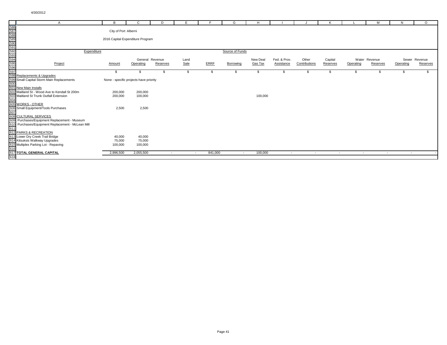|                                                                    |                                                                     | B                                | C                                      | D        | E      |             | G               | H        |              |               | K        |                          | M             | N         | $\circ$       |
|--------------------------------------------------------------------|---------------------------------------------------------------------|----------------------------------|----------------------------------------|----------|--------|-------------|-----------------|----------|--------------|---------------|----------|--------------------------|---------------|-----------|---------------|
|                                                                    |                                                                     |                                  |                                        |          |        |             |                 |          |              |               |          |                          |               |           |               |
|                                                                    |                                                                     | City of Port Alberni             |                                        |          |        |             |                 |          |              |               |          |                          |               |           |               |
|                                                                    |                                                                     |                                  |                                        |          |        |             |                 |          |              |               |          |                          |               |           |               |
|                                                                    |                                                                     | 2016 Capital Expenditure Program |                                        |          |        |             |                 |          |              |               |          |                          |               |           |               |
|                                                                    |                                                                     |                                  |                                        |          |        |             |                 |          |              |               |          |                          |               |           |               |
|                                                                    |                                                                     |                                  |                                        |          |        |             |                 |          |              |               |          |                          |               |           |               |
| 586<br>587<br>588<br>589<br>599<br>599<br>599<br>599<br>596<br>597 | Expenditure                                                         |                                  |                                        |          |        |             | Source of Funds |          |              |               |          |                          |               |           |               |
|                                                                    |                                                                     |                                  |                                        |          |        |             |                 |          |              |               |          |                          |               |           |               |
|                                                                    |                                                                     |                                  | General Revenue                        |          | Land   |             |                 | New Deal | Fed. & Prov. | Other         | Capital  |                          | Water Revenue |           | Sewer Revenue |
|                                                                    | Project                                                             | Amount                           | Operating                              | Reserves | Sale   | <b>ERRF</b> | Borrowing       | Gas Tax  | Assistance   | Contributions | Reserves | Operating                | Reserves      | Operating | Reserves      |
|                                                                    |                                                                     |                                  |                                        |          |        |             |                 |          |              |               |          |                          |               |           |               |
|                                                                    |                                                                     | \$                               | \$                                     | \$       | S.     | \$          | -S              | \$.      | \$           | - \$          | \$       | \$                       | \$            | \$        | \$            |
|                                                                    | 598 Replacements & Upgrades                                         |                                  |                                        |          |        |             |                 |          |              |               |          |                          |               |           |               |
|                                                                    | 599 Small Capital Storm Main Replacements                           |                                  | None - specific projects have priority |          |        |             |                 |          |              |               |          |                          |               |           |               |
|                                                                    | 600<br>601 New Main Installs                                        |                                  |                                        |          |        |             |                 |          |              |               |          |                          |               |           |               |
|                                                                    |                                                                     |                                  |                                        |          |        |             |                 |          |              |               |          |                          |               |           |               |
|                                                                    | 602 Maitland St - Wood Ave to Kendall St 200m                       | 200,000                          | 200,000                                |          |        |             |                 |          |              |               |          |                          |               |           |               |
|                                                                    | 603 Maitland St Trunk Outfall Extension                             | 200,000                          | 100,000                                |          |        |             |                 | 100,000  |              |               |          |                          |               |           |               |
|                                                                    | 604<br>605 WORKS - OTHER                                            |                                  |                                        |          |        |             |                 |          |              |               |          |                          |               |           |               |
|                                                                    |                                                                     | 2,500                            | 2,500                                  |          |        |             |                 |          |              |               |          |                          |               |           |               |
|                                                                    |                                                                     |                                  |                                        |          |        |             |                 |          |              |               |          |                          |               |           |               |
|                                                                    | 606 Small Equipment/Tools Purchases<br>607<br>608 CULTURAL SERVICES |                                  |                                        |          |        |             |                 |          |              |               |          |                          |               |           |               |
|                                                                    | 609 Purchases/Equipment Replacement - Museum                        |                                  |                                        |          |        |             |                 |          |              |               |          |                          |               |           |               |
|                                                                    |                                                                     |                                  |                                        |          |        |             |                 |          |              |               |          |                          |               |           |               |
|                                                                    | 610 Purchases/Equipment Replacement - McLean Mill<br>611            |                                  |                                        |          |        |             |                 |          |              |               |          |                          |               |           |               |
|                                                                    | 612 PARKS & RECREATION                                              |                                  |                                        |          |        |             |                 |          |              |               |          |                          |               |           |               |
|                                                                    | 613 Lower Dry Creek Trail Bridge                                    | 40,000                           | 40,000                                 |          |        |             |                 |          |              |               |          |                          |               |           |               |
|                                                                    | 614 Kitsuksis Walkway Upgrades                                      | 75,000                           | 75,000                                 |          |        |             |                 |          |              |               |          |                          |               |           |               |
|                                                                    | 615 Multiplex Parking Lot - Repaving<br>616                         | 100,000                          | 100,000                                |          |        |             |                 |          |              |               |          |                          |               |           |               |
|                                                                    |                                                                     |                                  |                                        |          |        |             |                 |          |              |               |          |                          |               |           |               |
|                                                                    | 617 TOTAL GENERAL CAPITAL                                           | 2,996,500                        | 2,055,500                              | $\sim$   | $\sim$ | 841,000     | $\sim$          | 100,000  | $\sim$       | $\sim$        | $\sim$   | $\overline{\phantom{a}}$ | $\sim$        | $\sim$    |               |
| 618                                                                |                                                                     |                                  |                                        |          |        |             |                 |          |              |               |          |                          |               |           |               |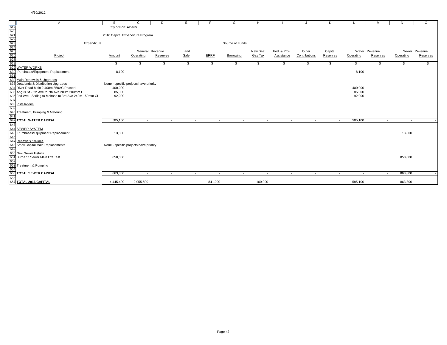|                                                             | $\mathsf{A}$                                               | B                                | C                                      | D                        | E      | F.          | G                | H              |              |               | κ        |           | M             | N         | $\circ$       |
|-------------------------------------------------------------|------------------------------------------------------------|----------------------------------|----------------------------------------|--------------------------|--------|-------------|------------------|----------------|--------------|---------------|----------|-----------|---------------|-----------|---------------|
|                                                             |                                                            | City of Port Alberni             |                                        |                          |        |             |                  |                |              |               |          |           |               |           |               |
|                                                             |                                                            |                                  |                                        |                          |        |             |                  |                |              |               |          |           |               |           |               |
|                                                             |                                                            | 2016 Capital Expenditure Program |                                        |                          |        |             |                  |                |              |               |          |           |               |           |               |
|                                                             |                                                            |                                  |                                        |                          |        |             |                  |                |              |               |          |           |               |           |               |
|                                                             | Expenditure                                                |                                  |                                        |                          |        |             | Source of Funds  |                |              |               |          |           |               |           |               |
|                                                             |                                                            |                                  |                                        |                          |        |             |                  |                |              |               |          |           |               |           |               |
|                                                             |                                                            |                                  | General Revenue                        |                          | Land   | <b>ERRF</b> |                  | New Deal       | Fed. & Prov. | Other         | Capital  |           | Water Revenue |           | Sewer Revenue |
|                                                             | Project                                                    | Amount                           | Operating                              | Reserves                 | Sale   |             | Borrowing        | <b>Gas Tax</b> | Assistance   | Contributions | Reserves | Operating | Reserves      | Operating | Reserves      |
| 619<br>620<br>621<br>622<br>623<br>625<br>625<br>627<br>628 |                                                            | \$                               | \$                                     | S.                       | \$     | \$          | -S               | \$             | -S           | \$            | \$       | \$        | \$            | S         | \$            |
|                                                             | 629 WATER WORKS                                            |                                  |                                        |                          |        |             |                  |                |              |               |          |           |               |           |               |
|                                                             | 630 Purchases/Equipment Replacement                        | 8,100                            |                                        |                          |        |             |                  |                |              |               |          | 8,100     |               |           |               |
| 631                                                         |                                                            |                                  |                                        |                          |        |             |                  |                |              |               |          |           |               |           |               |
|                                                             | 632 Main Renewals & Upgrades                               |                                  |                                        |                          |        |             |                  |                |              |               |          |           |               |           |               |
|                                                             | 633 Deadends & Distribution Upgrades                       |                                  | None - specific projects have priority |                          |        |             |                  |                |              |               |          |           |               |           |               |
|                                                             | 634 River Road Main 2,400m 350AC Phased                    | 400,000                          |                                        |                          |        |             |                  |                |              |               |          | 400,000   |               |           |               |
|                                                             | 635 Angus St - 5th Ave to 7th Ave 200m 200mm CI            | 85,000                           |                                        |                          |        |             |                  |                |              |               |          | 85,000    |               |           |               |
|                                                             | 636 2nd Ave - Stirling to Melrose to 3rd Ave 240m 150mm CI | 92,000                           |                                        |                          |        |             |                  |                |              |               |          | 92,000    |               |           |               |
| 637                                                         |                                                            |                                  |                                        |                          |        |             |                  |                |              |               |          |           |               |           |               |
|                                                             | 638 Installations                                          |                                  |                                        |                          |        |             |                  |                |              |               |          |           |               |           |               |
| 639                                                         |                                                            |                                  |                                        |                          |        |             |                  |                |              |               |          |           |               |           |               |
| 641                                                         | 640 Treatment, Pumping & Metering                          |                                  |                                        |                          |        |             |                  |                |              |               |          |           |               |           |               |
|                                                             | 642 TOTAL WATER CAPITAL                                    | 585,100                          | $\sim$                                 | $\sim$                   | $\sim$ |             | $\sim$<br>$\sim$ | $\sim$         | $\sim$       | $\sim$        | $\sim$   | 585,100   | $\sim$        | $\sim$    |               |
|                                                             |                                                            |                                  |                                        |                          |        |             |                  |                |              |               |          |           |               |           |               |
|                                                             | 643<br>644 SEWER SYSTEM                                    |                                  |                                        |                          |        |             |                  |                |              |               |          |           |               |           |               |
|                                                             | 645 Purchases/Equipment Replacement                        | 13,800                           |                                        |                          |        |             |                  |                |              |               |          |           |               | 13,800    |               |
| 646                                                         |                                                            |                                  |                                        |                          |        |             |                  |                |              |               |          |           |               |           |               |
|                                                             | 647 Renewals / Relines                                     |                                  |                                        |                          |        |             |                  |                |              |               |          |           |               |           |               |
|                                                             | 648 Small Capital Main Replacements                        |                                  | None - specific projects have priority |                          |        |             |                  |                |              |               |          |           |               |           |               |
| 649                                                         |                                                            |                                  |                                        |                          |        |             |                  |                |              |               |          |           |               |           |               |
|                                                             | 650 New Sewer Installs                                     |                                  |                                        |                          |        |             |                  |                |              |               |          |           |               |           |               |
|                                                             | 651 Burde St Sewer Main Ext East                           | 850,000                          |                                        |                          |        |             |                  |                |              |               |          |           |               | 850,000   |               |
| 652                                                         |                                                            |                                  |                                        |                          |        |             |                  |                |              |               |          |           |               |           |               |
|                                                             | 653 Treatment & Pumping                                    |                                  |                                        |                          |        |             |                  |                |              |               |          |           |               |           |               |
| 654                                                         | <b>655 TOTAL SEWER CAPITAL</b>                             | 863,800                          |                                        |                          |        |             |                  |                |              |               |          |           |               | 863,800   |               |
| 656                                                         |                                                            |                                  | $\sim$                                 | $\sim$                   | $\sim$ | $\sim$      | $\sim$           | $\sim$         | $\sim$       | $\sim$        | $\sim$   | $\sim$    | $\sim$        |           |               |
|                                                             | 657 TOTAL 2016 CAPITAL                                     | 4,445,400                        | 2,055,500                              | $\overline{\phantom{a}}$ | $\sim$ | 841,000     | $\sim$           | 100,000        | $\sim$       | $\sim$        | $\sim$   | 585,100   | $\sim$        | 863,800   |               |
|                                                             |                                                            |                                  |                                        |                          |        |             |                  |                |              |               |          |           |               |           |               |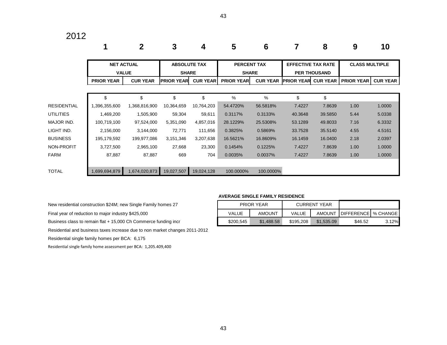### 2012

|                    |                   | $\mathbf 2$       | 3                                   | 4               | 5                                  | 6               |                           | 8                   | 9                     | 10              |
|--------------------|-------------------|-------------------|-------------------------------------|-----------------|------------------------------------|-----------------|---------------------------|---------------------|-----------------------|-----------------|
|                    | <b>VALUE</b>      | <b>NET ACTUAL</b> | <b>ABSOLUTE TAX</b><br><b>SHARE</b> |                 | <b>PERCENT TAX</b><br><b>SHARE</b> |                 | <b>EFFECTIVE TAX RATE</b> | <b>PER THOUSAND</b> | <b>CLASS MULTIPLE</b> |                 |
|                    | <b>PRIOR YEAR</b> | <b>CUR YEAR</b>   | <b>PRIOR YEAR</b>                   | <b>CUR YEAR</b> | <b>PRIOR YEAR</b>                  | <b>CUR YEAR</b> | <b>PRIOR YEAR</b>         | <b>CUR YEAR</b>     | <b>PRIOR YEAR</b>     | <b>CUR YEAR</b> |
|                    |                   |                   |                                     |                 |                                    |                 |                           |                     |                       |                 |
|                    | \$                | \$                | \$                                  | \$              | $\%$                               | $\frac{0}{0}$   | \$                        | \$                  |                       |                 |
| <b>RESIDENTIAL</b> | 1,396,355,600     | 1,368,816,900     | 10,364,659                          | 10,764,203      | 54.4720%                           | 56.5818%        | 7.4227                    | 7.8639              | 1.00                  | 1.0000          |
| <b>UTILITIES</b>   | 1,469,200         | 1,505,900         | 59,304                              | 59,611          | 0.3117%                            | 0.3133%         | 40.3648                   | 39.5850             | 5.44                  | 5.0338          |
| MAJOR IND.         | 100,719,100       | 97,524,000        | 5,351,090                           | 4,857,016       | 28.1229%                           | 25.5308%        | 53.1289                   | 49.8033             | 7.16                  | 6.3332          |
| LIGHT IND.         | 2,156,000         | 3,144,000         | 72,771                              | 111,656         | 0.3825%                            | 0.5869%         | 33.7528                   | 35.5140             | 4.55                  | 4.5161          |
| <b>BUSINESS</b>    | 195,179,592       | 199,977,086       | 3,151,346                           | 3,207,638       | 16.5621%                           | 16.8609%        | 16.1459                   | 16.0400             | 2.18                  | 2.0397          |
| NON-PROFIT         | 3,727,500         | 2,965,100         | 27,668                              | 23,300          | 0.1454%                            | 0.1225%         | 7.4227                    | 7.8639              | 1.00                  | 1.0000          |
| <b>FARM</b>        | 87,887            | 87,887            | 669                                 | 704             | 0.0035%                            | 0.0037%         | 7.4227                    | 7.8639              | 1.00                  | 1.0000          |
|                    |                   |                   |                                     |                 |                                    |                 |                           |                     |                       |                 |
| <b>TOTAL</b>       | 1,699,694,879     | 1,674,020,873     | 19,027,507                          | 19,024,128      | 100.0000%                          | 100.0000%       |                           |                     |                       |                 |

#### **AVERAGE SINGLE FAMILY RESIDENCE**

New residential construction \$24M; new Single Family homes 27

Final year of reduction to major industry \$425,000

Business class to remain flat + 15,000 Ch Commerce funding incr

Residential and business taxes increase due to non market changes 2011-2012

Residential single family homes per BCA: 6,175

Residential single family home assessment per BCA: 1,205.409,400

|           | <b>PRIOR YEAR</b> |              | CURRENT YEAR |                              |       |
|-----------|-------------------|--------------|--------------|------------------------------|-------|
| VALUE     | <b>AMOUNT</b>     | <b>VALUE</b> |              | AMOUNT DIFFERENCE   % CHANGE |       |
| \$200,545 | \$1,488.58        |              | \$1,535.09   | \$46.52                      | 3.12% |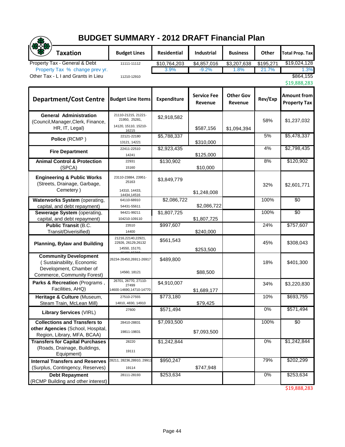## **BUDGET SUMMARY - 2012 DRAFT Financial Plan**

|                                                                                                                     | <b>BUDGET SUMMARY - 2012 DRAFT Financial Plan</b>                     |                          |                               |                             |           |                                    |
|---------------------------------------------------------------------------------------------------------------------|-----------------------------------------------------------------------|--------------------------|-------------------------------|-----------------------------|-----------|------------------------------------|
| <b>Taxation</b>                                                                                                     | <b>Budget Lines</b>                                                   | <b>Residential</b>       | <b>Industrial</b>             | <b>Business</b>             | Other     | <b>Total Prop. Tax</b>             |
| Property Tax - General & Debt                                                                                       | 11111-11112                                                           | \$10,764,203             | \$4,857,016                   | \$3,207,638                 | \$195,271 | \$19,024,128                       |
| Property Tax % change prev yr.                                                                                      |                                                                       | 3.9%                     | $-9.2%$                       | 1.8%                        | 21.7%     | 1.3%                               |
| Other Tax - L I and Grants in Lieu                                                                                  | 11210-12910                                                           |                          |                               |                             |           | \$864,155<br>\$19,888,283          |
| <b>Department/Cost Centre</b>                                                                                       | <b>Budget Line Items</b>                                              | <b>Expenditure</b>       | <b>Service Fee</b><br>Revenue | <b>Other Gov</b><br>Revenue | Rev/Exp   | Amount from<br><b>Property Tax</b> |
| <b>General Administration</b><br>(Council, Manager, Clerk, Finance,<br>HR, IT, Legal)                               | 21110-21215, 21221-<br>21950, 25281,<br>14120, 15110, 15210-<br>16215 | \$2,918,582              | \$587,156                     | \$1,094,394                 | 58%       | \$1,237,032                        |
| Police (RCMP)                                                                                                       | 22121-22180<br>13121, 14221                                           | \$5,788,337              | \$310,000                     |                             | 5%        | \$5,478,337                        |
| <b>Fire Department</b>                                                                                              | 22411-22510<br>14241                                                  | \$2,923,435              | \$125,000                     |                             | 4%        | \$2,798,435                        |
| <b>Animal Control &amp; Protection</b><br>(SPCA)                                                                    | 22931<br>15160                                                        | \$130,902                | \$10,000                      |                             | 8%        | \$120,902                          |
| <b>Engineering &amp; Public Works</b><br>(Streets, Drainage, Garbage,<br>Cemetery)                                  | 23110-23884, 23951-<br>25163<br>14310, 14433,<br>14434,14516          | \$3,849,779              | \$1,248,008                   |                             | 32%       | \$2,601,771                        |
| Waterworks System (operating,<br>capital, and debt repayment)                                                       | 64110-68910<br>54431-55611                                            | \$2,086,722              | \$2,086,722                   |                             | 100%      | \$0                                |
| Sewerage System (operating,<br>capital, and debt repayment)                                                         | 94421-99211<br>104210-109110                                          | $\overline{\$1,807,725}$ | \$1,807,725                   |                             | 100%      | \$0                                |
| <b>Public Transit (B.C.</b><br>Transit/Diverisified)                                                                | 23510<br>14400                                                        | \$997,607                | \$240,000                     |                             | 24%       | \$757,607                          |
| <b>Planning, Bylaw and Building</b>                                                                                 | 21216,22140,22921,<br>22926, 26129, 26132<br>14550, 15170,            | \$561,543                | \$253,500                     |                             | 45%       | \$308,043                          |
| <b>Community Development</b><br>(Sustainability, Economic<br>Development, Chamber of<br>Commerce, Community Forest) | 26234-26450,26911-26917<br>14560, 18121                               | \$489,800                | \$88,500                      |                             | 18%       | \$401,300                          |
| Parks & Recreation (Programs,<br>Facilities, AHQ)                                                                   | 26701, 26770, 27110-<br>27499<br>14600-14690,14710-14770              | \$4,910,007              | \$1,689,177                   |                             | 34%       | \$3,220,830                        |
| Heritage & Culture (Museum,<br>Steam Train, McLean Mill)                                                            | 27510-27555<br>14810, 4830, 14910                                     | \$773,180                | \$79,425                      |                             | 10%       | \$693,755                          |
| <b>Library Services (VIRL)</b>                                                                                      | 27600                                                                 | \$571,494                |                               |                             | 0%        | \$571,494                          |
| <b>Collections and Transfers to</b>                                                                                 | 28410-28831                                                           | \$7,093,500              |                               |                             | 100%      | \$0                                |
| other Agencies (School, Hospital,<br>Region, Library, MFA, BCAA)                                                    | 19811-19831                                                           |                          | \$7,093,500                   |                             |           |                                    |
| <b>Transfers for Capital Purchases</b><br>(Roads, Drainage, Buildings,<br>Equipment)                                | 28220<br>19111                                                        | \$1,242,844              |                               |                             | 0%        | \$1,242,844                        |
| <b>Internal Transfers and Reserves</b>                                                                              | 28211, 28236, 28910, 2991                                             | \$950,247                |                               |                             | 79%       | \$202,299                          |
| (Surplus, Contingency, Reserves)                                                                                    | 19114                                                                 |                          | \$747,948                     |                             |           |                                    |
| <b>Debt Repayment</b><br>(RCMP Building and other interest)                                                         | 28111-28193                                                           | \$253,634                |                               |                             | 0%        | \$253,634                          |

\$19,888,283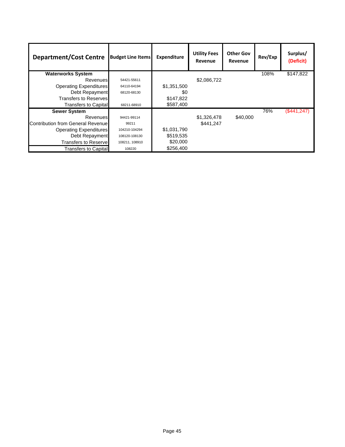| <b>Department/Cost Centre</b>      | <b>Budget Line Items</b> | <b>Expenditure</b> | <b>Utility Fees</b><br>Revenue | <b>Other Gov</b><br>Revenue | Rev/Exp | Surplus/<br>(Deficit) |
|------------------------------------|--------------------------|--------------------|--------------------------------|-----------------------------|---------|-----------------------|
| <b>Waterworks System</b>           |                          |                    |                                |                             | 108%    | \$147,822             |
| Revenues                           | 54421-55611              |                    | \$2,086,722                    |                             |         |                       |
| <b>Operating Expenditures</b>      | 64110-64194              | \$1,351,500        |                                |                             |         |                       |
| Debt Repayment                     | 68120-68130              | \$0                |                                |                             |         |                       |
| Transfers to Reserves              |                          | \$147,822          |                                |                             |         |                       |
| Transfers to Capital               | 68211-68910              | \$587,400          |                                |                             |         |                       |
| <b>Sewer System</b>                |                          |                    |                                |                             | 76%     | (\$441, 247)          |
| Revenues                           | 94421-99114              |                    | \$1,326,478                    | \$40,000                    |         |                       |
| Contribution from General Revenuel | 99211                    |                    | \$441.247                      |                             |         |                       |
| <b>Operating Expenditures</b>      | 104210-104294            | \$1,031,790        |                                |                             |         |                       |
| Debt Repayment                     | 108120-108130            | \$519,535          |                                |                             |         |                       |
| <b>Transfers to Reservel</b>       | 108211, 108910           | \$20,000           |                                |                             |         |                       |
| Transfers to Capital               | 108220                   | \$256,400          |                                |                             |         |                       |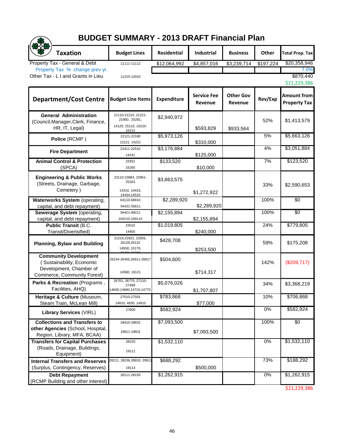## **BUDGET SUMMARY - 2013 DRAFT Financial Plan**

|                                                                                                                     | <b>BUDGET SUMMARY - 2013 DRAFT Financial Plan</b>                     |                    |                               |                             |           |                                           |
|---------------------------------------------------------------------------------------------------------------------|-----------------------------------------------------------------------|--------------------|-------------------------------|-----------------------------|-----------|-------------------------------------------|
| <b>Taxation</b>                                                                                                     | <b>Budget Lines</b>                                                   | <b>Residential</b> | Industrial                    | <b>Business</b>             | Other     | <b>Total Prop. Tax</b>                    |
| Property Tax - General & Debt                                                                                       | 11111-11112                                                           | \$12,064,992       | \$4,857,016                   | \$3,239,714                 | \$197,224 | \$20,358,946                              |
| Property Tax % change prev yr.                                                                                      |                                                                       |                    |                               |                             |           | 7.0%                                      |
| Other Tax - L I and Grants in Lieu                                                                                  | 11210-12910                                                           |                    |                               |                             |           | \$870,440<br>\$21,229,386                 |
| <b>Department/Cost Centre</b>                                                                                       | <b>Budget Line Items</b>                                              | <b>Expenditure</b> | <b>Service Fee</b><br>Revenue | <b>Other Gov</b><br>Revenue | Rev/Exp   | <b>Amount from</b><br><b>Property Tax</b> |
| <b>General Administration</b><br>(Council, Manager, Clerk, Finance,<br>HR, IT, Legal)                               | 21110-21215, 21221-<br>21950, 25281,<br>14120, 15110, 15210-<br>16215 | \$2,940,972        | \$593,829                     | \$933,564                   | 52%       | \$1,413,579                               |
| Police (RCMP)                                                                                                       | 22121-22180<br>13121, 14221                                           | \$5,973,126        | \$310,000                     |                             | 5%        | \$5,663,126                               |
| <b>Fire Department</b>                                                                                              | 22411-22510<br>14241                                                  | \$3,176,884        | \$125,000                     |                             | 4%        | \$3,051,884                               |
| <b>Animal Control &amp; Protection</b><br>(SPCA)                                                                    | 22931<br>15160                                                        | \$133,520          | \$10,000                      |                             | 7%        | \$123,520                                 |
| <b>Engineering &amp; Public Works</b><br>(Streets, Drainage, Garbage,<br>Cemetery)                                  | 23110-23884, 23951-<br>25163<br>14310, 14433,<br>14434,14516          | \$3,863,575        | \$1,272,922                   |                             | 33%       | \$2,590,653                               |
| <b>Waterworks System</b> (operating,<br>capital, and debt repayment)                                                | 64110-68910<br>54431-55611                                            | \$2,289,920        | \$2,289,920                   |                             | 100%      | \$0                                       |
| Sewerage System (operating,<br>capital, and debt repayment)                                                         | 94421-99211<br>104210-109110                                          | \$2,155,894        | \$2,155,894                   |                             | 100%      | \$0                                       |
| <b>Public Transit (B.C.</b><br>Transit/Diverisified)                                                                | 23510<br>14400                                                        | \$1,019,805        | \$240,000                     |                             | 24%       | \$779,805                                 |
| <b>Planning, Bylaw and Building</b>                                                                                 | 21216,22921, 22926,<br>26129,26132<br>14550, 15170,                   | \$428,708          | \$253,500                     |                             | 59%       | \$175,208                                 |
| <b>Community Development</b><br>(Sustainability, Economic<br>Development, Chamber of<br>Commerce, Community Forest) | 26234-26450,26911-26917<br>14560, 18121                               | \$504,600          | \$714,317                     |                             | 142%      | (\$209,717)                               |
| Parks & Recreation (Programs,<br>Facilities, AHQ)                                                                   | 26701, 26770, 27110-<br>27499<br>14600-14690,14710-14770              | \$5,076,026        | \$1,707,807                   |                             | 34%       | \$3,368,219                               |
| Heritage & Culture (Museum,<br>Steam Train, McLean Mill)                                                            | 27510-27555<br>14810, 4830, 14910                                     | \$783,868          | \$77,000                      |                             | 10%       | \$706,868                                 |
| <b>Library Services (VIRL)</b>                                                                                      | 27600                                                                 | \$582,924          |                               |                             | 0%        | \$582,924                                 |
| <b>Collections and Transfers to</b>                                                                                 | 28410-28831                                                           | \$7,093,500        |                               |                             | 100%      | \$0                                       |
| other Agencies (School, Hospital,<br>Region, Library, MFA, BCAA)                                                    | 19811-19831                                                           |                    | \$7,093,500                   |                             |           |                                           |
| <b>Transfers for Capital Purchases</b><br>(Roads, Drainage, Buildings,<br>Equipment)                                | 28220<br>19111                                                        | \$1,532,110        |                               |                             | 0%        | \$1,532,110                               |
| <b>Internal Transfers and Reserves</b>                                                                              | 28211, 28236,28910, 2991 <sup>,</sup>                                 | \$688,292          |                               |                             | 73%       | \$188,292                                 |
| (Surplus, Contingency, Reserves)                                                                                    | 19114                                                                 |                    | \$500,000                     |                             |           |                                           |
| <b>Debt Repayment</b><br>(RCMP Building and other interest)                                                         | 28111-28193                                                           | \$1,262,915        |                               |                             | $0\%$     | \$1,262,915                               |

\$21,229,386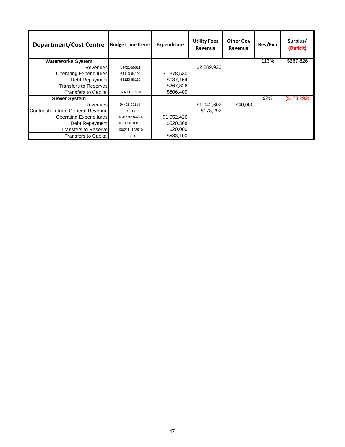| <b>Department/Cost Centre</b>     | <b>Budget Line Items</b> | <b>Expenditure</b> | <b>Utility Fees</b><br>Revenue | <b>Other Gov</b><br>Revenue | Rev/Exp | Surplus/<br>(Deficit) |
|-----------------------------------|--------------------------|--------------------|--------------------------------|-----------------------------|---------|-----------------------|
| <b>Waterworks System</b>          |                          |                    |                                |                             | 113%    | \$267,826             |
| <b>Revenues</b>                   | 54421-55611              |                    | \$2,289,920                    |                             |         |                       |
| <b>Operating Expenditures</b>     | 64110-64194              | \$1,378,530        |                                |                             |         |                       |
| Debt Repayment                    | 68120-68130              | \$137.164          |                                |                             |         |                       |
| Transfers to Reserves             |                          | \$267,826          |                                |                             |         |                       |
| Transfers to Capital              | 68211-68910              | \$506,400          |                                |                             |         |                       |
| <b>Sewer System</b>               |                          |                    |                                |                             | 92%     | (\$173,292)           |
| Revenues                          | 94421-99114              |                    | \$1,942,602                    | \$40,000                    |         |                       |
| Contribution from General Revenue | 99211                    |                    | \$173,292                      |                             |         |                       |
| <b>Operating Expenditures</b>     | 104210-104294            | \$1,052,426        |                                |                             |         |                       |
| Debt Repayment                    | 108120-108130            | \$520,368          |                                |                             |         |                       |
| <b>Transfers to Reservel</b>      | 108211, 108910           | \$20,000           |                                |                             |         |                       |
| <b>Transfers to Capital</b>       | 108220                   | \$583,100          |                                |                             |         |                       |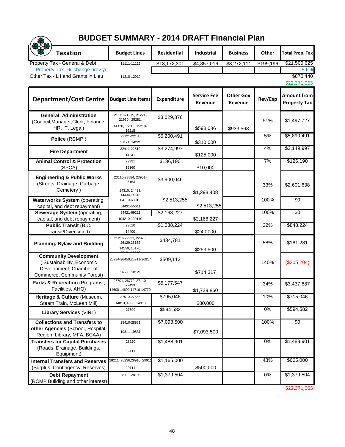## **BUDGET SUMMARY - 2014 DRAFT Financial Plan**

| <b>BUDGET SUMMARY - 2014 DRAFT Financial Plan</b>                                                                   |                                                                       |                    |                               |                             |           |                                           |  |  |
|---------------------------------------------------------------------------------------------------------------------|-----------------------------------------------------------------------|--------------------|-------------------------------|-----------------------------|-----------|-------------------------------------------|--|--|
| <b>Taxation</b>                                                                                                     | <b>Budget Lines</b>                                                   | <b>Residential</b> | Industrial                    | <b>Business</b>             | Other     | <b>Total Prop. Tax</b>                    |  |  |
| Property Tax - General & Debt                                                                                       | 11111-11112                                                           | \$13,172,301       | \$4,857,016                   | \$3,272,111                 | \$199,196 | \$21,500,625                              |  |  |
| Property Tax % change prev yr.                                                                                      |                                                                       |                    |                               |                             |           | 5.6%                                      |  |  |
| Other Tax - L I and Grants in Lieu                                                                                  | 11210-12910                                                           |                    |                               |                             |           | \$870,440<br>\$22,371,065                 |  |  |
| <b>Department/Cost Centre</b>                                                                                       | <b>Budget Line Items</b>                                              | <b>Expenditure</b> | <b>Service Fee</b><br>Revenue | <b>Other Gov</b><br>Revenue | Rev/Exp   | <b>Amount from</b><br><b>Property Tax</b> |  |  |
| <b>General Administration</b><br>(Council, Manager, Clerk, Finance,<br>HR, IT, Legal)                               | 21110-21215, 21221-<br>21950, 25281,<br>14120, 15110, 15210-<br>16215 | \$3,029,376        | \$598,086                     | \$933,563                   | 51%       | \$1,497,727                               |  |  |
| Police (RCMP)                                                                                                       | 22121-22180<br>13121, 14221                                           | \$6,200,491        | \$310,000                     |                             | 5%        | \$5,890,491                               |  |  |
| <b>Fire Department</b>                                                                                              | 22411-22510<br>14241                                                  | \$3,274,997        | \$125,000                     |                             | 4%        | \$3,149,997                               |  |  |
| <b>Animal Control &amp; Protection</b><br>(SPCA)                                                                    | 22931<br>15160                                                        | \$136,190          | \$10,000                      |                             | 7%        | \$126,190                                 |  |  |
| <b>Engineering &amp; Public Works</b><br>(Streets, Drainage, Garbage,<br>Cemetery)                                  | 23110-23884, 23951-<br>25163<br>14310, 14433,<br>14434,14516          | \$3,900,046        | \$1,298,408                   |                             | 33%       | \$2,601,638                               |  |  |
| <b>Waterworks System</b> (operating,<br>capital, and debt repayment)                                                | 64110-68910<br>54431-55611                                            | \$2,513,255        | \$2,513,255                   |                             | 100%      | \$0                                       |  |  |
| Sewerage System (operating,<br>capital, and debt repayment)                                                         | 94421-99211<br>104210-109110                                          | \$2,168,227        | \$2,168,227                   |                             | 100%      | \$0                                       |  |  |
| <b>Public Transit (B.C.</b><br>Transit/Diverisified)                                                                | 23510<br>14400                                                        | \$1,088,224        | \$240,000                     |                             | 22%       | \$848,224                                 |  |  |
| <b>Planning, Bylaw and Building</b>                                                                                 | 21216,22921, 22926,<br>26129,26132<br>14550, 15170,                   | \$434,781          | \$253,500                     |                             | 58%       | \$181,281                                 |  |  |
| <b>Community Development</b><br>(Sustainability, Economic<br>Development, Chamber of<br>Commerce, Community Forest) | 26234-26450,26911-26917<br>14560, 18121                               | \$509,113          | \$714,317                     |                             | 140%      | $(\$205,204)$                             |  |  |
| Parks & Recreation (Programs,<br>Facilities, AHQ)                                                                   | 26701, 26770, 27110-<br>27499<br>14600-14690,14710-14770              | \$5,177,547        | \$1,739,860                   |                             | 34%       | \$3,437,687                               |  |  |
| Heritage & Culture (Museum,<br>Steam Train, McLean Mill)                                                            | 27510-27555<br>14810, 4830, 14910                                     | \$795,046          | \$80,000                      |                             | 10%       | \$715,046                                 |  |  |
| <b>Library Services (VIRL)</b>                                                                                      | 27600                                                                 | \$594,582          |                               |                             | 0%        | \$594,582                                 |  |  |
| <b>Collections and Transfers to</b>                                                                                 | 28410-28831                                                           | \$7,093,500        |                               |                             | 100%      | \$0                                       |  |  |
| other Agencies (School, Hospital,<br>Region, Library, MFA, BCAA)                                                    | 19811-19831                                                           |                    | \$7,093,500                   |                             |           |                                           |  |  |
| <b>Transfers for Capital Purchases</b><br>(Roads, Drainage, Buildings,<br>Equipment)                                | 28220<br>19111                                                        | \$1,488,901        |                               |                             | 0%        | \$1,488,901                               |  |  |
| <b>Internal Transfers and Reserves</b>                                                                              | 28211, 28236,28910, 2991 <sup>-</sup>                                 | \$1,165,000        |                               |                             | 43%       | \$665,000                                 |  |  |
| (Surplus, Contingency, Reserves)                                                                                    | 19114                                                                 |                    | \$500,000                     |                             |           |                                           |  |  |
| <b>Debt Repayment</b><br>(RCMP Building and other interest)                                                         | 28111-28193                                                           | \$1,379,504        |                               |                             | $0\%$     | \$1,379,504                               |  |  |

\$22,371,065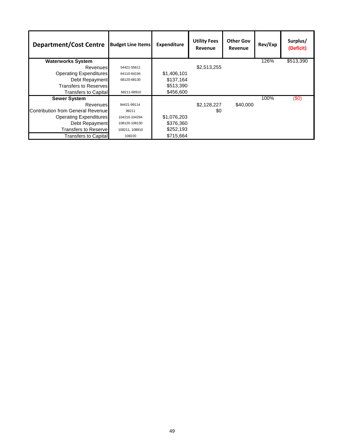| <b>Department/Cost Centre</b>            | <b>Budget Line Items</b> | Expenditure | <b>Utility Fees</b><br>Revenue | <b>Other Gov</b><br>Revenue | Rev/Exp | Surplus/<br>(Deficit) |
|------------------------------------------|--------------------------|-------------|--------------------------------|-----------------------------|---------|-----------------------|
| <b>Waterworks System</b>                 |                          |             |                                |                             | 126%    | \$513,390             |
| <b>Revenues</b>                          | 54421-55611              |             | \$2,513,255                    |                             |         |                       |
| <b>Operating Expenditures</b>            | 64110-64194              | \$1,406,101 |                                |                             |         |                       |
| Debt Repayment                           | 68120-68130              | \$137.164   |                                |                             |         |                       |
| Transfers to Reserves                    |                          | \$513,390   |                                |                             |         |                       |
| <b>Transfers to Capital</b>              | 68211-68910              | \$456,600   |                                |                             |         |                       |
| <b>Sewer System</b>                      |                          |             |                                |                             | 100%    | (\$0)                 |
| <b>Revenues</b>                          | 94421-99114              |             | \$2,128,227                    | \$40,000                    |         |                       |
| <b>Contribution from General Revenue</b> | 99211                    |             | \$0                            |                             |         |                       |
| <b>Operating Expenditures</b>            | 104210-104294            | \$1,076,203 |                                |                             |         |                       |
| Debt Repayment                           | 108120-108130            | \$376,360   |                                |                             |         |                       |
| <b>Transfers to Reserve</b>              | 108211, 108910           | \$252,193   |                                |                             |         |                       |
| Transfers to Capital                     | 108220                   | \$715,664   |                                |                             |         |                       |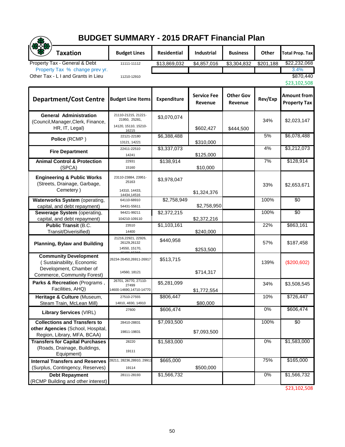## **BUDGET SUMMARY - 2015 DRAFT Financial Plan**

| <b>BUDGET SUMMARY - 2015 DRAFT Financial Plan</b>                                                                   |                                                                       |                    |                               |                             |           |                                           |  |  |
|---------------------------------------------------------------------------------------------------------------------|-----------------------------------------------------------------------|--------------------|-------------------------------|-----------------------------|-----------|-------------------------------------------|--|--|
| <b>Taxation</b>                                                                                                     | <b>Budget Lines</b>                                                   | <b>Residential</b> | <b>Industrial</b>             | <b>Business</b>             | Other     | <b>Total Prop. Tax</b>                    |  |  |
| Property Tax - General & Debt                                                                                       | 11111-11112                                                           | \$13,869,032       | \$4,857,016                   | \$3,304,832                 | \$201,188 | \$22,232,068                              |  |  |
| Property Tax % change prev yr.                                                                                      |                                                                       |                    |                               |                             |           | 3.4%                                      |  |  |
| Other Tax - L I and Grants in Lieu                                                                                  | 11210-12910                                                           |                    |                               |                             |           | \$870,440<br>\$23,102,508                 |  |  |
| <b>Department/Cost Centre</b>                                                                                       | <b>Budget Line Items</b>                                              | <b>Expenditure</b> | <b>Service Fee</b><br>Revenue | <b>Other Gov</b><br>Revenue | Rev/Exp   | <b>Amount from</b><br><b>Property Tax</b> |  |  |
| <b>General Administration</b><br>(Council, Manager, Clerk, Finance,<br>HR, IT, Legal)                               | 21110-21215, 21221-<br>21950, 25281,<br>14120, 15110, 15210-<br>16215 | \$3,070,074        | \$602,427                     | \$444,500                   | 34%       | \$2,023,147                               |  |  |
| Police (RCMP)                                                                                                       | 22121-22180<br>13121, 14221                                           | \$6,388,488        | \$310,000                     |                             | 5%        | \$6,078,488                               |  |  |
| <b>Fire Department</b>                                                                                              | 22411-22510<br>14241                                                  | \$3,337,073        | \$125,000                     |                             | 4%        | \$3,212,073                               |  |  |
| <b>Animal Control &amp; Protection</b><br>(SPCA)                                                                    | 22931<br>15160                                                        | \$138,914          | \$10,000                      |                             | 7%        | \$128,914                                 |  |  |
| <b>Engineering &amp; Public Works</b><br>(Streets, Drainage, Garbage,<br>Cemetery)                                  | 23110-23884, 23951-<br>25163<br>14310, 14433,<br>14434,14516          | \$3,978,047        | \$1,324,376                   |                             | 33%       | \$2,653,671                               |  |  |
| <b>Waterworks System</b> (operating,<br>capital, and debt repayment)                                                | 64110-68910<br>54431-55611                                            | \$2,758,949        | \$2,758,950                   |                             | 100%      | \$0                                       |  |  |
| Sewerage System (operating,<br>capital, and debt repayment)                                                         | 94421-99211<br>104210-109110                                          | \$2,372,215        | \$2,372,216                   |                             | 100%      | \$0                                       |  |  |
| <b>Public Transit (B.C.</b><br>Transit/Diverisified)                                                                | 23510<br>14400                                                        | \$1,103,161        | \$240,000                     |                             | 22%       | \$863,161                                 |  |  |
| <b>Planning, Bylaw and Building</b>                                                                                 | 21216,22921, 22926,<br>26129,26132<br>14550, 15170,                   | \$440,958          | \$253,500                     |                             | 57%       | \$187,458                                 |  |  |
| <b>Community Development</b><br>(Sustainability, Economic<br>Development, Chamber of<br>Commerce, Community Forest) | 26234-26450,26911-26917<br>14560, 18121                               | \$513,715          | \$714,317                     |                             | 139%      | (\$200,602)                               |  |  |
| Parks & Recreation (Programs,<br>Facilities, AHQ)                                                                   | 26701, 26770, 27110-<br>27499<br>14600-14690,14710-14770              | \$5,281,099        | \$1,772,554                   |                             | 34%       | \$3,508,545                               |  |  |
| Heritage & Culture (Museum,<br>Steam Train, McLean Mill)                                                            | 27510-27555<br>14810, 4830, 14910                                     | \$806,447          | \$80,000                      |                             | 10%       | \$726,447                                 |  |  |
| <b>Library Services (VIRL)</b>                                                                                      | 27600                                                                 | \$606,474          |                               |                             | 0%        | \$606,474                                 |  |  |
| <b>Collections and Transfers to</b>                                                                                 | 28410-28831                                                           | \$7,093,500        |                               |                             | 100%      | \$0                                       |  |  |
| other Agencies (School, Hospital,<br>Region, Library, MFA, BCAA)                                                    | 19811-19831                                                           |                    | \$7,093,500                   |                             |           |                                           |  |  |
| <b>Transfers for Capital Purchases</b><br>(Roads, Drainage, Buildings,<br>Equipment)                                | 28220<br>19111                                                        | \$1,583,000        |                               |                             | 0%        | \$1,583,000                               |  |  |
| <b>Internal Transfers and Reserves</b>                                                                              | 28211, 28236,28910, 2991 <sup>,</sup>                                 | \$665,000          |                               |                             | 75%       | \$165,000                                 |  |  |
| (Surplus, Contingency, Reserves)                                                                                    | 19114                                                                 |                    | \$500,000                     |                             |           |                                           |  |  |
| <b>Debt Repayment</b><br>(RCMP Building and other interest)                                                         | 28111-28193                                                           | \$1,566,732        |                               |                             | $0\%$     | \$1,566,732                               |  |  |

\$23,102,508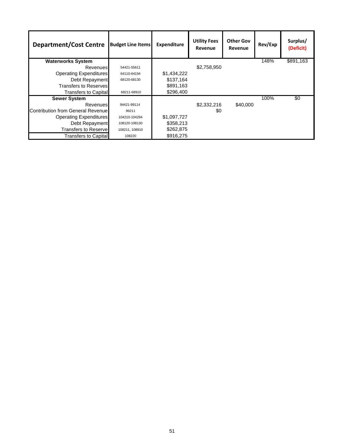| <b>Department/Cost Centre</b>     | <b>Budget Line Items</b> | <b>Expenditure</b> | <b>Utility Fees</b><br>Revenue | <b>Other Gov</b><br>Revenue | Rev/Exp | Surplus/<br>(Deficit) |
|-----------------------------------|--------------------------|--------------------|--------------------------------|-----------------------------|---------|-----------------------|
| <b>Waterworks System</b>          |                          |                    |                                |                             | 148%    | \$891,163             |
| <b>Revenues</b>                   | 54421-55611              |                    | \$2,758,950                    |                             |         |                       |
| <b>Operating Expenditures</b>     | 64110-64194              | \$1,434,222        |                                |                             |         |                       |
| Debt Repayment                    | 68120-68130              | \$137.164          |                                |                             |         |                       |
| Transfers to Reserves             |                          | \$891.163          |                                |                             |         |                       |
| Transfers to Capital              | 68211-68910              | \$296,400          |                                |                             |         |                       |
| <b>Sewer System</b>               |                          |                    |                                |                             | 100%    | \$0                   |
| Revenues                          | 94421-99114              |                    | \$2,332,216                    | \$40,000                    |         |                       |
| Contribution from General Revenue | 99211                    |                    | \$0                            |                             |         |                       |
| <b>Operating Expenditures</b>     | 104210-104294            | \$1,097,727        |                                |                             |         |                       |
| Debt Repayment                    | 108120-108130            | \$358,213          |                                |                             |         |                       |
| <b>Transfers to Reservel</b>      | 108211, 108910           | \$262,875          |                                |                             |         |                       |
| <b>Transfers to Capital</b>       | 108220                   | \$916,275          |                                |                             |         |                       |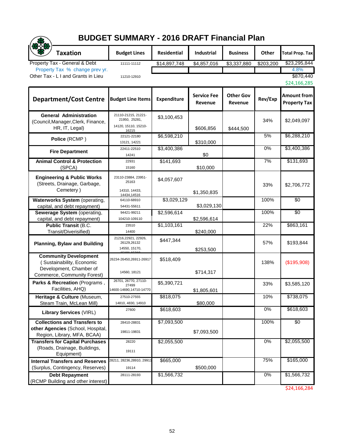## **BUDGET SUMMARY - 2016 DRAFT Financial Plan**

| <b>BUDGET SUMMARY - 2016 DRAFT Financial Plan</b>                                                                   |                                                                       |                    |                               |                             |           |                                           |  |  |
|---------------------------------------------------------------------------------------------------------------------|-----------------------------------------------------------------------|--------------------|-------------------------------|-----------------------------|-----------|-------------------------------------------|--|--|
| <b>Taxation</b>                                                                                                     | <b>Budget Lines</b>                                                   | <b>Residential</b> | <b>Industrial</b>             | <b>Business</b>             | Other     | <b>Total Prop. Tax</b>                    |  |  |
| Property Tax - General & Debt                                                                                       | 11111-11112                                                           | \$14,897,748       | \$4,857,016                   | $\overline{$3,337,880}$     | \$203,200 | \$23,295,844                              |  |  |
| Property Tax % change prev yr.                                                                                      |                                                                       |                    |                               |                             |           | 4.8%                                      |  |  |
| Other Tax - L I and Grants in Lieu                                                                                  | 11210-12910                                                           |                    |                               |                             |           | \$870,440<br>\$24,166,285                 |  |  |
| <b>Department/Cost Centre</b>                                                                                       | <b>Budget Line Items</b>                                              | <b>Expenditure</b> | <b>Service Fee</b><br>Revenue | <b>Other Gov</b><br>Revenue | Rev/Exp   | <b>Amount from</b><br><b>Property Tax</b> |  |  |
| <b>General Administration</b><br>(Council, Manager, Clerk, Finance,<br>HR, IT, Legal)                               | 21110-21215, 21221-<br>21950, 25281,<br>14120, 15110, 15210-<br>16215 | \$3,100,453        | \$606,856                     | \$444,500                   | 34%       | \$2,049,097                               |  |  |
| Police (RCMP)                                                                                                       | 22121-22180<br>13121, 14221                                           | \$6,598,210        | \$310,000                     |                             | 5%        | \$6,288,210                               |  |  |
| <b>Fire Department</b>                                                                                              | 22411-22510<br>14241                                                  | \$3,400,386        | \$0                           |                             | 0%        | \$3,400,386                               |  |  |
| <b>Animal Control &amp; Protection</b><br>(SPCA)                                                                    | 22931<br>15160                                                        | \$141,693          | \$10,000                      |                             | 7%        | \$131,693                                 |  |  |
| <b>Engineering &amp; Public Works</b><br>(Streets, Drainage, Garbage,<br>Cemetery)                                  | 23110-23884, 23951-<br>25163<br>14310, 14433,<br>14434,14516          | \$4,057,607        | \$1,350,835                   |                             | 33%       | \$2,706,772                               |  |  |
| <b>Waterworks System</b> (operating,<br>capital, and debt repayment)                                                | 64110-68910<br>54431-55611                                            | \$3,029,129        | \$3,029,130                   |                             | 100%      | \$0                                       |  |  |
| Sewerage System (operating,<br>capital, and debt repayment)                                                         | 94421-99211<br>104210-109110                                          | \$2,596,614        | \$2,596,614                   |                             | 100%      | \$0                                       |  |  |
| <b>Public Transit (B.C.</b><br>Transit/Diverisified)                                                                | 23510<br>14400                                                        | \$1,103,161        | \$240,000                     |                             | 22%       | \$863,161                                 |  |  |
| <b>Planning, Bylaw and Building</b>                                                                                 | 21216,22921, 22926,<br>26129,26132<br>14550, 15170,                   | \$447,344          | \$253,500                     |                             | 57%       | \$193,844                                 |  |  |
| <b>Community Development</b><br>(Sustainability, Economic<br>Development, Chamber of<br>Commerce, Community Forest) | 26234-26450,26911-26917<br>14560, 18121                               | \$518,409          | \$714,317                     |                             | 138%      | (\$195,908)                               |  |  |
| Parks & Recreation (Programs,<br>Facilities, AHQ)                                                                   | 26701, 26770, 27110-<br>27499<br>14600-14690,14710-14770              | \$5,390,721        | \$1,805,601                   |                             | 33%       | \$3,585,120                               |  |  |
| Heritage & Culture (Museum,<br>Steam Train, McLean Mill)                                                            | 27510-27555<br>14810, 4830, 14910                                     | \$818,075          | \$80,000                      |                             | 10%       | \$738,075                                 |  |  |
| <b>Library Services (VIRL)</b>                                                                                      | 27600                                                                 | \$618,603          |                               |                             | 0%        | \$618,603                                 |  |  |
| <b>Collections and Transfers to</b>                                                                                 | 28410-28831                                                           | \$7,093,500        |                               |                             | 100%      | \$0                                       |  |  |
| other Agencies (School, Hospital,<br>Region, Library, MFA, BCAA)                                                    | 19811-19831                                                           |                    | \$7,093,500                   |                             |           |                                           |  |  |
| <b>Transfers for Capital Purchases</b><br>(Roads, Drainage, Buildings,<br>Equipment)                                | 28220<br>19111                                                        | \$2,055,500        |                               |                             | 0%        | \$2,055,500                               |  |  |
| <b>Internal Transfers and Reserves</b><br>(Surplus, Contingency, Reserves)                                          | 28211, 28236,28910, 2991 <sup>,</sup><br>19114                        | \$665,000          | \$500,000                     |                             | 75%       | \$165,000                                 |  |  |
| <b>Debt Repayment</b><br>(RCMP Building and other interest)                                                         | 28111-28193                                                           | \$1,566,732        |                               |                             | $0\%$     | \$1,566,732                               |  |  |

\$24,166,284